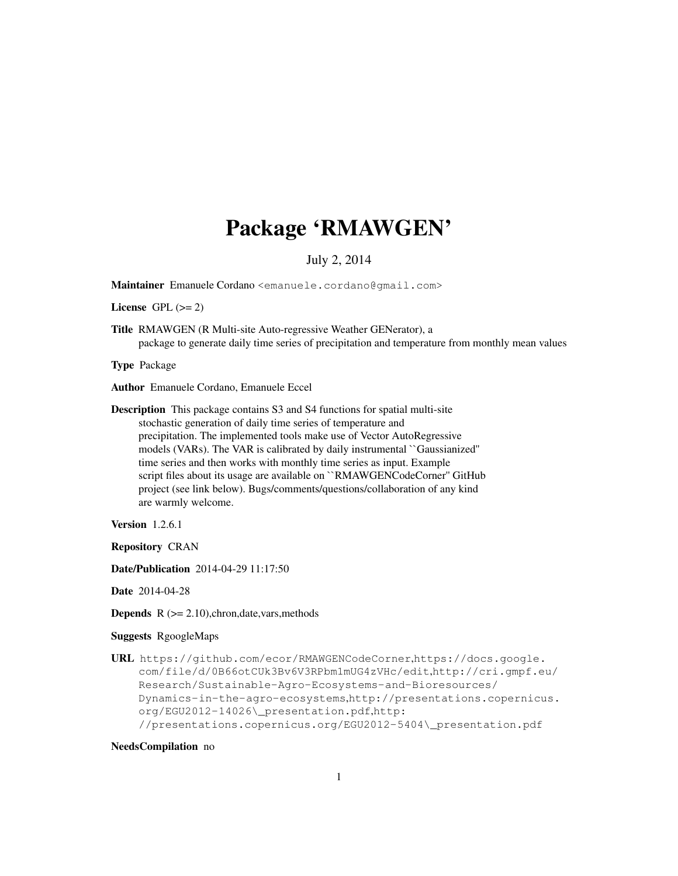# Package 'RMAWGEN'

# July 2, 2014

Maintainer Emanuele Cordano <emanuele.cordano@gmail.com>

License GPL  $(>= 2)$ 

Title RMAWGEN (R Multi-site Auto-regressive Weather GENerator), a package to generate daily time series of precipitation and temperature from monthly mean values

Type Package

Author Emanuele Cordano, Emanuele Eccel

Description This package contains S3 and S4 functions for spatial multi-site stochastic generation of daily time series of temperature and precipitation. The implemented tools make use of Vector AutoRegressive models (VARs). The VAR is calibrated by daily instrumental ``Gaussianized'' time series and then works with monthly time series as input. Example script files about its usage are available on ``RMAWGENCodeCorner'' GitHub project (see link below). Bugs/comments/questions/collaboration of any kind are warmly welcome.

Version 1.2.6.1

Repository CRAN

Date/Publication 2014-04-29 11:17:50

Date 2014-04-28

**Depends**  $R$  ( $>= 2.10$ ), chron, date, vars, methods

## Suggests RgoogleMaps

URL https://github.com/ecor/RMAWGENCodeCorner,https://docs.google. com/file/d/0B66otCUk3Bv6V3RPbm1mUG4zVHc/edit,http://cri.gmpf.eu/ Research/Sustainable-Agro-Ecosystems-and-Bioresources/ Dynamics-in-the-agro-ecosystems,http://presentations.copernicus. org/EGU2012-14026\\_presentation.pdf,http: //presentations.copernicus.org/EGU2012-5404\\_presentation.pdf

#### NeedsCompilation no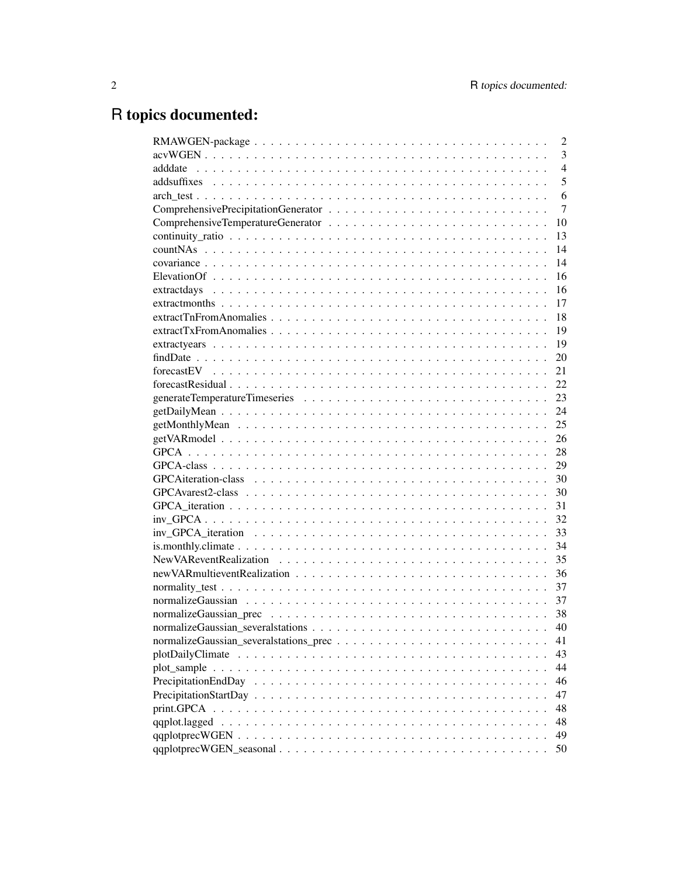# R topics documented:

|                                                                                                                                                             | $\overline{2}$ |
|-------------------------------------------------------------------------------------------------------------------------------------------------------------|----------------|
|                                                                                                                                                             | $\overline{3}$ |
|                                                                                                                                                             | $\overline{4}$ |
|                                                                                                                                                             | 5              |
|                                                                                                                                                             | 6              |
|                                                                                                                                                             | 7              |
|                                                                                                                                                             | 10             |
|                                                                                                                                                             | 13             |
|                                                                                                                                                             | 14             |
|                                                                                                                                                             | 14             |
|                                                                                                                                                             | 16             |
|                                                                                                                                                             | 16             |
|                                                                                                                                                             | 17             |
|                                                                                                                                                             | 18             |
|                                                                                                                                                             | 19             |
|                                                                                                                                                             | 19             |
|                                                                                                                                                             | 20             |
| $\text{forecast}$ $\text{EV}$ $\ldots$ $\ldots$ $\ldots$ $\ldots$ $\ldots$ $\ldots$ $\ldots$ $\ldots$ $\ldots$ $\ldots$ $\ldots$ $\ldots$ $\ldots$ $\ldots$ | 21             |
|                                                                                                                                                             | 22             |
|                                                                                                                                                             | 23             |
|                                                                                                                                                             | 24             |
|                                                                                                                                                             | 25             |
|                                                                                                                                                             | 26             |
|                                                                                                                                                             | 28             |
|                                                                                                                                                             | 29             |
|                                                                                                                                                             | 30             |
|                                                                                                                                                             | 30             |
|                                                                                                                                                             | 31             |
|                                                                                                                                                             | 32             |
|                                                                                                                                                             | 33             |
|                                                                                                                                                             | 34             |
|                                                                                                                                                             | 35             |
|                                                                                                                                                             | 36             |
|                                                                                                                                                             | 37             |
|                                                                                                                                                             | 37             |
|                                                                                                                                                             |                |
|                                                                                                                                                             | 40             |
|                                                                                                                                                             | 41             |
|                                                                                                                                                             | 43             |
|                                                                                                                                                             | 44             |
|                                                                                                                                                             | 46             |
|                                                                                                                                                             | 47             |
|                                                                                                                                                             | 48             |
| qqplot.lagged                                                                                                                                               | 48             |
|                                                                                                                                                             | 49             |
|                                                                                                                                                             | 50             |
|                                                                                                                                                             |                |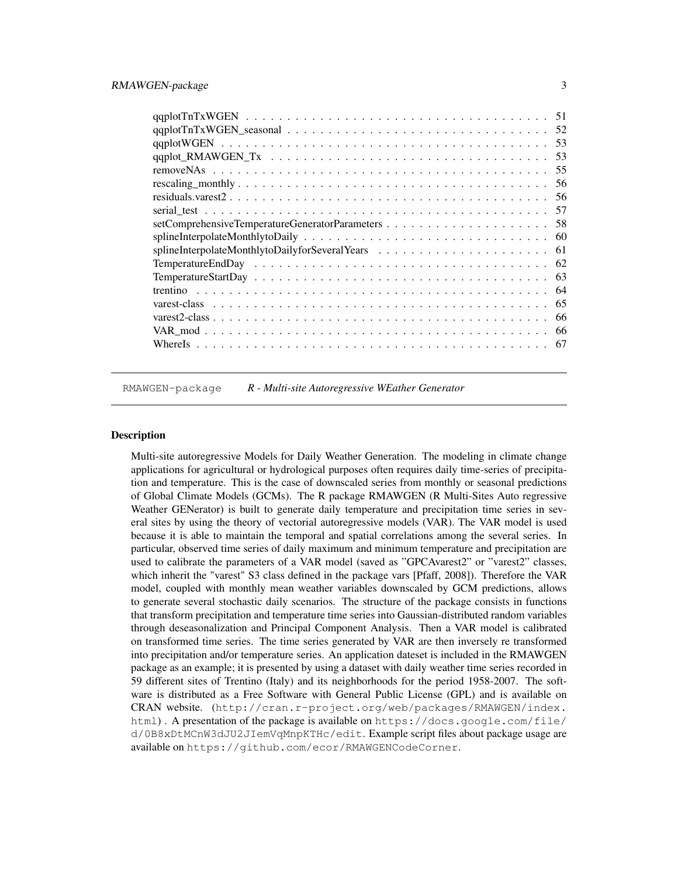| 57  |
|-----|
| .58 |
|     |
| -61 |
|     |
| 63  |
| 64  |
| 65  |
| 66  |
| 66  |
| 67  |

RMAWGEN-package *R - Multi-site Autoregressive WEather Generator*

#### **Description**

Multi-site autoregressive Models for Daily Weather Generation. The modeling in climate change applications for agricultural or hydrological purposes often requires daily time-series of precipitation and temperature. This is the case of downscaled series from monthly or seasonal predictions of Global Climate Models (GCMs). The R package RMAWGEN (R Multi-Sites Auto regressive Weather GENerator) is built to generate daily temperature and precipitation time series in several sites by using the theory of vectorial autoregressive models (VAR). The VAR model is used because it is able to maintain the temporal and spatial correlations among the several series. In particular, observed time series of daily maximum and minimum temperature and precipitation are used to calibrate the parameters of a VAR model (saved as "GPCAvarest2" or "varest2" classes, which inherit the "varest" S3 class defined in the package vars [Pfaff, 2008]). Therefore the VAR model, coupled with monthly mean weather variables downscaled by GCM predictions, allows to generate several stochastic daily scenarios. The structure of the package consists in functions that transform precipitation and temperature time series into Gaussian-distributed random variables through deseasonalization and Principal Component Analysis. Then a VAR model is calibrated on transformed time series. The time series generated by VAR are then inversely re transformed into precipitation and/or temperature series. An application dateset is included in the RMAWGEN package as an example; it is presented by using a dataset with daily weather time series recorded in 59 different sites of Trentino (Italy) and its neighborhoods for the period 1958-2007. The software is distributed as a Free Software with General Public License (GPL) and is available on CRAN website. (http://cran.r-project.org/web/packages/RMAWGEN/index. html). A presentation of the package is available on https://docs.google.com/file/ d/0B8xDtMCnW3dJU2JIemVqMnpKTHc/edit. Example script files about package usage are available on https://github.com/ecor/RMAWGENCodeCorner.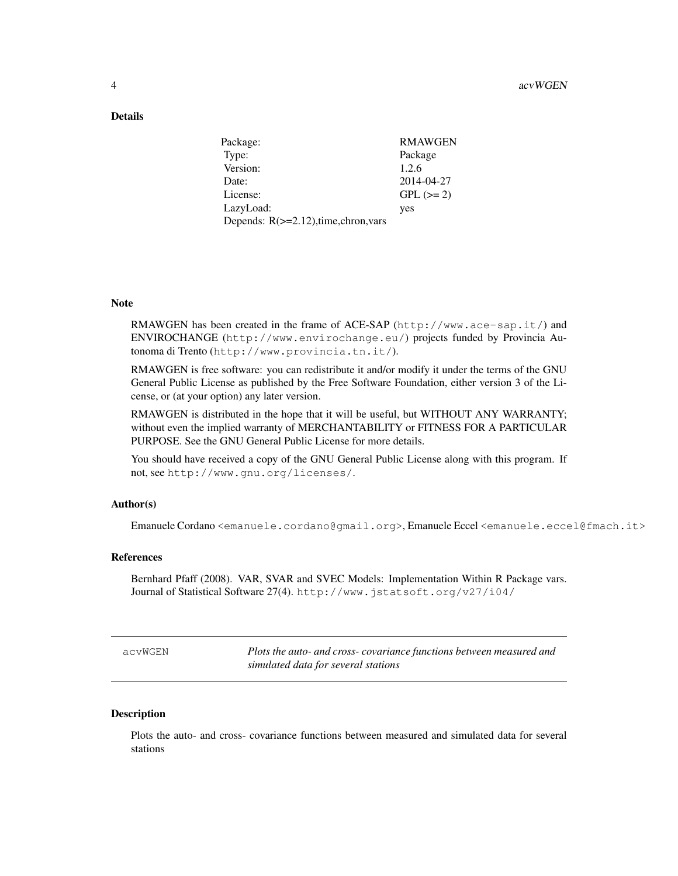## Details

| <b>RMAWGEN</b> |
|----------------|
| Package        |
| 1.2.6          |
| 2014-04-27     |
| $GPL (=2)$     |
| yes            |
|                |
|                |

#### Note

RMAWGEN has been created in the frame of ACE-SAP (http://www.ace-sap.it/) and ENVIROCHANGE (http://www.envirochange.eu/) projects funded by Provincia Autonoma di Trento (http://www.provincia.tn.it/).

RMAWGEN is free software: you can redistribute it and/or modify it under the terms of the GNU General Public License as published by the Free Software Foundation, either version 3 of the License, or (at your option) any later version.

RMAWGEN is distributed in the hope that it will be useful, but WITHOUT ANY WARRANTY; without even the implied warranty of MERCHANTABILITY or FITNESS FOR A PARTICULAR PURPOSE. See the GNU General Public License for more details.

You should have received a copy of the GNU General Public License along with this program. If not, see http://www.gnu.org/licenses/.

#### Author(s)

Emanuele Cordano <emanuele.cordano@gmail.org>, Emanuele Eccel <emanuele.eccel@fmach.it>

#### References

Bernhard Pfaff (2008). VAR, SVAR and SVEC Models: Implementation Within R Package vars. Journal of Statistical Software 27(4). http://www.jstatsoft.org/v27/i04/

Plots the auto- and cross- covariance functions between measured and *simulated data for several stations*

#### **Description**

Plots the auto- and cross- covariance functions between measured and simulated data for several stations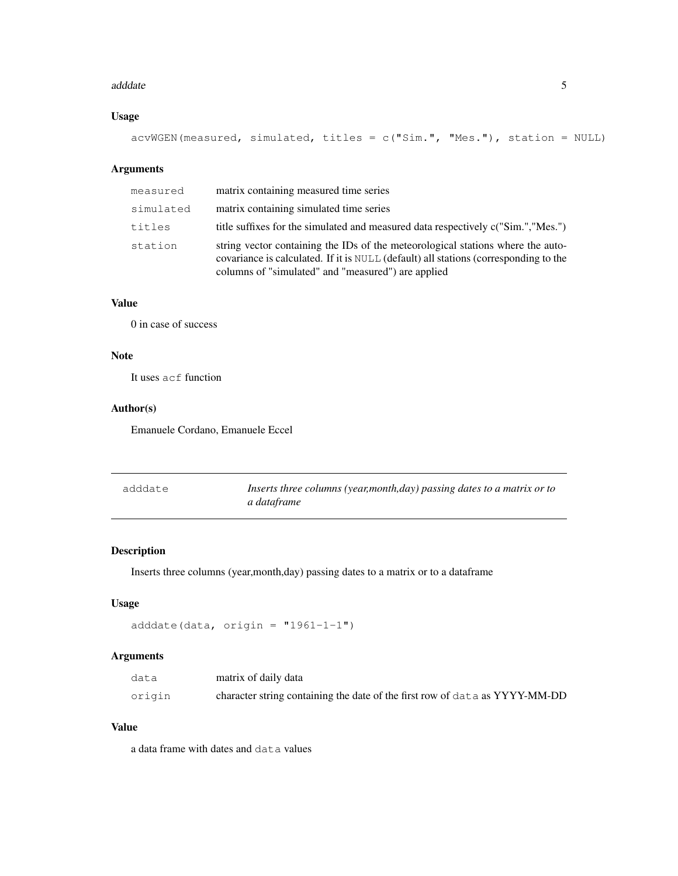#### adddate 5 anis 5 anis 5 anis 5 anis 5 anis 6 anis 6 anis 6 anis 6 anis 6 anis 6 anis 6 anis 6 anis 6 anis 6 ani

# Usage

```
acwWGEN(measured, simulated, titles = c("Sim." , "Mes." ), station = NULL)
```
#### Arguments

| measured  | matrix containing measured time series                                                                                                                                                                                        |
|-----------|-------------------------------------------------------------------------------------------------------------------------------------------------------------------------------------------------------------------------------|
| simulated | matrix containing simulated time series                                                                                                                                                                                       |
| titles    | title suffixes for the simulated and measured data respectively c("Sim.", "Mes.")                                                                                                                                             |
| station   | string vector containing the IDs of the meteorological stations where the auto-<br>covariance is calculated. If it is NULL (default) all stations (corresponding to the<br>columns of "simulated" and "measured") are applied |

## Value

0 in case of success

# Note

It uses acf function

## Author(s)

Emanuele Cordano, Emanuele Eccel

| adddate | Inserts three columns (year, month, day) passing dates to a matrix or to |
|---------|--------------------------------------------------------------------------|
|         | a dataframe                                                              |

# Description

Inserts three columns (year,month,day) passing dates to a matrix or to a dataframe

#### Usage

```
adddate(data, origin = "1961-1-1")
```
## Arguments

| data   | matrix of daily data                                                        |
|--------|-----------------------------------------------------------------------------|
| origin | character string containing the date of the first row of data as YYYY-MM-DD |

## Value

a data frame with dates and data values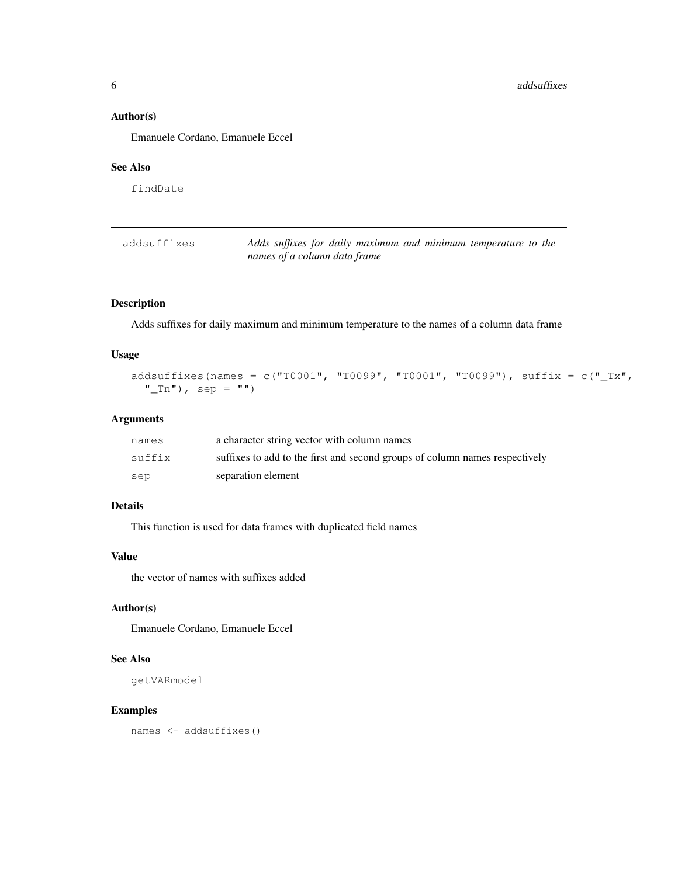## Author(s)

Emanuele Cordano, Emanuele Eccel

## See Also

findDate

| addsuffixes | Adds suffixes for daily maximum and minimum temperature to the |
|-------------|----------------------------------------------------------------|
|             | names of a column data frame                                   |

## Description

Adds suffixes for daily maximum and minimum temperature to the names of a column data frame

#### Usage

```
addsuffixes(names = c("T0001", "T0099", "T0001", "T0099"), suffix = c("_Tx",
  "_Tn"), sep = "")
```
## Arguments

| names  | a character string vector with column names                                 |
|--------|-----------------------------------------------------------------------------|
| suffix | suffixes to add to the first and second groups of column names respectively |
| sep    | separation element                                                          |

#### Details

This function is used for data frames with duplicated field names

#### Value

the vector of names with suffixes added

## Author(s)

Emanuele Cordano, Emanuele Eccel

## See Also

```
getVARmodel
```
#### Examples

names <- addsuffixes()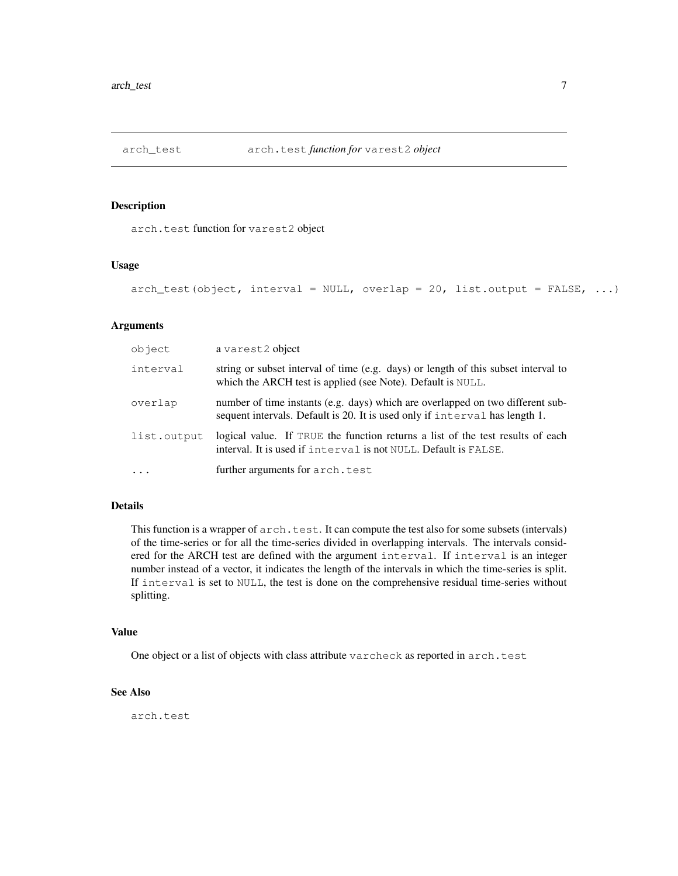## Description

arch.test function for varest2 object

#### Usage

```
arch_test(object, interval = NULL, overlap = 20, list.output = FALSE, ...)
```
#### Arguments

| object      | a varest2 object                                                                                                                                              |
|-------------|---------------------------------------------------------------------------------------------------------------------------------------------------------------|
| interval    | string or subset interval of time (e.g. days) or length of this subset interval to<br>which the ARCH test is applied (see Note). Default is NULL.             |
| overlap     | number of time instants (e.g. days) which are overlapped on two different sub-<br>sequent intervals. Default is 20. It is used only if interval has length 1. |
| list.output | logical value. If TRUE the function returns a list of the test results of each<br>interval. It is used if interval is not NULL. Default is FALSE.             |
| $\ddots$    | further arguments for arch.test                                                                                                                               |

## Details

This function is a wrapper of  $arch.test.$  It can compute the test also for some subsets (intervals) of the time-series or for all the time-series divided in overlapping intervals. The intervals considered for the ARCH test are defined with the argument interval. If interval is an integer number instead of a vector, it indicates the length of the intervals in which the time-series is split. If interval is set to NULL, the test is done on the comprehensive residual time-series without splitting.

#### Value

One object or a list of objects with class attribute varcheck as reported in arch.test

## See Also

arch.test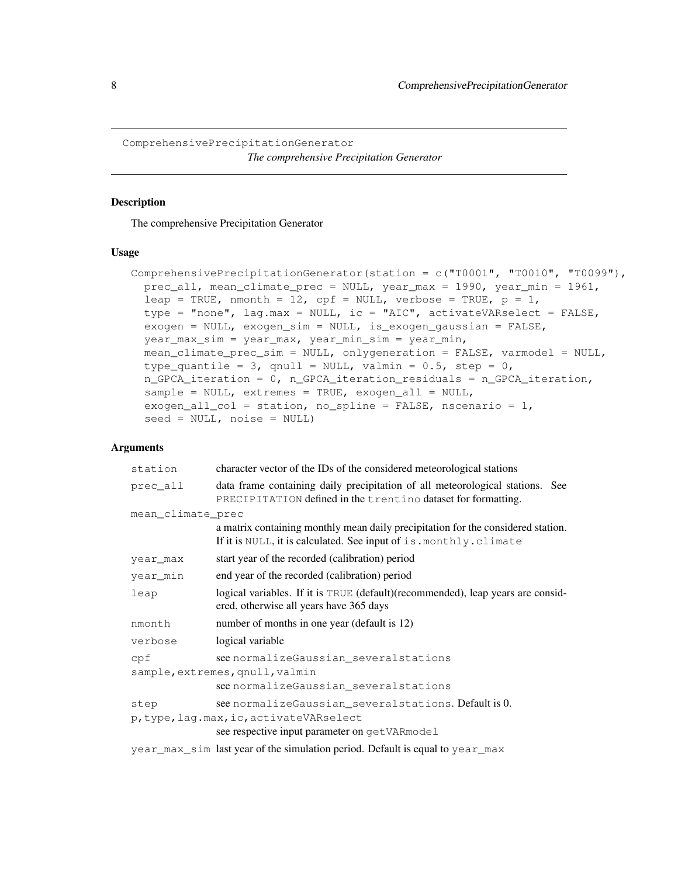ComprehensivePrecipitationGenerator *The comprehensive Precipitation Generator*

## Description

The comprehensive Precipitation Generator

#### Usage

```
ComprehensivePrecipitationGenerator(station = c("T0001", "T0010", "T0099"),prec_all, mean_climate_prec = NULL, year_max = 1990, year_min = 1961,
  leap = TRUE, nmonth = 12, cpf = NULL, verbose = TRUE, p = 1,
  type = "none", lag.max = NULL, ic = "AIC", activateVARselect = FALSE,
  exogen = NULL, exogen_sim = NULL, is_exogen_gaussian = FALSE,
  year_max_sim = year_max, year_min_sim = year_min,
 mean_climate_prec_sim = NULL, onlygeneration = FALSE, varmodel = NULL,
  type_quantile = 3, qnull = NULL, valmin = 0.5, step = 0,
  n_GPCA_iteration = 0, n_GPCA_iteration_residuals = n_GPCA_iteration,
  sample = NULL, extremes = TRUE, exogen_all = NULL,
  exogen_all_col = station, no_spline = FALSE, nscenario = 1,
  seed = NULL, noise = NULL)
```
#### Arguments

| station           | character vector of the IDs of the considered meteorological stations                                                                                  |
|-------------------|--------------------------------------------------------------------------------------------------------------------------------------------------------|
| prec all          | data frame containing daily precipitation of all meteorological stations. See<br>PRECIPITATION defined in the trentino dataset for formatting.         |
| mean climate prec |                                                                                                                                                        |
|                   | a matrix containing monthly mean daily precipitation for the considered station.<br>If it is NULL, it is calculated. See input of is. monthly. climate |
| year_max          | start year of the recorded (calibration) period                                                                                                        |
| year min          | end year of the recorded (calibration) period                                                                                                          |
| leap              | logical variables. If it is TRUE (default)(recommended), leap years are consid-<br>ered, otherwise all years have 365 days                             |
| nmonth            | number of months in one year (default is 12)                                                                                                           |
| verbose           | logical variable                                                                                                                                       |
| cpf               | see normalize Gaussian several stations<br>sample, extremes, qnull, valmin<br>see normalizeGaussian_severalstations                                    |
| step              | see normalize Gaussian several stations. Default is 0.<br>p, type, lag.max, ic, activateVARselect<br>see respective input parameter on getVARmodel     |
|                   | year_max_sim last year of the simulation period. Default is equal to year_max                                                                          |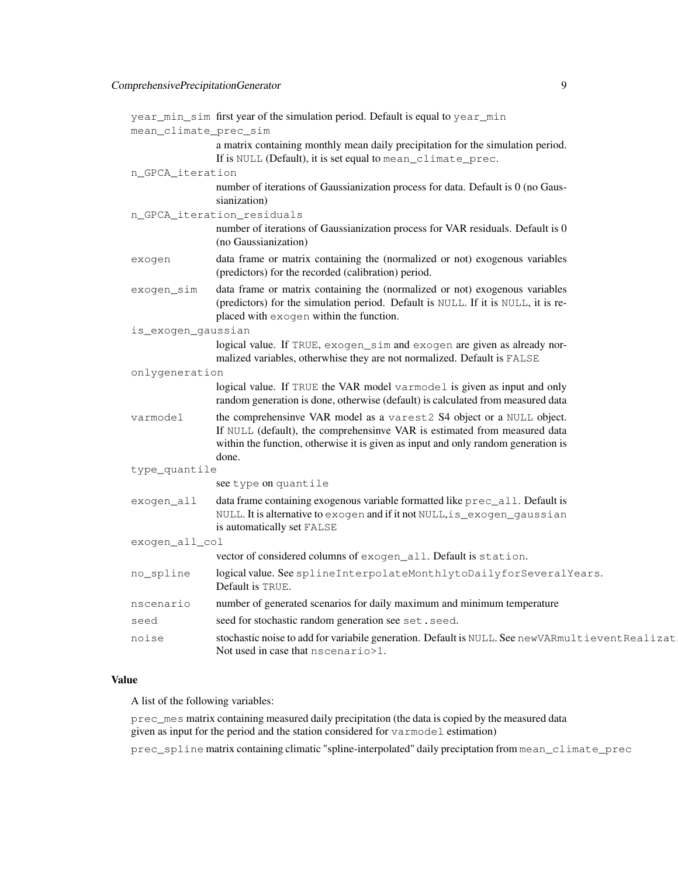|                       | year_min_sim first year of the simulation period. Default is equal to year_min                                                                                                                                                                   |
|-----------------------|--------------------------------------------------------------------------------------------------------------------------------------------------------------------------------------------------------------------------------------------------|
| mean_climate_prec_sim |                                                                                                                                                                                                                                                  |
|                       | a matrix containing monthly mean daily precipitation for the simulation period.<br>If is NULL (Default), it is set equal to mean_climate_prec.                                                                                                   |
| n_GPCA_iteration      |                                                                                                                                                                                                                                                  |
|                       | number of iterations of Gaussianization process for data. Default is 0 (no Gaus-<br>sianization)                                                                                                                                                 |
|                       | n_GPCA_iteration_residuals                                                                                                                                                                                                                       |
|                       | number of iterations of Gaussianization process for VAR residuals. Default is 0<br>(no Gaussianization)                                                                                                                                          |
| exogen                | data frame or matrix containing the (normalized or not) exogenous variables<br>(predictors) for the recorded (calibration) period.                                                                                                               |
| exogen_sim            | data frame or matrix containing the (normalized or not) exogenous variables<br>(predictors) for the simulation period. Default is NULL. If it is NULL, it is re-<br>placed with exogen within the function.                                      |
| is_exogen_gaussian    |                                                                                                                                                                                                                                                  |
|                       | logical value. If TRUE, exogen_sim and exogen are given as already nor-<br>malized variables, otherwhise they are not normalized. Default is FALSE                                                                                               |
| onlygeneration        |                                                                                                                                                                                                                                                  |
|                       | logical value. If TRUE the VAR model varmodel is given as input and only<br>random generation is done, otherwise (default) is calculated from measured data                                                                                      |
| varmodel              | the comprehensinve VAR model as a varest2 S4 object or a NULL object.<br>If NULL (default), the comprehensinve VAR is estimated from measured data<br>within the function, otherwise it is given as input and only random generation is<br>done. |
| type_quantile         |                                                                                                                                                                                                                                                  |
|                       | see type on quantile                                                                                                                                                                                                                             |
| exogen_all            | data frame containing exogenous variable formatted like prec_all. Default is<br>NULL. It is alternative to exogen and if it not NULL, is_exogen_gaussian<br>is automatically set FALSE                                                           |
| exogen_all_col        |                                                                                                                                                                                                                                                  |
|                       | vector of considered columns of exogen_all. Default is station.                                                                                                                                                                                  |
| no_spline             | logical value. See splineInterpolateMonthlytoDailyforSeveralYears.<br>Default is TRUE.                                                                                                                                                           |
| nscenario             | number of generated scenarios for daily maximum and minimum temperature                                                                                                                                                                          |
| seed                  | seed for stochastic random generation see set.seed.                                                                                                                                                                                              |
| noise                 | stochastic noise to add for variabile generation. Default is NULL. See newVARmultieventRealizat<br>Not used in case that nscenario>1.                                                                                                            |

## Value

A list of the following variables:

prec\_mes matrix containing measured daily precipitation (the data is copied by the measured data given as input for the period and the station considered for varmodel estimation)

prec\_spline matrix containing climatic "spline-interpolated" daily preciptation from mean\_climate\_prec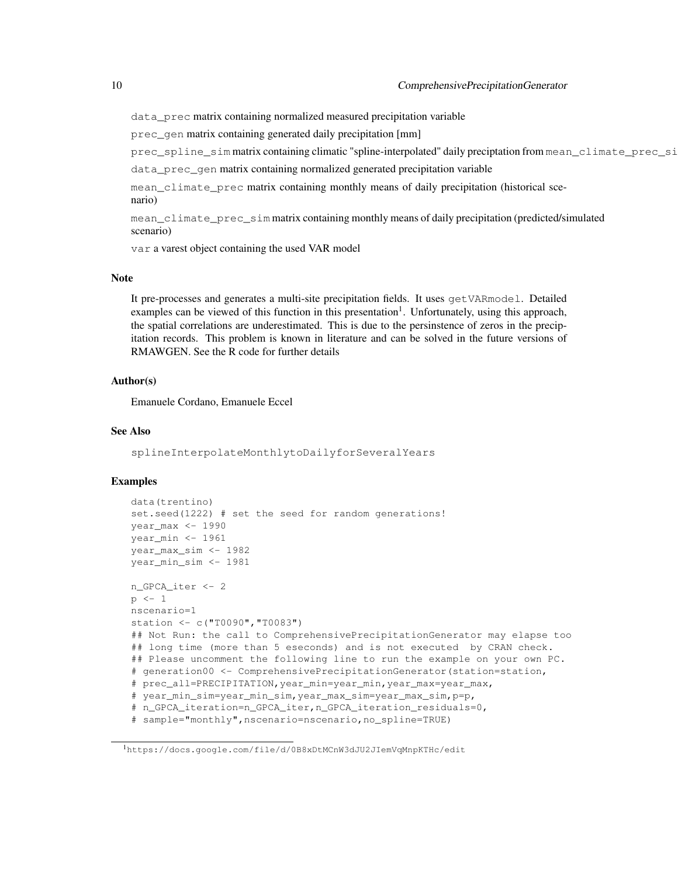data\_prec matrix containing normalized measured precipitation variable

prec\_gen matrix containing generated daily precipitation [mm]

prec\_spline\_sim matrix containing climatic "spline-interpolated" daily preciptation from mean\_climate\_prec\_si

data\_prec\_gen matrix containing normalized generated precipitation variable

mean\_climate\_prec matrix containing monthly means of daily precipitation (historical scenario)

mean\_climate\_prec\_sim matrix containing monthly means of daily precipitation (predicted/simulated scenario)

var a varest object containing the used VAR model

#### Note

It pre-processes and generates a multi-site precipitation fields. It uses getVARmodel. Detailed examples can be viewed of this function in this presentation<sup>1</sup>. Unfortunately, using this approach, the spatial correlations are underestimated. This is due to the persinstence of zeros in the precipitation records. This problem is known in literature and can be solved in the future versions of RMAWGEN. See the R code for further details

#### Author(s)

Emanuele Cordano, Emanuele Eccel

## See Also

splineInterpolateMonthlytoDailyforSeveralYears

#### Examples

```
data(trentino)
set.seed(1222) # set the seed for random generations!
year_max <- 1990
year_min <- 1961
year_max_sim <- 1982
year_min_sim <- 1981
n_GPCA_iter <- 2
p \leftarrow 1nscenario=1
station <- c("T0090","T0083")
## Not Run: the call to ComprehensivePrecipitationGenerator may elapse too
## long time (more than 5 eseconds) and is not executed by CRAN check.
## Please uncomment the following line to run the example on your own PC.
# generation00 <- ComprehensivePrecipitationGenerator(station=station,
# prec_all=PRECIPITATION, year min=year min, year max=year max,
# year_min_sim=year_min_sim,year_max_sim=year_max_sim,p=p,
# n_GPCA_iteration=n_GPCA_iter,n_GPCA_iteration_residuals=0,
# sample="monthly",nscenario=nscenario,no_spline=TRUE)
```
<sup>1</sup>https://docs.google.com/file/d/0B8xDtMCnW3dJU2JIemVqMnpKTHc/edit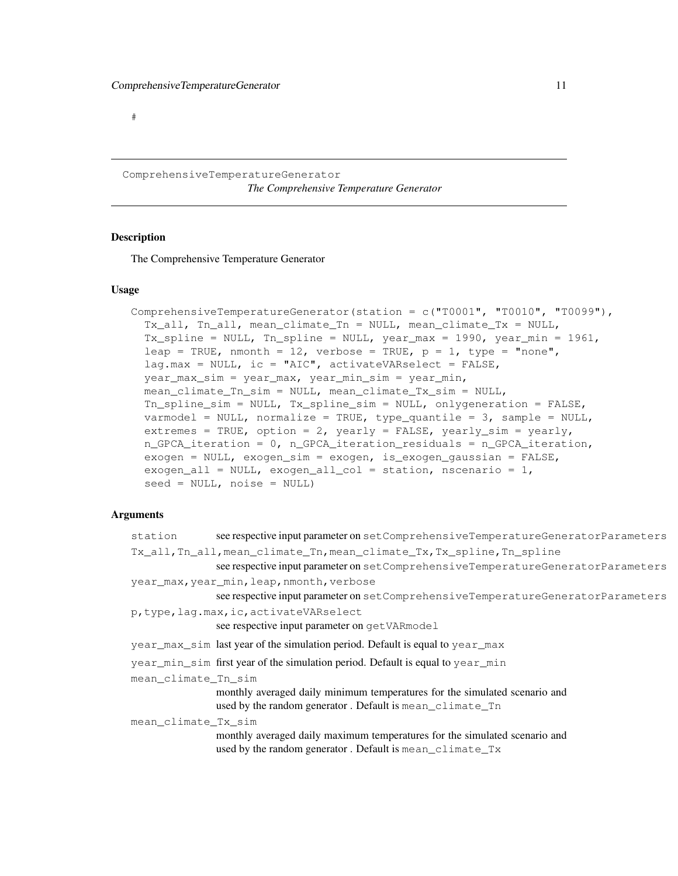#

ComprehensiveTemperatureGenerator *The Comprehensive Temperature Generator*

## Description

The Comprehensive Temperature Generator

#### Usage

```
ComprehensiveTemperatureGenerator(station = c("T0001", "T0010", "T0099"),Tx_all, Tn_all, mean_climate_Tn = NULL, mean_climate_Tx = NULL,
  Tx_spline = NULL, Tn_spline = NULL, year_max = 1990, year_min = 1961,
  leap = TRUE, nmonth = 12, verbose = TRUE, p = 1, type = "none",
  lag.max = NULL, ic = "AIC", activeVARselect = FALSE,year_max_sim = year_max, year_min_sim = year_min,
 mean climate Tn sim = NULL, mean climate Tx sim = NULL,
 Tn_spline_sim = NULL, Tx_spline_sim = NULL, onlygeneration = FALSE,
 varmodel = NULL, normalize = TRUE, type_quantile = 3, sample = NULL,
  extremes = TRUE, option = 2, yearly = FALSE, yearly_sim = yearly,
  n_GPCA_iteration = 0, n_GPCA_iteration_residuals = n_GPCA_iteration,
  exogen = NULL, exogen_sim = exogen, is_exogen_gaussian = FALSE,
  exogen_all = NULL, exogen_all_col = station, nscenario = 1,
  seed = NULL, noise = NULL)
```
## Arguments

| station                                                                | see respective input parameter on setComprehensiveTemperatureGeneratorParameters     |  |
|------------------------------------------------------------------------|--------------------------------------------------------------------------------------|--|
| Tx all, In all, mean climate In, mean climate Tx, Tx spline, In spline |                                                                                      |  |
|                                                                        | see respective input parameter on set Comprehensive Temperature Generator Parameters |  |
|                                                                        | year_max, year_min, leap, nmonth, verbose                                            |  |
|                                                                        | see respective input parameter on set Comprehensive Temperature Generator Parameters |  |
|                                                                        | p, type, lag.max, ic, activateVARselect                                              |  |
|                                                                        | see respective input parameter on getVARmodel                                        |  |
|                                                                        | year_max_sim last year of the simulation period. Default is equal to year_max        |  |
|                                                                        | year_min_sim first year of the simulation period. Default is equal to year_min       |  |
|                                                                        | mean climate Tn sim                                                                  |  |
|                                                                        | monthly averaged daily minimum temperatures for the simulated scenario and           |  |
|                                                                        | used by the random generator. Default is mean_climate_Tn                             |  |
| mean_climate_Tx_sim                                                    |                                                                                      |  |
|                                                                        | monthly averaged daily maximum temperatures for the simulated scenario and           |  |
|                                                                        | used by the random generator. Default is mean_climate_Tx                             |  |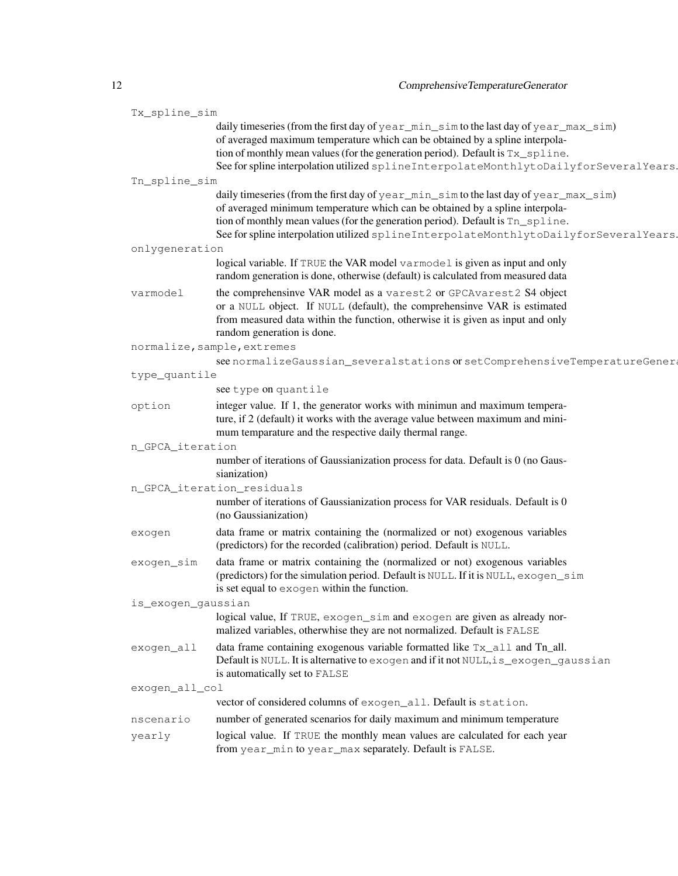| Tx_spline_sim      |                                                                                                                                                                                                                                                                                                                                                   |
|--------------------|---------------------------------------------------------------------------------------------------------------------------------------------------------------------------------------------------------------------------------------------------------------------------------------------------------------------------------------------------|
|                    | daily timeseries (from the first day of year_min_sim to the last day of year_max_sim)<br>of averaged maximum temperature which can be obtained by a spline interpola-<br>tion of monthly mean values (for the generation period). Default is Tx_spline.<br>See for spline interpolation utilized splineInterpolateMonthlytoDailyforSeveralYears.  |
| Tn_spline_sim      |                                                                                                                                                                                                                                                                                                                                                   |
|                    | daily timeseries (from the first day of year_min_sim to the last day of year_max_sim)<br>of averaged minimum temperature which can be obtained by a spline interpola-<br>tion of monthly mean values (for the generation period). Default is Tn_spline.<br>See for spline interpolation utilized spline InterpolateMonthlytoDailyforSeveralYears. |
| onlygeneration     |                                                                                                                                                                                                                                                                                                                                                   |
|                    | logical variable. If TRUE the VAR model varmodel is given as input and only<br>random generation is done, otherwise (default) is calculated from measured data                                                                                                                                                                                    |
| varmodel           | the comprehensinve VAR model as a varest2 or GPCAvarest2 S4 object<br>or a NULL object. If NULL (default), the comprehensinve VAR is estimated<br>from measured data within the function, otherwise it is given as input and only<br>random generation is done.                                                                                   |
|                    | normalize, sample, extremes                                                                                                                                                                                                                                                                                                                       |
|                    | see normalizeGaussian_severalstations or setComprehensiveTemperatureGener                                                                                                                                                                                                                                                                         |
| type_quantile      |                                                                                                                                                                                                                                                                                                                                                   |
|                    | see type on quantile                                                                                                                                                                                                                                                                                                                              |
| option             | integer value. If 1, the generator works with minimun and maximum tempera-<br>ture, if 2 (default) it works with the average value between maximum and mini-<br>mum temparature and the respective daily thermal range.                                                                                                                           |
| n_GPCA_iteration   |                                                                                                                                                                                                                                                                                                                                                   |
|                    | number of iterations of Gaussianization process for data. Default is 0 (no Gaus-<br>sianization)                                                                                                                                                                                                                                                  |
|                    | n_GPCA_iteration_residuals                                                                                                                                                                                                                                                                                                                        |
|                    | number of iterations of Gaussianization process for VAR residuals. Default is 0<br>(no Gaussianization)                                                                                                                                                                                                                                           |
| exogen             | data frame or matrix containing the (normalized or not) exogenous variables<br>(predictors) for the recorded (calibration) period. Default is NULL.                                                                                                                                                                                               |
| exogen_sim         | data frame or matrix containing the (normalized or not) exogenous variables<br>(predictors) for the simulation period. Default is NULL. If it is NULL, exogen_sim<br>is set equal to exogen within the function.                                                                                                                                  |
| is_exogen_gaussian |                                                                                                                                                                                                                                                                                                                                                   |
|                    | logical value, If TRUE, exogen_sim and exogen are given as already nor-<br>malized variables, otherwhise they are not normalized. Default is FALSE                                                                                                                                                                                                |
| exogen_all         | data frame containing exogenous variable formatted like Tx_all and Tn_all.<br>Default is NULL. It is alternative to exogen and if it not NULL, is_exogen_gaussian<br>is automatically set to FALSE                                                                                                                                                |
| exogen_all_col     |                                                                                                                                                                                                                                                                                                                                                   |
|                    | vector of considered columns of exogen_all. Default is station.                                                                                                                                                                                                                                                                                   |
| nscenario          | number of generated scenarios for daily maximum and minimum temperature                                                                                                                                                                                                                                                                           |
| yearly             | logical value. If TRUE the monthly mean values are calculated for each year<br>from year_min to year_max separately. Default is FALSE.                                                                                                                                                                                                            |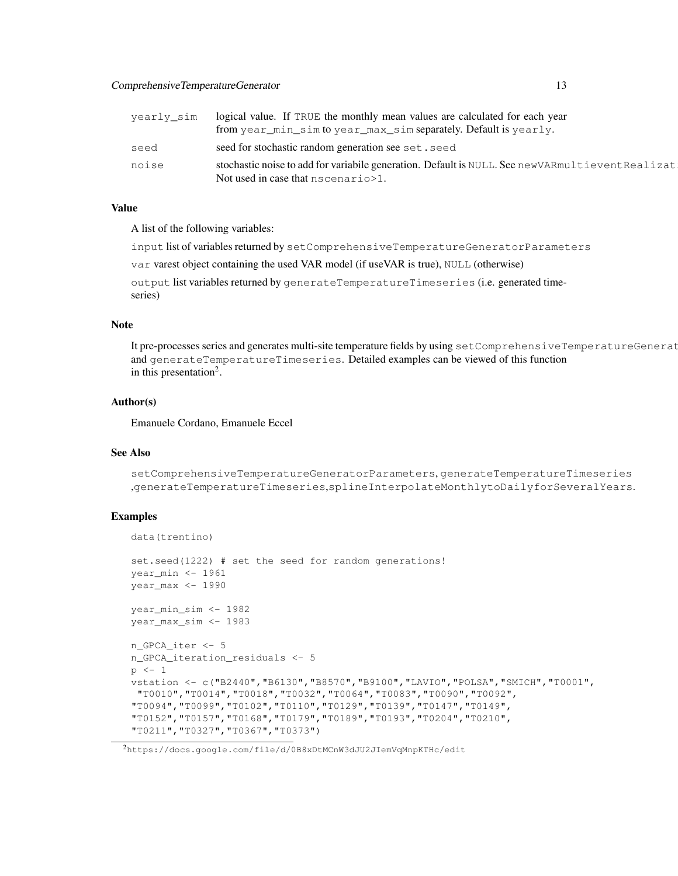## ComprehensiveTemperatureGenerator 13

| yearly sim | logical value. If TRUE the monthly mean values are calculated for each year<br>from year_min_sim to year_max_sim separately. Default is yearly. |
|------------|-------------------------------------------------------------------------------------------------------------------------------------------------|
| seed       | seed for stochastic random generation see set. seed                                                                                             |
| noise      | stochastic noise to add for variabile generation. Default is NULL. See newVARmultieventRealizat<br>Not used in case that nscenario > 1.         |

## Value

A list of the following variables:

input list of variables returned by setComprehensiveTemperatureGeneratorParameters

var varest object containing the used VAR model (if useVAR is true), NULL (otherwise)

output list variables returned by generateTemperatureTimeseries (i.e. generated timeseries)

## Note

It pre-processes series and generates multi-site temperature fields by using setComprehensiveTemperatureGenerat and generateTemperatureTimeseries. Detailed examples can be viewed of this function in this presentation<sup>2</sup>.

#### Author(s)

Emanuele Cordano, Emanuele Eccel

#### See Also

setComprehensiveTemperatureGeneratorParameters, generateTemperatureTimeseries ,generateTemperatureTimeseries,splineInterpolateMonthlytoDailyforSeveralYears.

#### Examples

```
data(trentino)
set.seed(1222) # set the seed for random generations!
year_min <- 1961
year_max <- 1990
year_min_sim <- 1982
year_max_sim <- 1983
n_GPCA_iter <- 5
n_GPCA_iteration_residuals <- 5
p <- 1
vstation <- c("B2440","B6130","B8570","B9100","LAVIO","POLSA","SMICH","T0001",
"T0010","T0014","T0018","T0032","T0064","T0083","T0090","T0092",
"T0094","T0099","T0102","T0110","T0129","T0139","T0147","T0149",
"T0152","T0157","T0168","T0179","T0189","T0193","T0204","T0210",
"T0211","T0327","T0367","T0373")
```
<sup>2</sup>https://docs.google.com/file/d/0B8xDtMCnW3dJU2JIemVqMnpKTHc/edit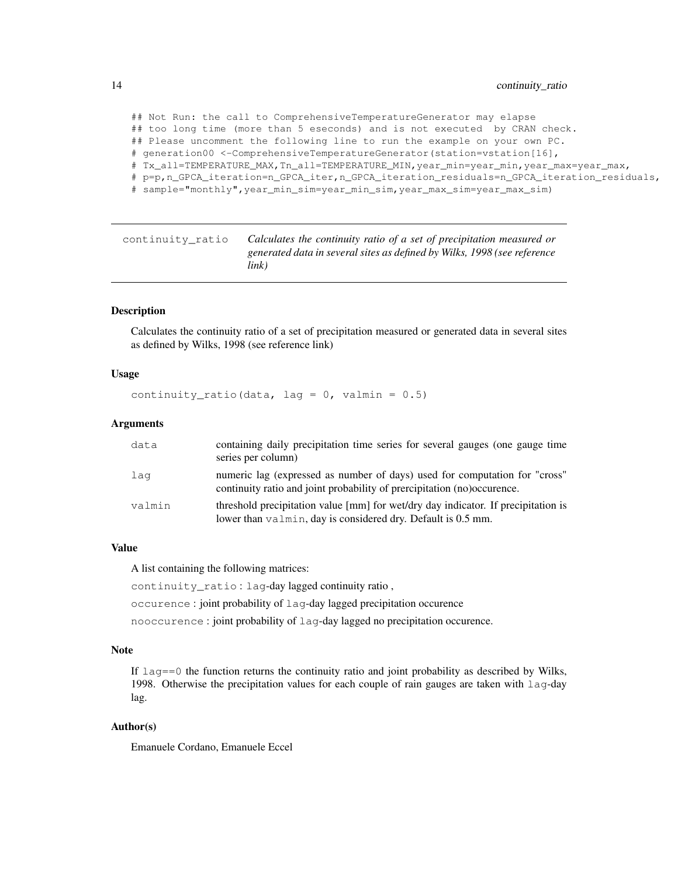## Not Run: the call to ComprehensiveTemperatureGenerator may elapse ## too long time (more than 5 eseconds) and is not executed by CRAN check. ## Please uncomment the following line to run the example on your own PC. # generation00 <-ComprehensiveTemperatureGenerator(station=vstation[16], # Tx\_all=TEMPERATURE\_MAX,Tn\_all=TEMPERATURE\_MIN,year\_min=year\_min,year\_max=year\_max, # p=p,n\_GPCA\_iteration=n\_GPCA\_iter,n\_GPCA\_iteration\_residuals=n\_GPCA\_iteration\_residuals, # sample="monthly",year\_min\_sim=year\_min\_sim,year\_max\_sim=year\_max\_sim)

continuity\_ratio *Calculates the continuity ratio of a set of precipitation measured or generated data in several sites as defined by Wilks, 1998 (see reference link)*

## **Description**

Calculates the continuity ratio of a set of precipitation measured or generated data in several sites as defined by Wilks, 1998 (see reference link)

#### Usage

continuity\_ratio(data, lag =  $0$ , valmin =  $0.5$ )

#### **Arguments**

| data   | containing daily precipitation time series for several gauges (one gauge time<br>series per column)                                                    |
|--------|--------------------------------------------------------------------------------------------------------------------------------------------------------|
| laq    | numeric lag (expressed as number of days) used for computation for "cross"<br>continuity ratio and joint probability of prercipitation (no) occurence. |
| valmin | threshold precipitation value [mm] for wet/dry day indicator. If precipitation is<br>lower than valmin, day is considered dry. Default is 0.5 mm.      |

#### Value

A list containing the following matrices:

continuity ratio : lag-day lagged continuity ratio,

occurence : joint probability of lag-day lagged precipitation occurence

nooccurence : joint probability of lag-day lagged no precipitation occurence.

## Note

If  $l = 0$  the function returns the continuity ratio and joint probability as described by Wilks, 1998. Otherwise the precipitation values for each couple of rain gauges are taken with  $\log$ -day lag.

#### Author(s)

Emanuele Cordano, Emanuele Eccel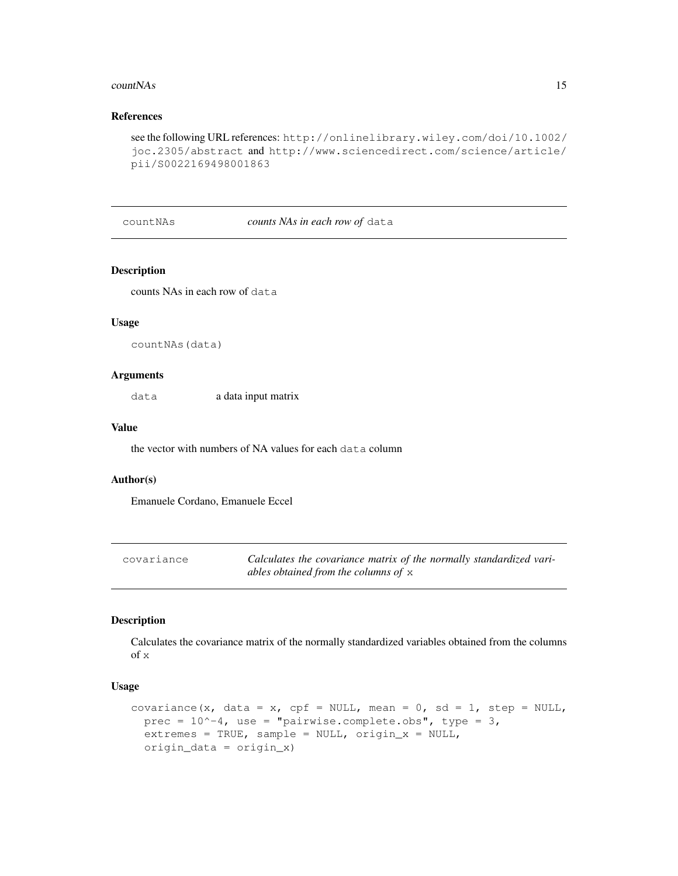#### $countNAs$  15

# References

```
see the following URL references: http://onlinelibrary.wiley.com/doi/10.1002/
joc.2305/abstract and http://www.sciencedirect.com/science/article/
pii/S0022169498001863
```
#### countNAs *counts NAs in each row of* data

## Description

counts NAs in each row of data

## Usage

countNAs(data)

#### Arguments

data a data input matrix

# Value

the vector with numbers of NA values for each data column

#### Author(s)

Emanuele Cordano, Emanuele Eccel

| covariance | Calculates the covariance matrix of the normally standardized vari- |
|------------|---------------------------------------------------------------------|
|            | ables obtained from the columns of $x$                              |

## Description

Calculates the covariance matrix of the normally standardized variables obtained from the columns of x

#### Usage

```
covariance(x, data = x, cpf = NULL, mean = 0, sd = 1, step = NULL,
 prec = 10^{\circ}-4, use = "pairwise.complete.obs", type = 3,
  extremes = TRUE, sample = NULL, origin_x = NULL,
  origin_data = origin_x)
```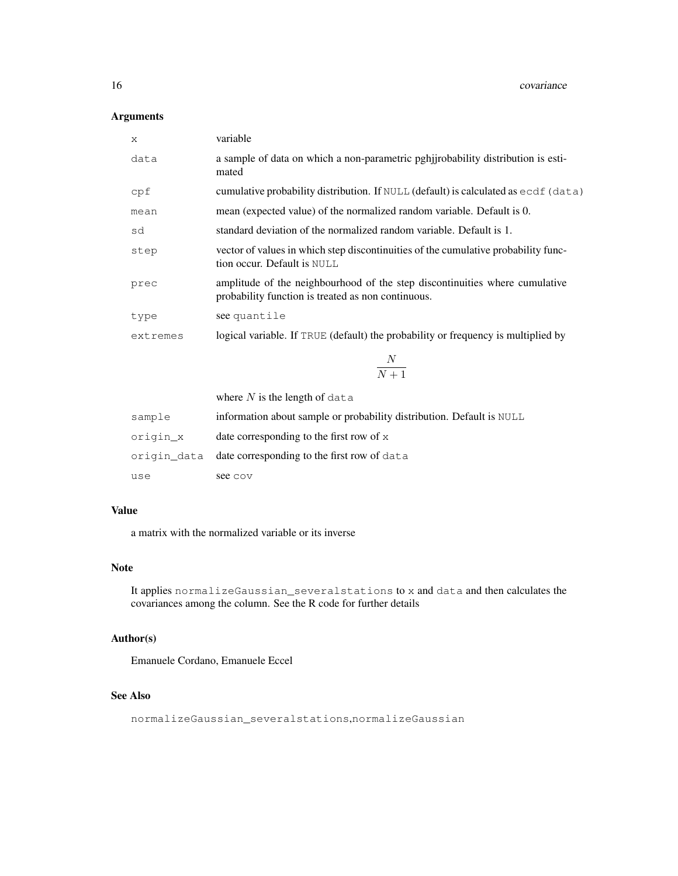## Arguments

| X        | variable                                                                                                                          |
|----------|-----------------------------------------------------------------------------------------------------------------------------------|
| data     | a sample of data on which a non-parametric perigneolability distribution is esti-<br>mated                                        |
| cpf      | cumulative probability distribution. If NULL (default) is calculated as ecd f (data)                                              |
| mean     | mean (expected value) of the normalized random variable. Default is 0.                                                            |
| sd       | standard deviation of the normalized random variable. Default is 1.                                                               |
| step     | vector of values in which step discontinuities of the cumulative probability func-<br>tion occur. Default is NULL                 |
| prec     | amplitude of the neighbourhood of the step discontinuities where cumulative<br>probability function is treated as non continuous. |
| type     | see quantile                                                                                                                      |
| extremes | logical variable. If TRUE (default) the probability or frequency is multiplied by                                                 |
|          |                                                                                                                                   |

N  $N+1$ 

|          | where $N$ is the length of data                                       |
|----------|-----------------------------------------------------------------------|
| sample   | information about sample or probability distribution. Default is NULL |
| origin x | date corresponding to the first row of $x$                            |
|          | origin_data date corresponding to the first row of data               |
| use      | see cov                                                               |

# Value

a matrix with the normalized variable or its inverse

# Note

It applies normalizeGaussian\_severalstations to x and data and then calculates the covariances among the column. See the R code for further details

# Author(s)

Emanuele Cordano, Emanuele Eccel

## See Also

normalizeGaussian\_severalstations,normalizeGaussian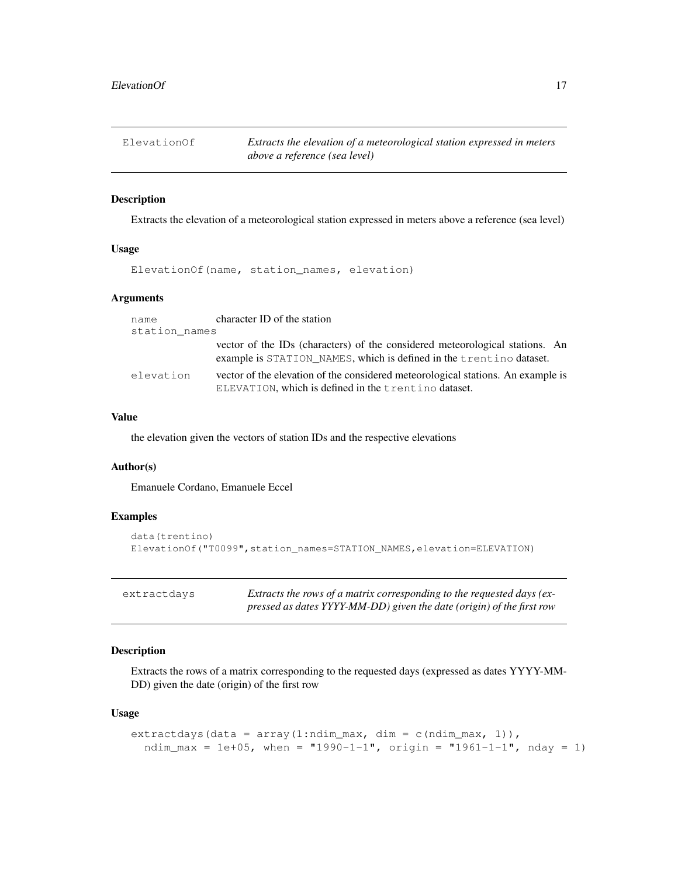ElevationOf *Extracts the elevation of a meteorological station expressed in meters above a reference (sea level)*

#### Description

Extracts the elevation of a meteorological station expressed in meters above a reference (sea level)

## Usage

ElevationOf(name, station\_names, elevation)

# Arguments

| name          | character ID of the station                                                                                                                         |
|---------------|-----------------------------------------------------------------------------------------------------------------------------------------------------|
| station names |                                                                                                                                                     |
|               | vector of the IDs (characters) of the considered meteorological stations. An<br>example is STATION NAMES, which is defined in the trentino dataset. |
| elevation     | vector of the elevation of the considered meteorological stations. An example is<br>ELEVATION, which is defined in the trentino dataset.            |

#### Value

the elevation given the vectors of station IDs and the respective elevations

#### Author(s)

Emanuele Cordano, Emanuele Eccel

## Examples

```
data(trentino)
ElevationOf("T0099",station_names=STATION_NAMES,elevation=ELEVATION)
```

| extractdavs |  |
|-------------|--|
|-------------|--|

Extracts the rows of a matrix corresponding to the requested days (ex*pressed as dates YYYY-MM-DD) given the date (origin) of the first row*

## Description

Extracts the rows of a matrix corresponding to the requested days (expressed as dates YYYY-MM-DD) given the date (origin) of the first row

#### Usage

```
extractdays(data = array(1:ndim_max, dim = c(ndim_max, 1)),
  ndim_max = 1e+05, when = "1990-1-1", origin = "1961-1-1", nday = 1)
```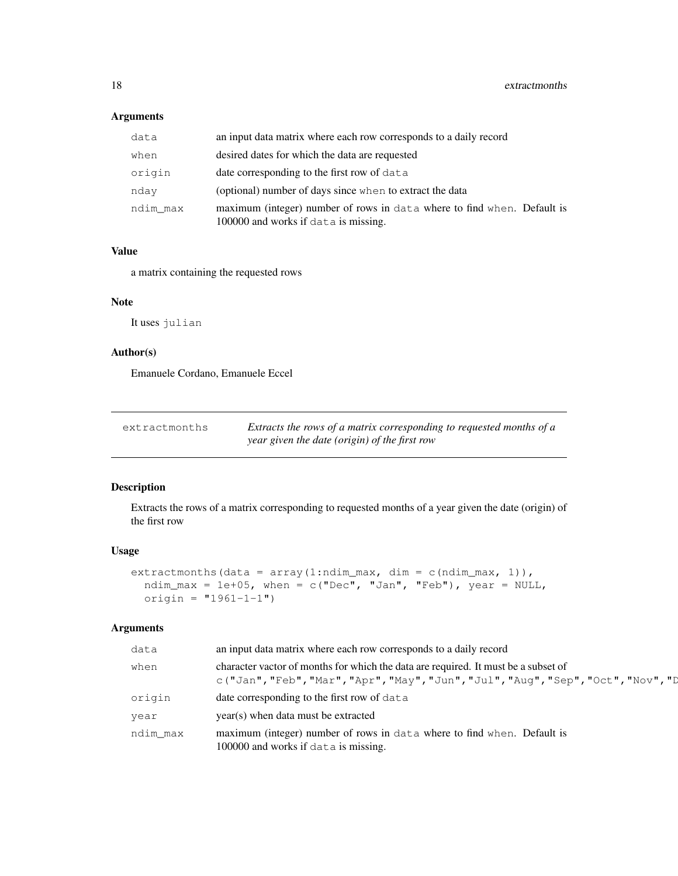## Arguments

| data     | an input data matrix where each row corresponds to a daily record                                               |  |
|----------|-----------------------------------------------------------------------------------------------------------------|--|
| when     | desired dates for which the data are requested                                                                  |  |
| origin   | date corresponding to the first row of data                                                                     |  |
| nday     | (optional) number of days since when to extract the data                                                        |  |
| ndim max | maximum (integer) number of rows in data where to find when. Default is<br>100000 and works if data is missing. |  |

#### Value

a matrix containing the requested rows

#### Note

It uses julian

# Author(s)

Emanuele Cordano, Emanuele Eccel

| extractmonths | Extracts the rows of a matrix corresponding to requested months of a |
|---------------|----------------------------------------------------------------------|
|               | year given the date (origin) of the first row                        |

# Description

Extracts the rows of a matrix corresponding to requested months of a year given the date (origin) of the first row

#### Usage

```
extractmonths(data = array(1:ndim_max, dim = c(ndim_max, 1)),
 ndim_max = 1e+05, when = c("Dec", "Jan", "Feb"), year = NULL,
 origin = "1961-1-1")
```
#### Arguments

| data     | an input data matrix where each row corresponds to a daily record                                                                                                       |
|----------|-------------------------------------------------------------------------------------------------------------------------------------------------------------------------|
| when     | character vactor of months for which the data are required. It must be a subset of<br>c("Jan", "Feb", "Mar", "Apr", "May", "Jun", "Jul", "Aug", "Sep", "Oct", "Nov", "D |
| origin   | date corresponding to the first row of data                                                                                                                             |
| year     | year(s) when data must be extracted                                                                                                                                     |
| ndim max | maximum (integer) number of rows in data where to find when. Default is<br>100000 and works if data is missing.                                                         |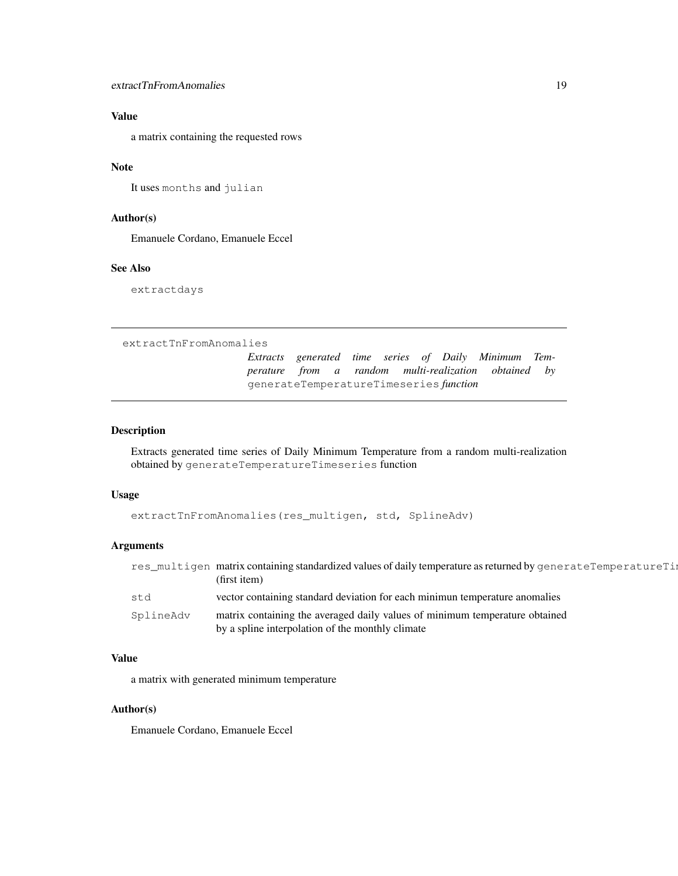# Value

a matrix containing the requested rows

# Note

It uses months and julian

## Author(s)

Emanuele Cordano, Emanuele Eccel

## See Also

extractdays

```
extractTnFromAnomalies
```
*Extracts generated time series of Daily Minimum Temperature from a random multi-realization obtained by* generateTemperatureTimeseries *function*

## Description

Extracts generated time series of Daily Minimum Temperature from a random multi-realization obtained by generateTemperatureTimeseries function

#### Usage

```
extractTnFromAnomalies(res_multigen, std, SplineAdv)
```
#### Arguments

|           | res_multigen_matrix containing standardized values of daily temperature as returned by generateTemperatureTip<br>(first item)   |
|-----------|---------------------------------------------------------------------------------------------------------------------------------|
| std       | vector containing standard deviation for each minimum temperature anomalies                                                     |
| SplineAdv | matrix containing the averaged daily values of minimum temperature obtained<br>by a spline interpolation of the monthly climate |

## Value

a matrix with generated minimum temperature

#### Author(s)

Emanuele Cordano, Emanuele Eccel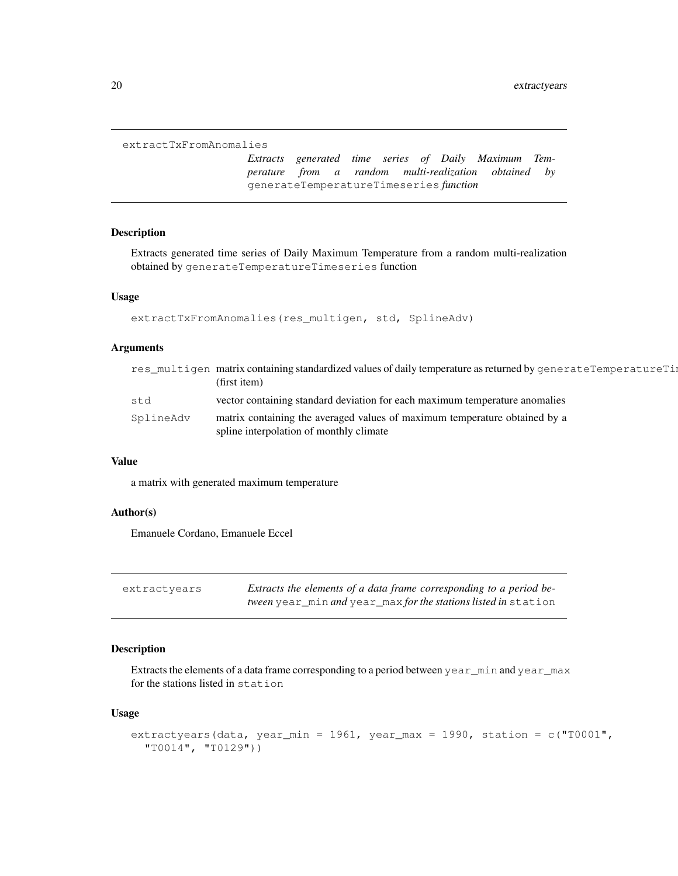```
extractTxFromAnomalies
```
*Extracts generated time series of Daily Maximum Temperature from a random multi-realization obtained by* generateTemperatureTimeseries *function*

#### Description

Extracts generated time series of Daily Maximum Temperature from a random multi-realization obtained by generateTemperatureTimeseries function

#### Usage

```
extractTxFromAnomalies(res_multigen, std, SplineAdv)
```
## Arguments

|           | res_multigen matrix containing standardized values of daily temperature as returned by generateTemperatureTim         |
|-----------|-----------------------------------------------------------------------------------------------------------------------|
|           | (first item)                                                                                                          |
| std       | vector containing standard deviation for each maximum temperature anomalies                                           |
| SplineAdv | matrix containing the averaged values of maximum temperature obtained by a<br>spline interpolation of monthly climate |

## Value

a matrix with generated maximum temperature

### Author(s)

Emanuele Cordano, Emanuele Eccel

| extractvears | Extracts the elements of a data frame corresponding to a period be- |
|--------------|---------------------------------------------------------------------|
|              | tween year_min and year_max for the stations listed in station      |

#### Description

Extracts the elements of a data frame corresponding to a period between year\_min and year\_max for the stations listed in station

## Usage

```
extractyears(data, year_min = 1961, year_max = 1990, station = c("T0001","T0014", "T0129"))
```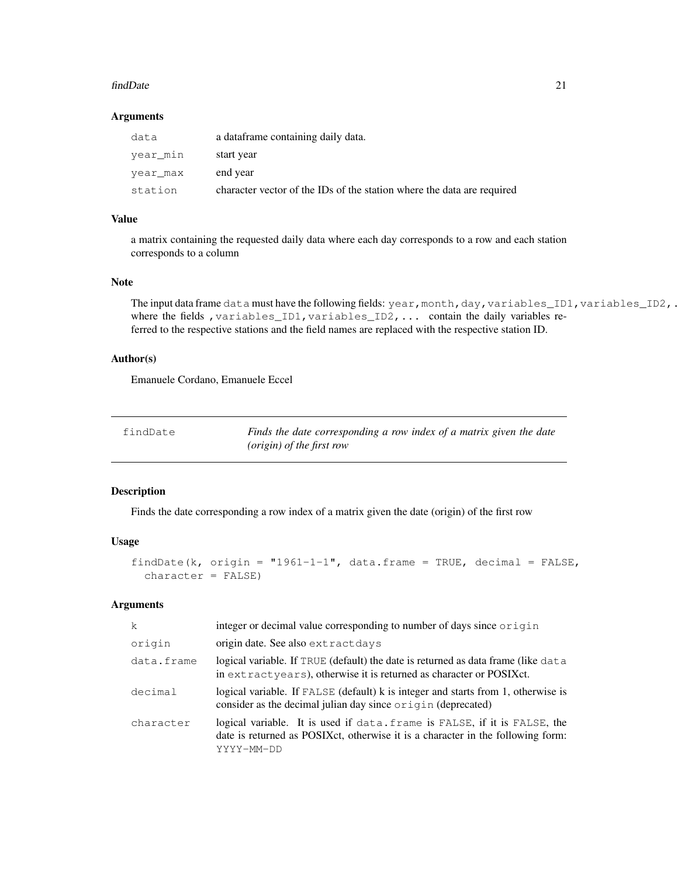#### findDate 21

#### Arguments

| data     | a dataframe containing daily data.                                     |
|----------|------------------------------------------------------------------------|
| year min | start year                                                             |
| year max | end year                                                               |
| station  | character vector of the IDs of the station where the data are required |

## Value

a matrix containing the requested daily data where each day corresponds to a row and each station corresponds to a column

#### Note

```
The input data frame data must have the following fields: year, month,day, variables_ID1, variables_ID2,.
where the fields , variables_ID1, variables_ID2, ... contain the daily variables re-
ferred to the respective stations and the field names are replaced with the respective station ID.
```
## Author(s)

Emanuele Cordano, Emanuele Eccel

| findDate | Finds the date corresponding a row index of a matrix given the date |
|----------|---------------------------------------------------------------------|
|          | ( <i>origin</i> ) of the first row                                  |

# Description

Finds the date corresponding a row index of a matrix given the date (origin) of the first row

## Usage

```
findDate(k, origin = "1961-1-1", data.frame = TRUE, decimal = FALSE,
  character = FALSE)
```
#### Arguments

| k          | integer or decimal value corresponding to number of days since origin                                                                                                      |
|------------|----------------------------------------------------------------------------------------------------------------------------------------------------------------------------|
| origin     | origin date. See also extractdays                                                                                                                                          |
| data.frame | logical variable. If TRUE (default) the date is returned as data frame (like data<br>in extractyears), otherwise it is returned as character or POSIXct.                   |
| decimal    | logical variable. If FALSE (default) k is integer and starts from 1, otherwise is<br>consider as the decimal julian day since origin (deprecated)                          |
| character  | logical variable. It is used if data. frame is FALSE, if it is FALSE, the<br>date is returned as POSIXct, otherwise it is a character in the following form:<br>YYYY-MM-DD |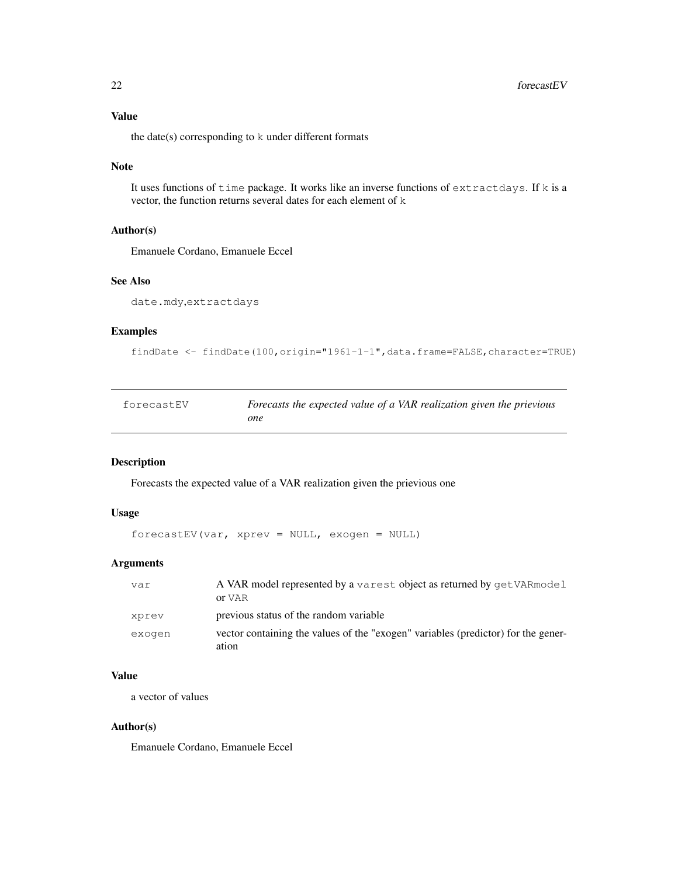# Value

the date(s) corresponding to k under different formats

#### Note

It uses functions of time package. It works like an inverse functions of extractdays. If k is a vector, the function returns several dates for each element of k

## Author(s)

Emanuele Cordano, Emanuele Eccel

## See Also

date.mdy,extractdays

## Examples

```
findDate <- findDate(100,origin="1961-1-1",data.frame=FALSE,character=TRUE)
```

| forecastEV | Forecasts the expected value of a VAR realization given the prievious |
|------------|-----------------------------------------------------------------------|
|            | one                                                                   |

# Description

Forecasts the expected value of a VAR realization given the prievious one

#### Usage

```
forecastEV(var, xprev = NULL, exogen = NULL)
```
#### Arguments

| var    | A VAR model represented by a varest object as returned by get VAR model<br>or VAR          |
|--------|--------------------------------------------------------------------------------------------|
| xprev  | previous status of the random variable                                                     |
| exogen | vector containing the values of the "exogen" variables (predictor) for the gener-<br>ation |

# Value

a vector of values

#### Author(s)

Emanuele Cordano, Emanuele Eccel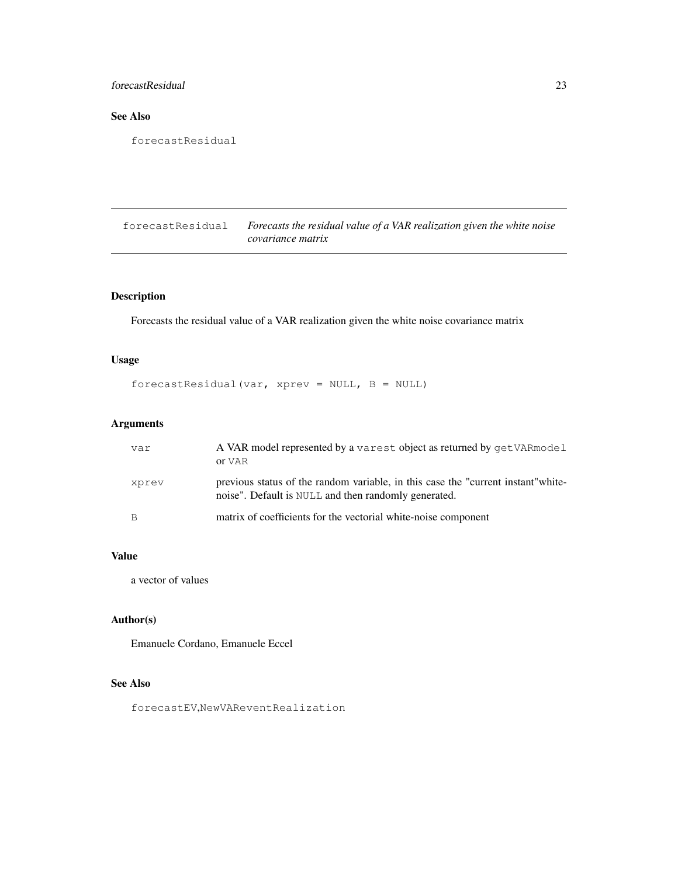# forecastResidual 23

# See Also

```
forecastResidual
```
forecastResidual *Forecasts the residual value of a VAR realization given the white noise covariance matrix*

# Description

Forecasts the residual value of a VAR realization given the white noise covariance matrix

# Usage

```
forecastResidual(var, xprev = NULL, B = NULL)
```
## Arguments

| var   | A VAR model represented by a varest object as returned by getVARmodel<br>or VAR                                                           |
|-------|-------------------------------------------------------------------------------------------------------------------------------------------|
| xprev | previous status of the random variable, in this case the "current instant" white-<br>noise". Default is NULL and then randomly generated. |
| B     | matrix of coefficients for the vectorial white-noise component                                                                            |

# Value

a vector of values

## Author(s)

Emanuele Cordano, Emanuele Eccel

# See Also

forecastEV,NewVAReventRealization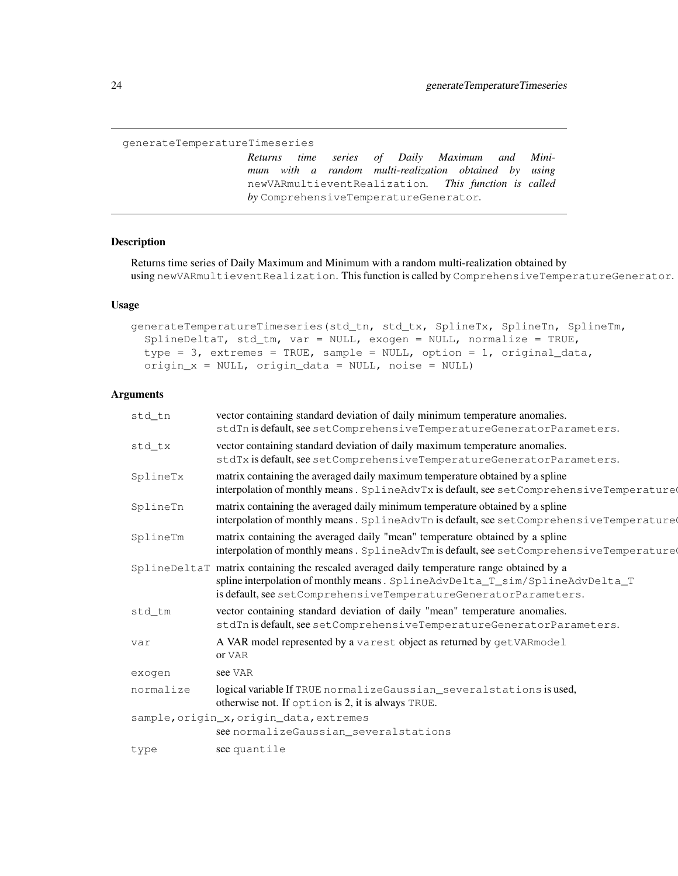generateTemperatureTimeseries

*Returns time series of Daily Maximum and Minimum with a random multi-realization obtained by using* newVARmultieventRealization*. This function is called by* ComprehensiveTemperatureGenerator*.*

## Description

Returns time series of Daily Maximum and Minimum with a random multi-realization obtained by using newVARmultieventRealization. This function is called by ComprehensiveTemperatureGenerator.

#### Usage

```
generateTemperatureTimeseries(std_tn, std_tx, SplineTx, SplineTn, SplineTm,
  SplineDeltaT, std_tm, var = NULL, exogen = NULL, normalize = TRUE,
  type = 3, extremes = TRUE, sample = NULL, option = 1, original_data,
  origin_x = NULL, origin_data = NULL, noise = NULL)
```
## Arguments

| std_tn    | vector containing standard deviation of daily minimum temperature anomalies.<br>stdTn is default, see setComprehensiveTemperatureGeneratorParameters.                                                                                         |
|-----------|-----------------------------------------------------------------------------------------------------------------------------------------------------------------------------------------------------------------------------------------------|
| std_tx    | vector containing standard deviation of daily maximum temperature anomalies.<br>stdTx is default, see setComprehensiveTemperatureGeneratorParameters.                                                                                         |
| SplineTx  | matrix containing the averaged daily maximum temperature obtained by a spline<br>interpolation of monthly means. SplineAdvTx is default, see setComprehensiveTemperature                                                                      |
| SplineTn  | matrix containing the averaged daily minimum temperature obtained by a spline<br>interpolation of monthly means. SplineAdvTn is default, see setComprehensiveTemperature                                                                      |
| SplineTm  | matrix containing the averaged daily "mean" temperature obtained by a spline<br>interpolation of monthly means. SplineAdvTm is default, see setComprehensiveTemperature                                                                       |
|           | SplineDeltaT matrix containing the rescaled averaged daily temperature range obtained by a<br>spline interpolation of monthly means. SplineAdvDelta_T_sim/SplineAdvDelta_T<br>is default, see setComprehensiveTemperatureGeneratorParameters. |
| std tm    | vector containing standard deviation of daily "mean" temperature anomalies.<br>stdTn is default, see setComprehensiveTemperatureGeneratorParameters.                                                                                          |
| var       | A VAR model represented by a varest object as returned by getVARmodel<br>or VAR                                                                                                                                                               |
| exogen    | see VAR                                                                                                                                                                                                                                       |
| normalize | logical variable If TRUE normalizeGaussian_severalstations is used,<br>otherwise not. If option is 2, it is always TRUE.                                                                                                                      |
|           | sample, origin_x, origin_data, extremes                                                                                                                                                                                                       |
|           | see normalizeGaussian_severalstations                                                                                                                                                                                                         |
| type      | see quantile                                                                                                                                                                                                                                  |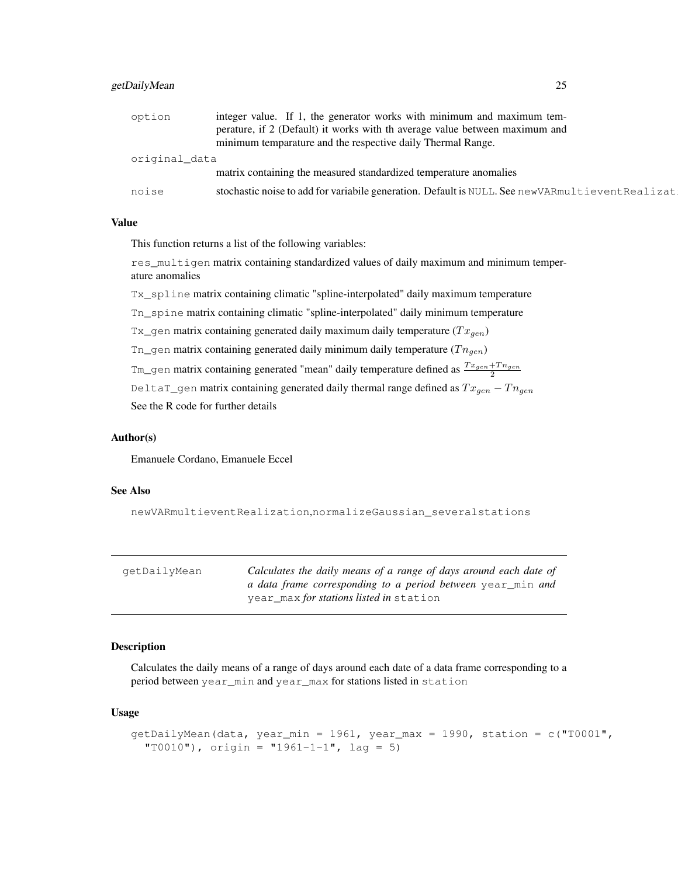## getDailyMean 25

| option        | integer value. If 1, the generator works with minimum and maximum tem-                            |  |
|---------------|---------------------------------------------------------------------------------------------------|--|
|               | perature, if 2 (Default) it works with the average value between maximum and                      |  |
|               | minimum temparature and the respective daily Thermal Range.                                       |  |
| original_data |                                                                                                   |  |
|               | matrix containing the measured standardized temperature anomalies                                 |  |
| noise         | stochastic noise to add for variabile generation. Default is NULL. See new VARmultievent Realizat |  |

# Value

This function returns a list of the following variables:

res\_multigen matrix containing standardized values of daily maximum and minimum temperature anomalies

Tx\_spline matrix containing climatic "spline-interpolated" daily maximum temperature

Tn\_spine matrix containing climatic "spline-interpolated" daily minimum temperature

```
Tx_gen matrix containing generated daily maximum daily temperature (Tx_{gen})
```
Tn\_gen matrix containing generated daily minimum daily temperature  $(Tn_{gen})$ 

Tm\_gen matrix containing generated "mean" daily temperature defined as  $\frac{Tx_{gen} + T n_{gen}}{2}$ 

DeltaT\_gen matrix containing generated daily thermal range defined as  $Tx_{gen} - T n_{gen}$ See the R code for further details

#### Author(s)

Emanuele Cordano, Emanuele Eccel

#### See Also

newVARmultieventRealization,normalizeGaussian\_severalstations

| qetDailyMean | Calculates the daily means of a range of days around each date of |
|--------------|-------------------------------------------------------------------|
|              | a data frame corresponding to a period between year min and       |
|              | year_max <i>for stations listed in</i> station                    |

#### Description

Calculates the daily means of a range of days around each date of a data frame corresponding to a period between year\_min and year\_max for stations listed in station

#### Usage

```
getDailyMean(data, year_min = 1961, year_max = 1990, station = c("T0001",
  "T0010"), origin = "1961-1-1", lag = 5)
```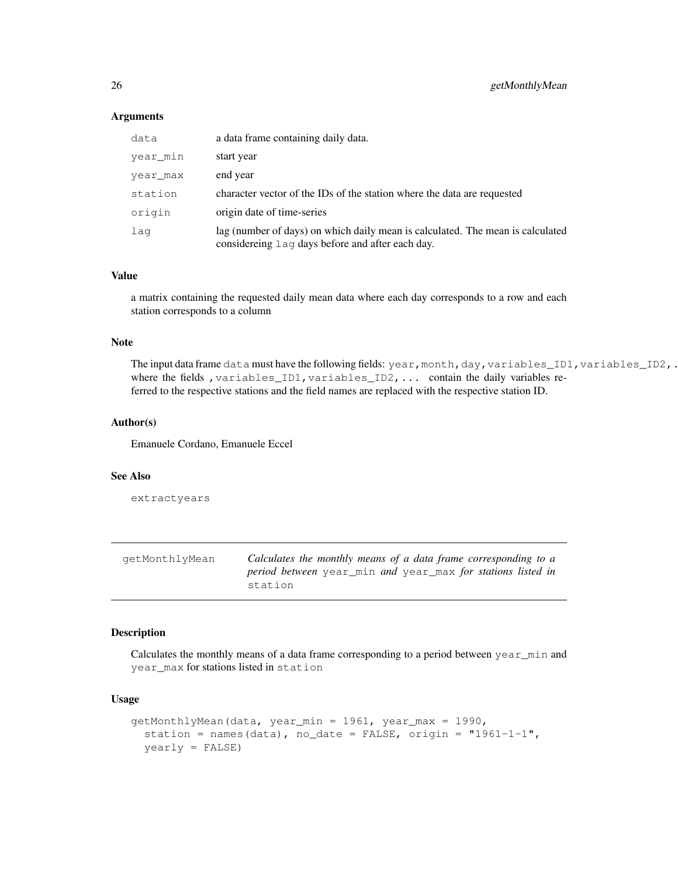#### **Arguments**

| data     | a data frame containing daily data.                                                                                                |
|----------|------------------------------------------------------------------------------------------------------------------------------------|
| year min | start year                                                                                                                         |
| year max | end year                                                                                                                           |
| station  | character vector of the IDs of the station where the data are requested                                                            |
| origin   | origin date of time-series                                                                                                         |
| lag      | lag (number of days) on which daily mean is calculated. The mean is calculated<br>considereing lag days before and after each day. |

#### Value

a matrix containing the requested daily mean data where each day corresponds to a row and each station corresponds to a column

#### Note

The input data frame data must have the following fields: year, month,day, variables\_ID1, variables\_ID2,. where the fields , variables\_ID1, variables\_ID2, ... contain the daily variables referred to the respective stations and the field names are replaced with the respective station ID.

#### Author(s)

Emanuele Cordano, Emanuele Eccel

#### See Also

extractyears

| qetMonthlyMean | Calculates the monthly means of a data frame corresponding to a    |
|----------------|--------------------------------------------------------------------|
|                | <i>period between</i> year min and year max for stations listed in |
|                | station                                                            |

## Description

Calculates the monthly means of a data frame corresponding to a period between year\_min and year\_max for stations listed in station

# Usage

```
getMonthlyMean(data, year_min = 1961, year_max = 1990,
  station = names(data), no_date = FALSE, origin = "1961-1-1",
  yearly = FALSE)
```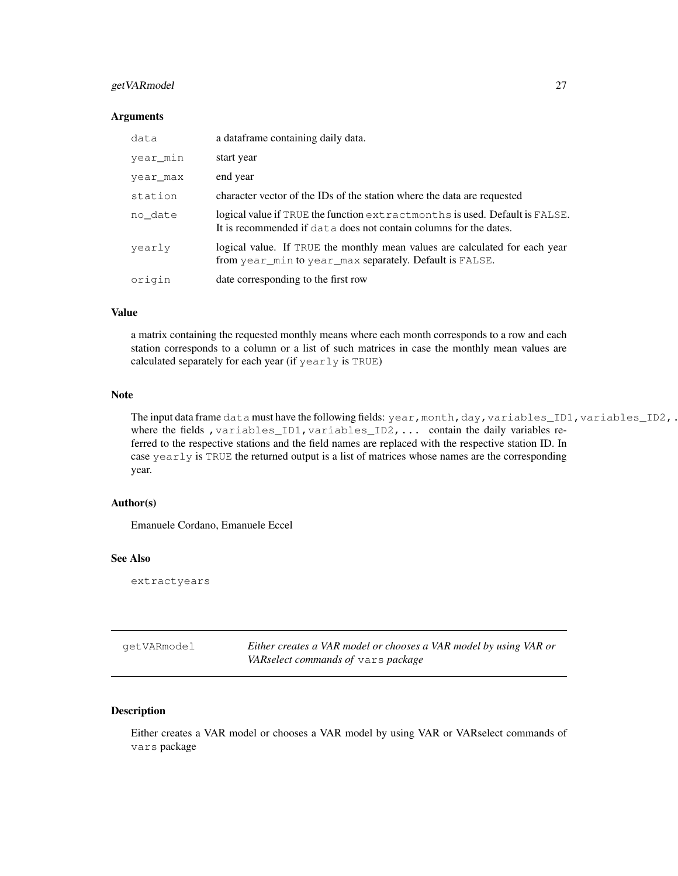# getVARmodel 27

#### **Arguments**

| data     | a dataframe containing daily data.                                                                                                               |
|----------|--------------------------------------------------------------------------------------------------------------------------------------------------|
| year min | start year                                                                                                                                       |
| year max | end year                                                                                                                                         |
| station  | character vector of the IDs of the station where the data are requested                                                                          |
| no date  | logical value if TRUE the function extractmonths is used. Default is FALSE.<br>It is recommended if data does not contain columns for the dates. |
| yearly   | logical value. If TRUE the monthly mean values are calculated for each year<br>from year_min to year_max separately. Default is FALSE.           |
| origin   | date corresponding to the first row                                                                                                              |

## Value

a matrix containing the requested monthly means where each month corresponds to a row and each station corresponds to a column or a list of such matrices in case the monthly mean values are calculated separately for each year (if yearly is TRUE)

## Note

The input data frame data must have the following fields: year, month,day, variables\_ID1, variables\_ID2,. where the fields, variables\_ID1, variables\_ID2, ... contain the daily variables referred to the respective stations and the field names are replaced with the respective station ID. In case yearly is TRUE the returned output is a list of matrices whose names are the corresponding year.

#### Author(s)

Emanuele Cordano, Emanuele Eccel

## See Also

extractyears

getVARmodel *Either creates a VAR model or chooses a VAR model by using VAR or VARselect commands of* vars *package*

# Description

Either creates a VAR model or chooses a VAR model by using VAR or VARselect commands of vars package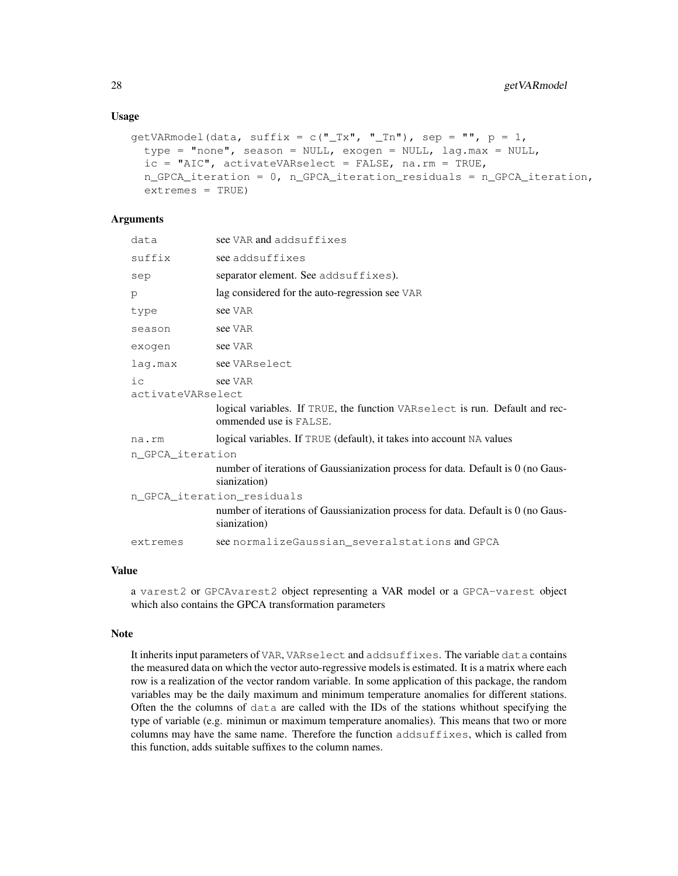```
qetVARmodel(data, suffix = c("Tx", "Tn"), sep = "", p = 1,type = "none", season = NULL, exogen = NULL, lag.max = NULL,
  ic = "AIC", activateVARselect = FALSE, na.rm = TRUE,
  n_GPCA_iteration = 0, n_GPCA_iteration_residuals = n_GPCA_iteration,
  extremes = TRUE)
```
# Arguments

| data                       | see VAR and addsuffixes                                                                               |  |
|----------------------------|-------------------------------------------------------------------------------------------------------|--|
| suffix                     | see addsuffixes                                                                                       |  |
| sep                        | separator element. See addsuffixes).                                                                  |  |
| p                          | lag considered for the auto-regression see VAR                                                        |  |
| type                       | see VAR                                                                                               |  |
| season                     | see VAR                                                                                               |  |
| exogen                     | see VAR                                                                                               |  |
| lag.max                    | see VARselect                                                                                         |  |
| iс<br>activateVARselect    | see VAR                                                                                               |  |
|                            | logical variables. If TRUE, the function VARselect is run. Default and rec-<br>ommended use is FALSE. |  |
| na.rm                      | logical variables. If TRUE (default), it takes into account NA values                                 |  |
| n GPCA iteration           |                                                                                                       |  |
|                            | number of iterations of Gaussianization process for data. Default is 0 (no Gaus-<br>sianization)      |  |
| n_GPCA_iteration_residuals |                                                                                                       |  |
|                            | number of iterations of Gaussianization process for data. Default is 0 (no Gaus-<br>sianization)      |  |
| extremes                   | see normalize Gaussian several stations and GPCA                                                      |  |
|                            |                                                                                                       |  |

## Value

a varest2 or GPCAvarest2 object representing a VAR model or a GPCA-varest object which also contains the GPCA transformation parameters

#### Note

It inherits input parameters of VAR, VARselect and addsuffixes. The variable data contains the measured data on which the vector auto-regressive models is estimated. It is a matrix where each row is a realization of the vector random variable. In some application of this package, the random variables may be the daily maximum and minimum temperature anomalies for different stations. Often the the columns of data are called with the IDs of the stations whithout specifying the type of variable (e.g. minimun or maximum temperature anomalies). This means that two or more columns may have the same name. Therefore the function addsuffixes, which is called from this function, adds suitable suffixes to the column names.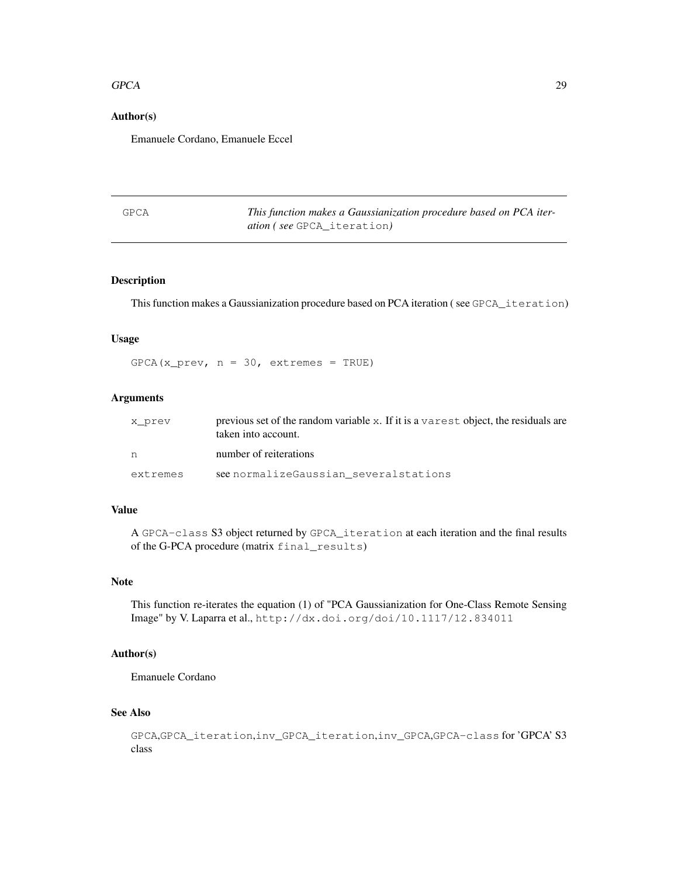#### $GPCA$  29

#### Author(s)

Emanuele Cordano, Emanuele Eccel

| GPCA | This function makes a Gaussianization procedure based on PCA iter- |
|------|--------------------------------------------------------------------|
|      | <i>ation (see</i> GPCA iteration)                                  |

# Description

This function makes a Gaussianization procedure based on PCA iteration ( see GPCA\_iteration)

#### Usage

 $GPCA(x_prev, n = 30, extremes = TRUE)$ 

## Arguments

| x prev   | previous set of the random variable x. If it is a varest object, the residuals are<br>taken into account. |
|----------|-----------------------------------------------------------------------------------------------------------|
|          | number of reiterations                                                                                    |
| extremes | see normalize Gaussian several stations                                                                   |

## Value

A GPCA-class S3 object returned by GPCA\_iteration at each iteration and the final results of the G-PCA procedure (matrix final\_results)

## Note

This function re-iterates the equation (1) of "PCA Gaussianization for One-Class Remote Sensing Image" by V. Laparra et al., http://dx.doi.org/doi/10.1117/12.834011

## Author(s)

Emanuele Cordano

## See Also

```
GPCA,GPCA_iteration,inv_GPCA_iteration,inv_GPCA,GPCA-class for 'GPCA' S3
class
```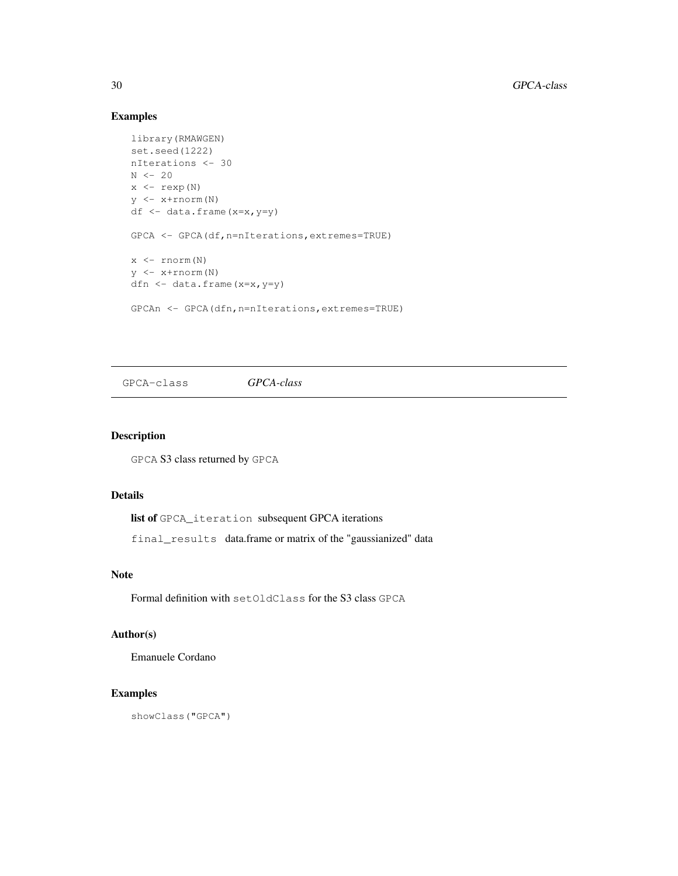# Examples

```
library(RMAWGEN)
set.seed(1222)
nIterations <- 30
N \leftarrow 20x \leftarrow \text{resp}(N)y <- x+rnorm(N)
df <- data.frame(x=x,y=y)
GPCA <- GPCA(df,n=nIterations,extremes=TRUE)
x \leftarrow \text{rnorm}(N)y <- x+rnorm(N)
dfn <- data.frame(x=x,y=y)
GPCAn <- GPCA(dfn,n=nIterations,extremes=TRUE)
```
GPCA-class *GPCA-class*

## Description

GPCA S3 class returned by GPCA

# Details

list of GPCA\_iteration subsequent GPCA iterations

final\_results data.frame or matrix of the "gaussianized" data

#### Note

Formal definition with setOldClass for the S3 class GPCA

## Author(s)

Emanuele Cordano

# Examples

showClass("GPCA")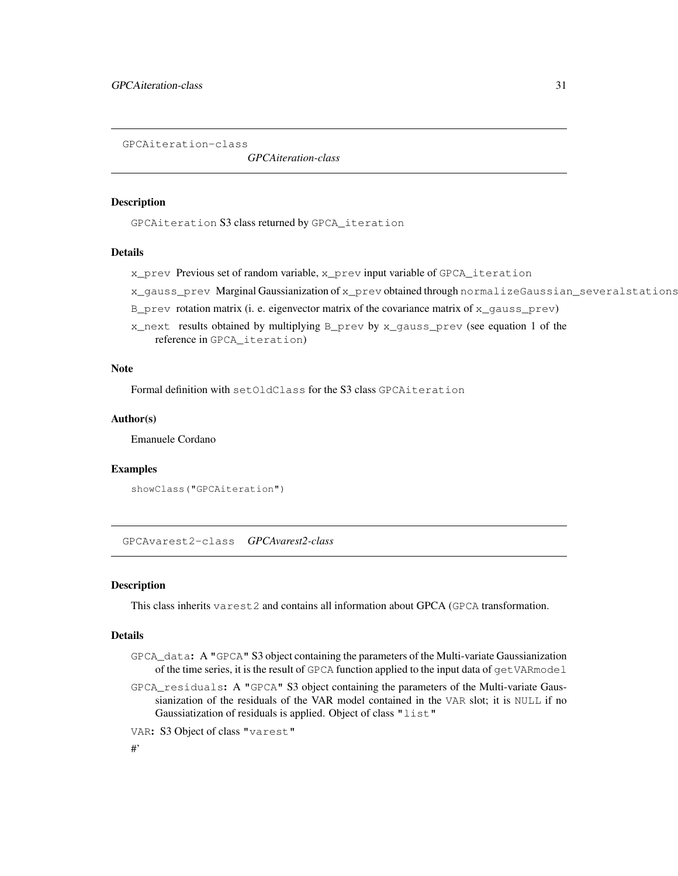GPCAiteration-class

*GPCAiteration-class*

#### Description

GPCAiteration S3 class returned by GPCA\_iteration

#### Details

x\_prev Previous set of random variable, x\_prev input variable of GPCA\_iteration

x\_gauss\_prev Marginal Gaussianization of x\_prev obtained through normalizeGaussian\_severalstations

 $B$  prev rotation matrix (i. e. eigenvector matrix of the covariance matrix of  $x$  gauss prev)

 $x$  next results obtained by multiplying  $B$  prev by  $x$  gauss prev (see equation 1 of the reference in GPCA\_iteration)

#### Note

Formal definition with setOldClass for the S3 class GPCAiteration

## Author(s)

Emanuele Cordano

#### Examples

```
showClass("GPCAiteration")
```
GPCAvarest2-class *GPCAvarest2-class*

#### **Description**

This class inherits varest2 and contains all information about GPCA (GPCA transformation.

## Details

- GPCA\_data: A "GPCA" S3 object containing the parameters of the Multi-variate Gaussianization of the time series, it is the result of GPCA function applied to the input data of getVARmodel
- GPCA\_residuals: A "GPCA" S3 object containing the parameters of the Multi-variate Gaussianization of the residuals of the VAR model contained in the VAR slot; it is NULL if no Gaussiatization of residuals is applied. Object of class "list"

VAR: S3 Object of class "varest"

## #'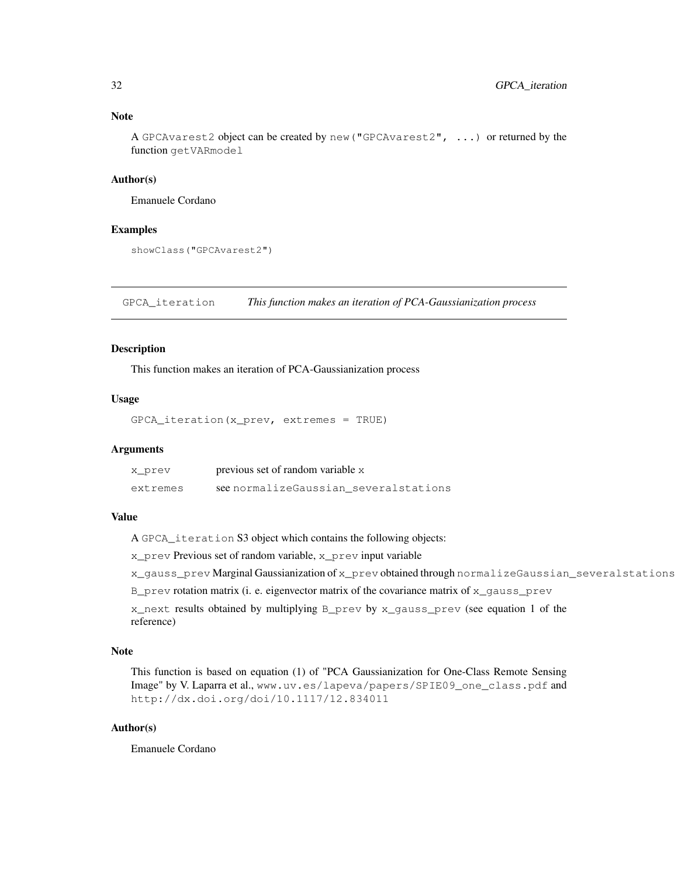## Note

A GPCAvarest2 object can be created by new("GPCAvarest2", ...) or returned by the function getVARmodel

#### Author(s)

Emanuele Cordano

#### Examples

showClass("GPCAvarest2")

GPCA\_iteration *This function makes an iteration of PCA-Gaussianization process*

#### Description

This function makes an iteration of PCA-Gaussianization process

#### Usage

GPCA\_iteration(x\_prev, extremes = TRUE)

#### Arguments

| x prev   | previous set of random variable x       |
|----------|-----------------------------------------|
| extremes | see normalize Gaussian several stations |

## Value

A GPCA\_iteration S3 object which contains the following objects:

x\_prev Previous set of random variable, x\_prev input variable

x\_qauss\_prev Marginal Gaussianization of x\_prev obtained through normalizeGaussian\_severalstations

B\_prev rotation matrix (i. e. eigenvector matrix of the covariance matrix of x\_gauss\_prev

x\_next results obtained by multiplying B\_prev by x\_gauss\_prev (see equation 1 of the reference)

## Note

This function is based on equation (1) of "PCA Gaussianization for One-Class Remote Sensing Image" by V. Laparra et al., www.uv.es/lapeva/papers/SPIE09\_one\_class.pdf and http://dx.doi.org/doi/10.1117/12.834011

#### Author(s)

Emanuele Cordano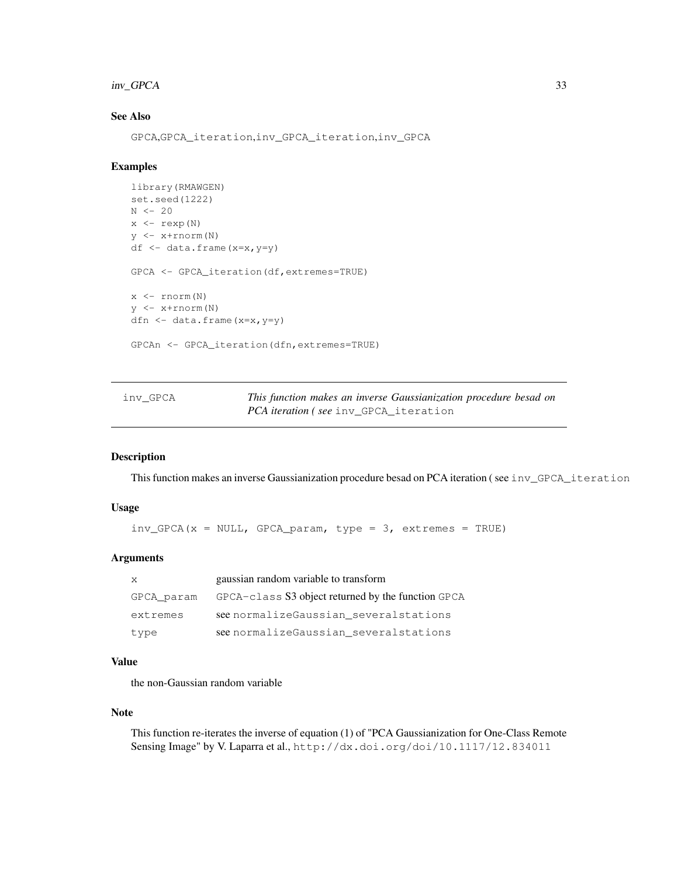## inv\_GPCA 33

# See Also

GPCA,GPCA\_iteration,inv\_GPCA\_iteration,inv\_GPCA

#### Examples

```
library(RMAWGEN)
set.seed(1222)
N < -20x \leftarrow \text{rev}(N)y <- x+rnorm(N)
df \leftarrow data.frame(x=x, y=y)
GPCA <- GPCA_iteration(df,extremes=TRUE)
x <- rnorm(N)
y <- x+rnorm(N)
dfn <- data.frame(x=x,y=y)
GPCAn <- GPCA_iteration(dfn,extremes=TRUE)
```
inv\_GPCA *This function makes an inverse Gaussianization procedure besad on PCA iteration ( see* inv\_GPCA\_iteration

#### Description

This function makes an inverse Gaussianization procedure besad on PCA iteration (see inv\_GPCA\_iteration

#### Usage

```
inv_GPCA(x = NULL, GPCA\_param, type = 3, extremes = TRUE)
```
#### Arguments

| X          | gaussian random variable to transform              |
|------------|----------------------------------------------------|
| GPCA param | GPCA-class S3 object returned by the function GPCA |
| extremes   | see normalize Gaussian several stations            |
| type       | see normalize Gaussian several stations            |

#### Value

the non-Gaussian random variable

#### Note

This function re-iterates the inverse of equation (1) of "PCA Gaussianization for One-Class Remote Sensing Image" by V. Laparra et al., http://dx.doi.org/doi/10.1117/12.834011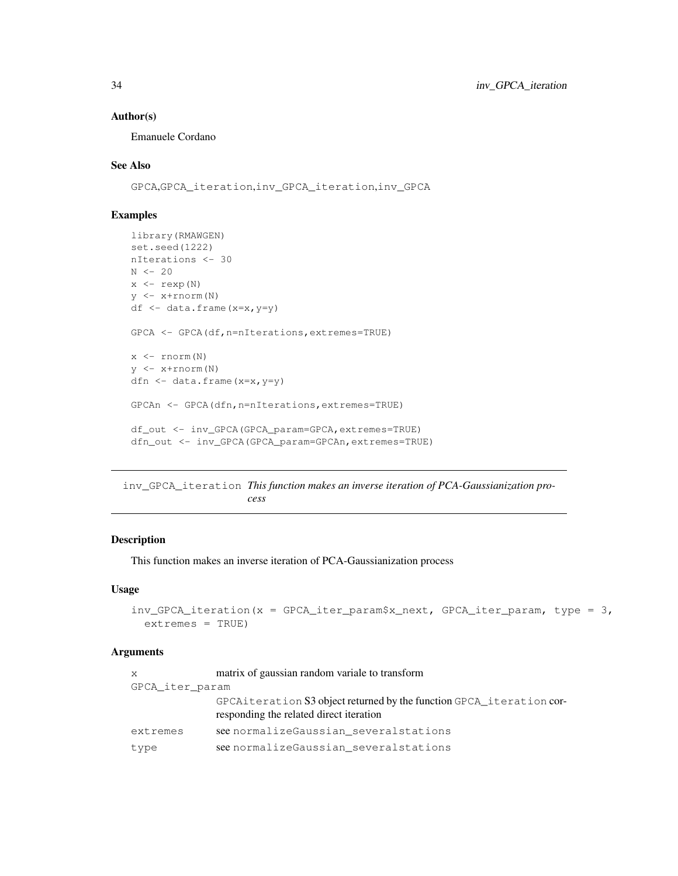#### Author(s)

Emanuele Cordano

# See Also

GPCA,GPCA\_iteration,inv\_GPCA\_iteration,inv\_GPCA

## Examples

```
library(RMAWGEN)
set.seed(1222)
nIterations <- 30
N \leftarrow 20x \leftarrow \text{resp}(N)y <- x+rnorm(N)
df <- data.frame(x=x,y=y)
GPCA <- GPCA(df,n=nIterations,extremes=TRUE)
x \leftarrow \text{rnorm}(N)y <- x+rnorm(N)
dfn <- data.frame(x=x,y=y)
GPCAn <- GPCA(dfn,n=nIterations,extremes=TRUE)
df_out <- inv_GPCA(GPCA_param=GPCA,extremes=TRUE)
dfn_out <- inv_GPCA(GPCA_param=GPCAn,extremes=TRUE)
```
inv\_GPCA\_iteration *This function makes an inverse iteration of PCA-Gaussianization process*

## Description

This function makes an inverse iteration of PCA-Gaussianization process

# Usage

```
inv_GPCA_iteration(x = GPCA_iter_param$x_next, GPCA_iter_param, type = 3,
  extremes = TRUE)
```
## Arguments

| X               | matrix of gaussian random variale to transform                                                                  |  |
|-----------------|-----------------------------------------------------------------------------------------------------------------|--|
| GPCA iter param |                                                                                                                 |  |
|                 | GPCAiteration S3 object returned by the function GPCA_iteration cor-<br>responding the related direct iteration |  |
| extremes        | see normalize Gaussian several stations                                                                         |  |
| type            | see normalizeGaussian_severalstations                                                                           |  |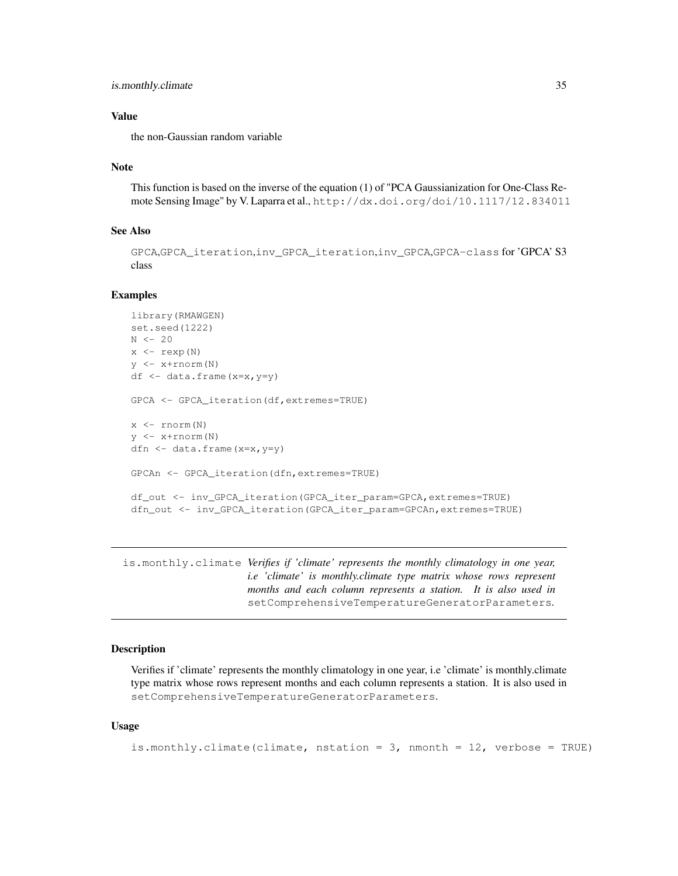```
is.monthly.climate 35
```
## Value

the non-Gaussian random variable

#### Note

This function is based on the inverse of the equation (1) of "PCA Gaussianization for One-Class Remote Sensing Image" by V. Laparra et al., http://dx.doi.org/doi/10.1117/12.834011

# See Also

```
GPCA,GPCA_iteration,inv_GPCA_iteration,inv_GPCA,GPCA-class for 'GPCA' S3
class
```
#### Examples

```
library(RMAWGEN)
set.seed(1222)
N < -20x \leftarrow \text{rexp}(N)y \leftarrow x + \text{rnorm}(N)df \leftarrow data.frame(x=x, y=y)
GPCA <- GPCA_iteration(df,extremes=TRUE)
x \leftarrow \text{rnorm}(N)y <- x+rnorm(N)
dfn <- data.frame(x=x,y=y)
GPCAn <- GPCA_iteration(dfn,extremes=TRUE)
df_out <- inv_GPCA_iteration(GPCA_iter_param=GPCA,extremes=TRUE)
dfn_out <- inv_GPCA_iteration(GPCA_iter_param=GPCAn,extremes=TRUE)
```
is.monthly.climate *Verifies if 'climate' represents the monthly climatology in one year, i.e 'climate' is monthly.climate type matrix whose rows represent months and each column represents a station. It is also used in* setComprehensiveTemperatureGeneratorParameters*.*

## Description

Verifies if 'climate' represents the monthly climatology in one year, i.e 'climate' is monthly.climate type matrix whose rows represent months and each column represents a station. It is also used in setComprehensiveTemperatureGeneratorParameters.

#### Usage

```
is.monthly.climate(climate, nstation = 3, nmonth = 12, verbose = TRUE)
```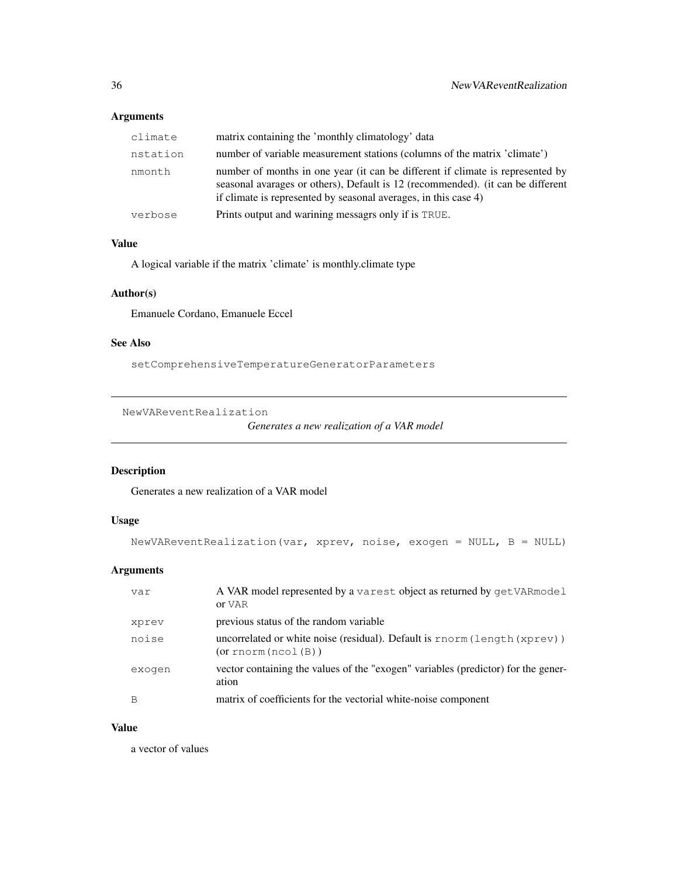# Arguments

| climate  | matrix containing the 'monthly climatology' data                                                                                                                                                                                     |
|----------|--------------------------------------------------------------------------------------------------------------------------------------------------------------------------------------------------------------------------------------|
| nstation | number of variable measurement stations (columns of the matrix 'climate')                                                                                                                                                            |
| nmonth   | number of months in one year (it can be different if climate is represented by<br>seasonal avarages or others), Default is 12 (recommended). (it can be different<br>if climate is represented by seasonal averages, in this case 4) |
| verbose  | Prints output and warining messagrs only if is TRUE.                                                                                                                                                                                 |

# Value

A logical variable if the matrix 'climate' is monthly.climate type

# Author(s)

Emanuele Cordano, Emanuele Eccel

# See Also

setComprehensiveTemperatureGeneratorParameters

NewVAReventRealization

*Generates a new realization of a VAR model*

# Description

Generates a new realization of a VAR model

# Usage

```
NewVAReventRealization(var, xprev, noise, exogen = NULL, B = NULL)
```
# Arguments

| var    | A VAR model represented by a varest object as returned by get VAR model<br>or VAR               |
|--------|-------------------------------------------------------------------------------------------------|
| xprev  | previous status of the random variable                                                          |
| noise  | uncorrelated or white noise (residual). Default is $rnorm(length(xprev))$<br>(or rnorm(ncol(B)) |
| exogen | vector containing the values of the "exogen" variables (predictor) for the gener-<br>ation      |
| B      | matrix of coefficients for the vectorial white-noise component                                  |

#### Value

a vector of values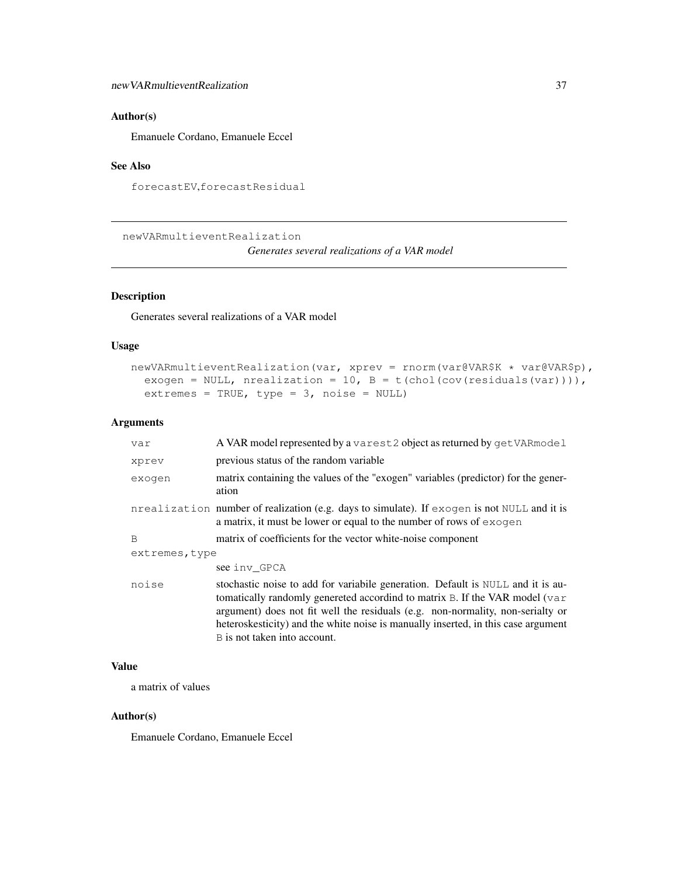## Author(s)

Emanuele Cordano, Emanuele Eccel

## See Also

forecastEV,forecastResidual

newVARmultieventRealization

*Generates several realizations of a VAR model*

## Description

Generates several realizations of a VAR model

## Usage

```
newVARmultieventRealization(var, xprev = rnorm(var@VAR$K * var@VAR$p),
  exogen = NULL, nrealization = 10, B = t(chol(cov(residuals(var)))),
  extremes = TRUE, type = 3, noise = NULL)
```
#### Arguments

| var            | A VAR model represented by a varest 2 object as returned by get VAR model                                                                                                                                                                                                                                                                                             |
|----------------|-----------------------------------------------------------------------------------------------------------------------------------------------------------------------------------------------------------------------------------------------------------------------------------------------------------------------------------------------------------------------|
| xprev          | previous status of the random variable                                                                                                                                                                                                                                                                                                                                |
| exogen         | matrix containing the values of the "exogen" variables (predictor) for the gener-<br>ation                                                                                                                                                                                                                                                                            |
|                | nrealization number of realization (e.g. days to simulate). If exogen is not NULL and it is<br>a matrix, it must be lower or equal to the number of rows of exogen                                                                                                                                                                                                    |
| B              | matrix of coefficients for the vector white-noise component                                                                                                                                                                                                                                                                                                           |
| extremes, type |                                                                                                                                                                                                                                                                                                                                                                       |
|                | see inv GPCA                                                                                                                                                                                                                                                                                                                                                          |
| noise          | stochastic noise to add for variabile generation. Default is NULL and it is au-<br>tomatically randomly genereted accordind to matrix B. If the VAR model (var<br>argument) does not fit well the residuals (e.g. non-normality, non-serialty or<br>heteroskesticity) and the white noise is manually inserted, in this case argument<br>B is not taken into account. |

## Value

a matrix of values

#### Author(s)

Emanuele Cordano, Emanuele Eccel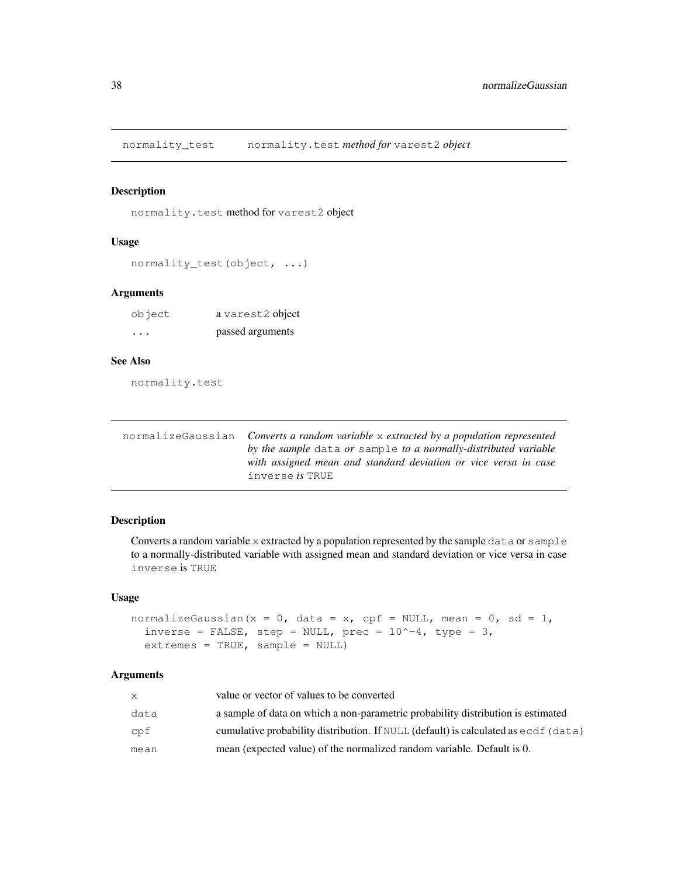normality\_test normality.test *method for* varest2 *object*

## Description

normality.test method for varest2 object

#### Usage

```
normality_test(object, ...)
```
## Arguments

| object   | a varest2 object |
|----------|------------------|
| $\cdots$ | passed arguments |

# See Also

normality.test

| normalizeGaussian Converts a random variable x extracted by a population represented |
|--------------------------------------------------------------------------------------|
| by the sample data or sample to a normally-distributed variable                      |
| with assigned mean and standard deviation or vice versa in case                      |
| inverse <i>is</i> TRUE                                                               |

# Description

Converts a random variable x extracted by a population represented by the sample data or sample to a normally-distributed variable with assigned mean and standard deviation or vice versa in case inverse is TRUE

#### Usage

```
normalizeGaussian(x = 0, data = x, cpf = NULL, mean = 0, sd = 1,
  inverse = FALSE, step = NULL, prec = 10^{\circ}-4, type = 3,
  extremes = TRUE, sample = NULL)
```
## Arguments

| X.   | value or vector of values to be converted                                                            |
|------|------------------------------------------------------------------------------------------------------|
| data | a sample of data on which a non-parametric probability distribution is estimated                     |
| cpf  | cumulative probability distribution. If $\text{NULL}$ (default) is calculated as $\text{ecd}$ (data) |
| mean | mean (expected value) of the normalized random variable. Default is 0.                               |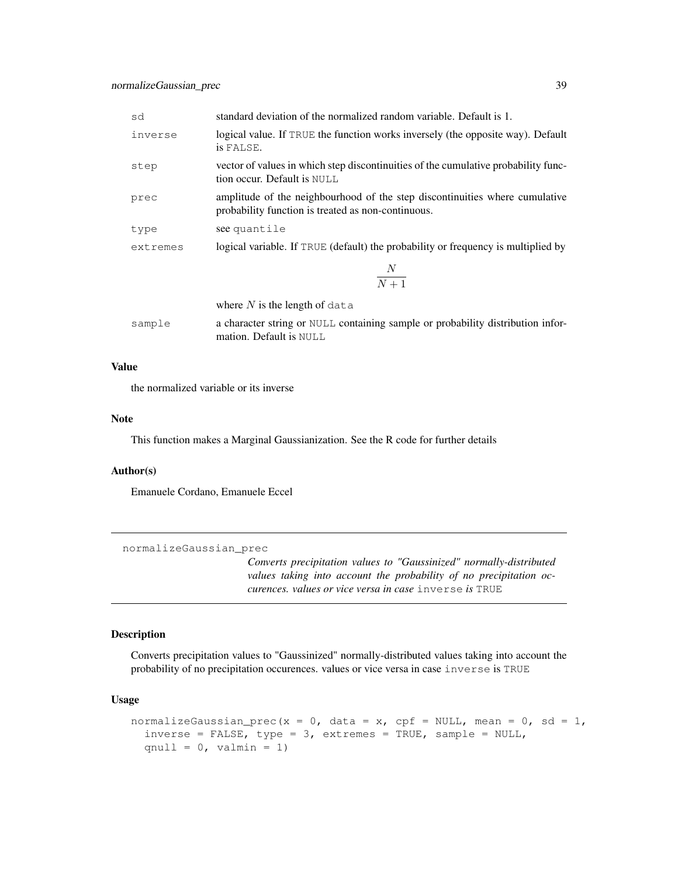| sd       | standard deviation of the normalized random variable. Default is 1.                                                               |  |
|----------|-----------------------------------------------------------------------------------------------------------------------------------|--|
| inverse  | logical value. If TRUE the function works inversely (the opposite way). Default<br>is FALSE.                                      |  |
| step     | vector of values in which step discontinuities of the cumulative probability func-<br>tion occur. Default is NULL                 |  |
| prec     | amplitude of the neighbourhood of the step discontinuities where cumulative<br>probability function is treated as non-continuous. |  |
| type     | see quantile                                                                                                                      |  |
| extremes | logical variable. If TRUE (default) the probability or frequency is multiplied by                                                 |  |
|          | $\boldsymbol{N}$<br>$\overline{N+1}$                                                                                              |  |
|          | where $N$ is the length of data                                                                                                   |  |
| sample   | a character string or NULL containing sample or probability distribution infor-<br>mation. Default is NULL                        |  |

#### Value

the normalized variable or its inverse

## Note

This function makes a Marginal Gaussianization. See the R code for further details

#### Author(s)

Emanuele Cordano, Emanuele Eccel

```
normalizeGaussian_prec
```
*Converts precipitation values to "Gaussinized" normally-distributed values taking into account the probability of no precipitation occurences. values or vice versa in case* inverse *is* TRUE

#### Description

Converts precipitation values to "Gaussinized" normally-distributed values taking into account the probability of no precipitation occurences. values or vice versa in case inverse is TRUE

#### Usage

```
normalizeGaussian_prec(x = 0, data = x, cpf = NULL, mean = 0, sd = 1,
  inverse = FALSE, type = 3, extremes = TRUE, sample = NULL,
  qnull = 0, valmin = 1)
```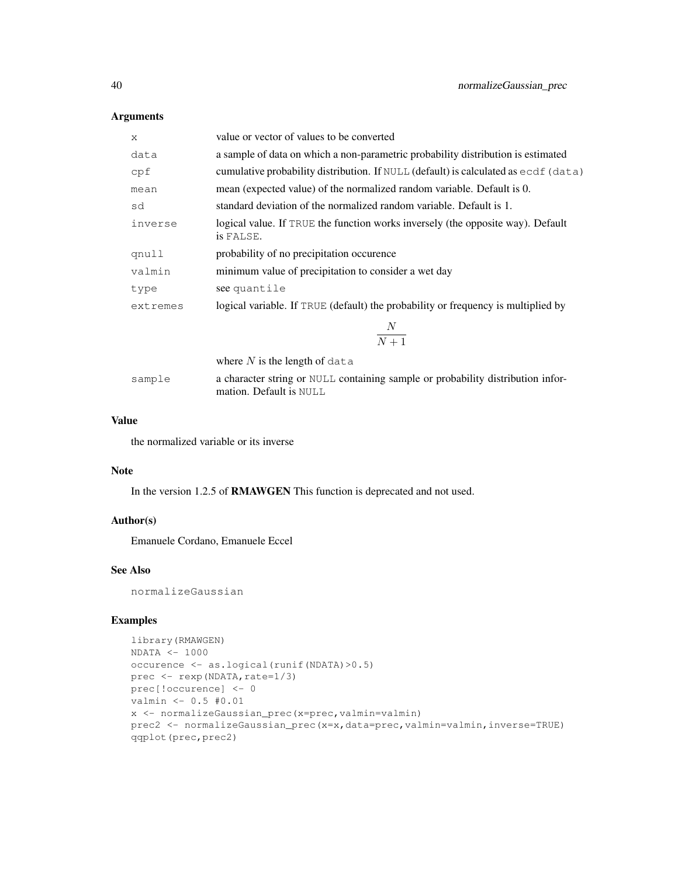## Arguments

| X        | value or vector of values to be converted                                                     |  |
|----------|-----------------------------------------------------------------------------------------------|--|
| data     | a sample of data on which a non-parametric probability distribution is estimated              |  |
| cpf      | cumulative probability distribution. If NULL (default) is calculated as $\epsilon$ cdf (data) |  |
| mean     | mean (expected value) of the normalized random variable. Default is 0.                        |  |
| sd       | standard deviation of the normalized random variable. Default is 1.                           |  |
| inverse  | logical value. If TRUE the function works inversely (the opposite way). Default<br>is FALSE.  |  |
| qnull    | probability of no precipitation occurence                                                     |  |
| valmin   | minimum value of precipitation to consider a wet day                                          |  |
| type     | see quantile                                                                                  |  |
| extremes | logical variable. If TRUE (default) the probability or frequency is multiplied by             |  |
|          | $N_{\rm}$<br>$\overline{N+1}$                                                                 |  |
|          | where $N$ is the length of data                                                               |  |
| sample   | a character string or NULL containing sample or probability distribution infor-               |  |

#### Value

the normalized variable or its inverse

#### Note

In the version 1.2.5 of RMAWGEN This function is deprecated and not used.

mation. Default is NULL

# Author(s)

Emanuele Cordano, Emanuele Eccel

# See Also

normalizeGaussian

## Examples

```
library(RMAWGEN)
NDATA < -1000occurence <- as.logical(runif(NDATA)>0.5)
prec \leq rexp(NDATA, rate=1/3)
prec[!occurence] <- 0
valmin <- 0.5 #0.01
x <- normalizeGaussian_prec(x=prec,valmin=valmin)
prec2 <- normalizeGaussian_prec(x=x,data=prec,valmin=valmin,inverse=TRUE)
qqplot(prec,prec2)
```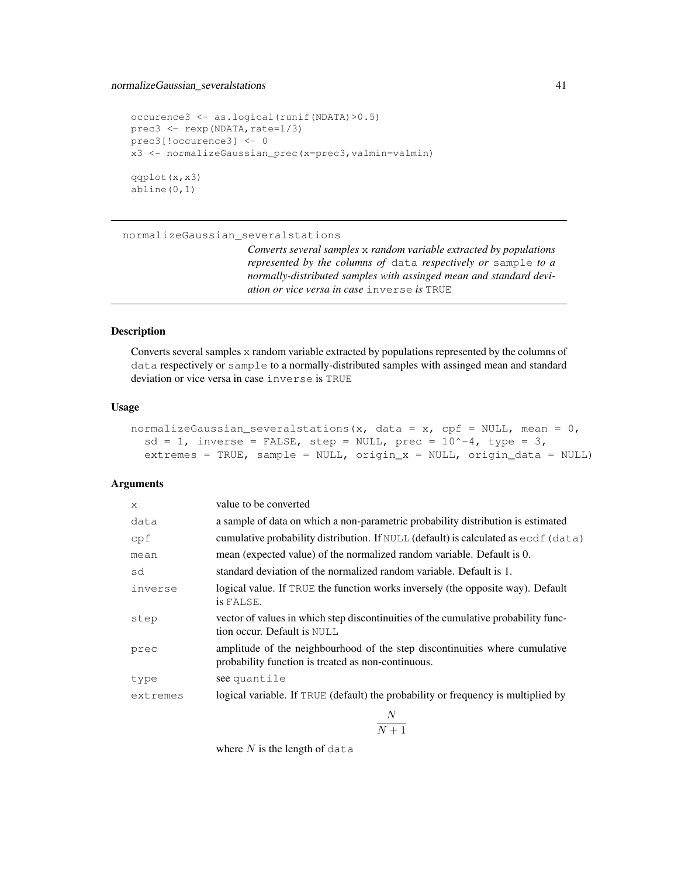## normalizeGaussian\_severalstations 41

```
occurence3 <- as.logical(runif(NDATA)>0.5)
prec3 \leftarrow resp (NDATA, rate=1/3)prec3[!occurence3] <- 0
x3 <- normalizeGaussian_prec(x=prec3,valmin=valmin)
qqplot(x,x3)
abline(0,1)
```
normalizeGaussian\_severalstations

*Converts several samples* x *random variable extracted by populations represented by the columns of* data *respectively or* sample *to a normally-distributed samples with assinged mean and standard deviation or vice versa in case* inverse *is* TRUE

## Description

Converts several samples x random variable extracted by populations represented by the columns of data respectively or sample to a normally-distributed samples with assinged mean and standard deviation or vice versa in case inverse is TRUE

## Usage

| normalizeGaussian_severalstations(x, data = x, cpf = NULL, mean = $0,$ |                                                                            |  |  |
|------------------------------------------------------------------------|----------------------------------------------------------------------------|--|--|
|                                                                        | $sd = 1$ , inverse = FALSE, step = NULL, prec = $10^{\circ}-4$ , type = 3, |  |  |
|                                                                        | extremes = TRUE, sample = NULL, origin $x = NULL$ , origin data = NULL)    |  |  |

## Arguments

| $\mathsf{x}$ | value to be converted                                                                                                             |
|--------------|-----------------------------------------------------------------------------------------------------------------------------------|
| data         | a sample of data on which a non-parametric probability distribution is estimated                                                  |
| cpf          | cumulative probability distribution. If $\text{NULL}$ (default) is calculated as $\text{ecd}$ (data)                              |
| mean         | mean (expected value) of the normalized random variable. Default is 0.                                                            |
| sd           | standard deviation of the normalized random variable. Default is 1.                                                               |
| inverse      | logical value. If TRUE the function works inversely (the opposite way). Default<br>is FALSE.                                      |
| step         | vector of values in which step discontinuities of the cumulative probability func-<br>tion occur. Default is NULL                 |
| prec         | amplitude of the neighbourhood of the step discontinuities where cumulative<br>probability function is treated as non-continuous. |
| type         | see quantile                                                                                                                      |
| extremes     | logical variable. If TRUE (default) the probability or frequency is multiplied by                                                 |

N  $N+1$ 

where  $N$  is the length of data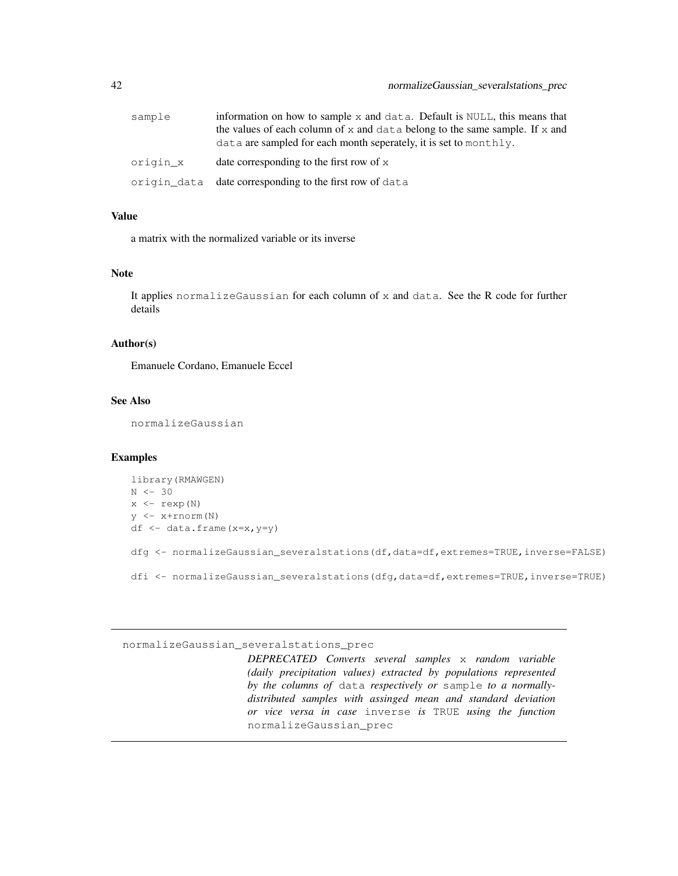| sample   | information on how to sample $x$ and data. Default is NULL, this means that |
|----------|-----------------------------------------------------------------------------|
|          | the values of each column of x and data belong to the same sample. If x and |
|          | data are sampled for each month seperately, it is set to monthly.           |
| origin x | date corresponding to the first row of $x$                                  |
|          | origin_data date corresponding to the first row of data                     |

#### Value

a matrix with the normalized variable or its inverse

## Note

It applies normalizeGaussian for each column of x and data. See the R code for further details

#### Author(s)

Emanuele Cordano, Emanuele Eccel

## See Also

normalizeGaussian

#### Examples

```
library(RMAWGEN)
N < -30x \leftarrow \text{resp}(N)y <- x+rnorm(N)
df <- data.frame(x=x,y=y)
dfg <- normalizeGaussian_severalstations(df,data=df,extremes=TRUE,inverse=FALSE)
dfi <- normalizeGaussian_severalstations(dfg,data=df,extremes=TRUE,inverse=TRUE)
```
#### normalizeGaussian\_severalstations\_prec

*DEPRECATED Converts several samples* x *random variable (daily precipitation values) extracted by populations represented by the columns of* data *respectively or* sample *to a normallydistributed samples with assinged mean and standard deviation or vice versa in case* inverse *is* TRUE *using the function* normalizeGaussian\_prec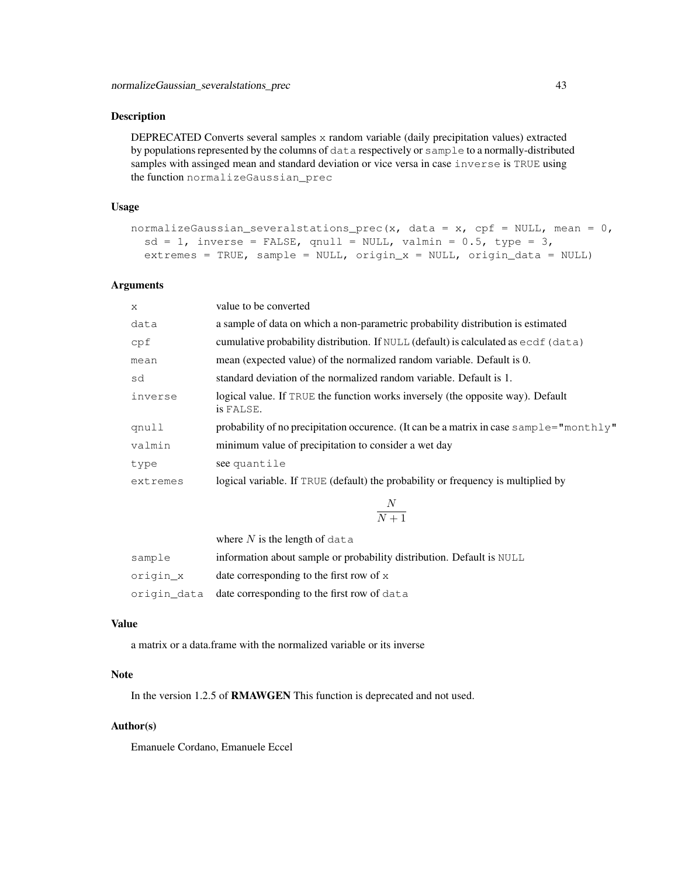#### Description

DEPRECATED Converts several samples x random variable (daily precipitation values) extracted by populations represented by the columns of data respectively or sample to a normally-distributed samples with assinged mean and standard deviation or vice versa in case inverse is TRUE using the function normalizeGaussian\_prec

#### Usage

```
normalizeGaussian_severalstations_prec(x, data = x, cpf = NULL, mean = 0,
  sd = 1, inverse = FALSE, qnull = NULL, valmin = 0.5, type = 3,
  extremes = TRUE, sample = NULL, origin_x = NULL, origin_data = NULL)
```
#### Arguments

| $\mathsf{x}$ | value to be converted                                                                                |
|--------------|------------------------------------------------------------------------------------------------------|
| data         | a sample of data on which a non-parametric probability distribution is estimated                     |
| cpf          | cumulative probability distribution. If $\text{NULL}$ (default) is calculated as $\text{ecd}$ (data) |
| mean         | mean (expected value) of the normalized random variable. Default is 0.                               |
| sd           | standard deviation of the normalized random variable. Default is 1.                                  |
| inverse      | logical value. If TRUE the function works inversely (the opposite way). Default<br>is FALSE.         |
| qnull        | probability of no precipitation occurence. (It can be a matrix in case sample="monthly"              |
| valmin       | minimum value of precipitation to consider a wet day                                                 |
| type         | see quantile                                                                                         |
| extremes     | logical variable. If TRUE (default) the probability or frequency is multiplied by                    |
|              |                                                                                                      |

$$
\frac{N}{N+1}
$$

|          | where $N$ is the length of data                                       |
|----------|-----------------------------------------------------------------------|
| sample   | information about sample or probability distribution. Default is NULL |
| origin x | date corresponding to the first row of $x$                            |
|          | origin_data date corresponding to the first row of data               |

#### Value

a matrix or a data.frame with the normalized variable or its inverse

## Note

In the version 1.2.5 of RMAWGEN This function is deprecated and not used.

#### Author(s)

Emanuele Cordano, Emanuele Eccel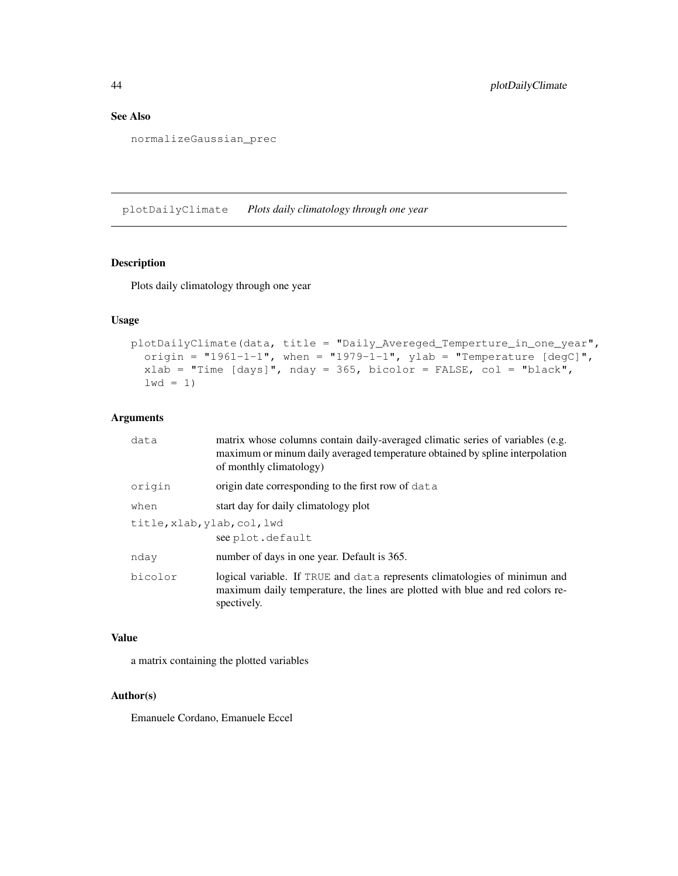## See Also

normalizeGaussian\_prec

plotDailyClimate *Plots daily climatology through one year*

## Description

Plots daily climatology through one year

#### Usage

```
plotDailyClimate(data, title = "Daily_Avereged_Temperture_in_one_year",
  origin = "1961-1-1", when = "1979-1-1", ylab = "Temperature [degC]",
  xlab = "Time [days]", nday = 365, bicolor = FALSE, col = "black",
  1wd = 1)
```
#### Arguments

| data                        | matrix whose columns contain daily-averaged climatic series of variables (e.g.<br>maximum or minum daily averaged temperature obtained by spline interpolation<br>of monthly climatology) |
|-----------------------------|-------------------------------------------------------------------------------------------------------------------------------------------------------------------------------------------|
| origin                      | origin date corresponding to the first row of data                                                                                                                                        |
| when                        | start day for daily climatology plot                                                                                                                                                      |
| title, xlab, ylab, col, lwd | see plot.default                                                                                                                                                                          |
| nday                        | number of days in one year. Default is 365.                                                                                                                                               |
| bicolor                     | logical variable. If TRUE and data represents climatologies of minimun and<br>maximum daily temperature, the lines are plotted with blue and red colors re-<br>spectively.                |

#### Value

a matrix containing the plotted variables

#### Author(s)

Emanuele Cordano, Emanuele Eccel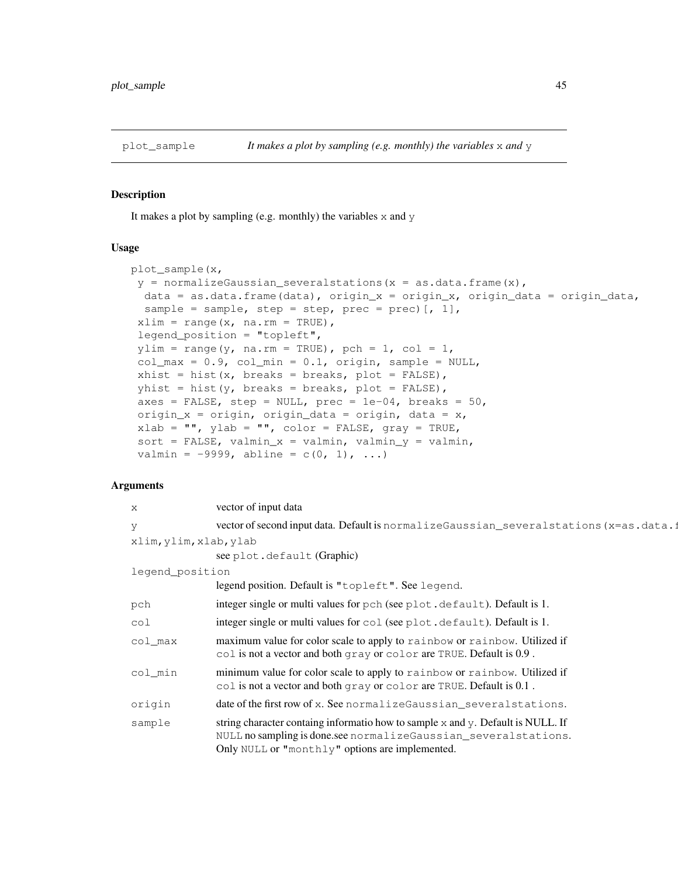## Description

It makes a plot by sampling (e.g. monthly) the variables  $x$  and  $y$ 

#### Usage

```
plot_sample(x,
 y = normalizeGaussian_severalstations(x = as.data.frame(x),
  data = as.data.frame(data), origin_x = origin_x, origin_data = origin_data,
  sample = sample, step = step, prec = prec) [, 1],
 xlim = range(x, na.rm = TRUE),legend_position = "topleft",
 ylim = range(y, na.rm = TRUE), pch = 1, col = 1,
 col_max = 0.9, col/min = 0.1, origin, sample = NULL,
 xhist = hist(x, breaks = breaks, plot = FALSE),yhist = hist(y, breaks = breaks, plot = FALSE),
 axes = FALSE, step = NULL, prec = 1e-04, breaks = 50,
 origin_x = origin, origin_data = origin, data = x,
 xlab = "", ylab = "", color = FALSE, gray = TRUE,
 sort = FALSE, valmin_x = valmin, valmin_y = valmin,
 valmin = -9999, abline = c(0, 1), ...)
```
## Arguments

| X                      | vector of input data                                                                                                                                                                                  |
|------------------------|-------------------------------------------------------------------------------------------------------------------------------------------------------------------------------------------------------|
| V                      | vector of second input data. Default is normalizeGaussian_several stations (x=as.data.1                                                                                                               |
| xlim, ylim, xlab, ylab |                                                                                                                                                                                                       |
|                        | see plot.default (Graphic)                                                                                                                                                                            |
| legend_position        |                                                                                                                                                                                                       |
|                        | legend position. Default is "topleft". See legend.                                                                                                                                                    |
| pch                    | integer single or multi values for pch (see plot.default). Default is 1.                                                                                                                              |
| col                    | integer single or multi values for col (see plot.default). Default is 1.                                                                                                                              |
| col max                | maximum value for color scale to apply to rainbow or rainbow. Utilized if<br>col is not a vector and both gray or color are TRUE. Default is 0.9.                                                     |
| col_min                | minimum value for color scale to apply to rainbow or rainbow. Utilized if<br>col is not a vector and both gray or color are TRUE. Default is 0.1.                                                     |
| origin                 | date of the first row of x. See normalize Gaussian_several stations.                                                                                                                                  |
| sample                 | string character containg informatio how to sample x and y. Default is NULL. If<br>NULL no sampling is done.see normalizeGaussian_severalstations.<br>Only NULL or "monthly" options are implemented. |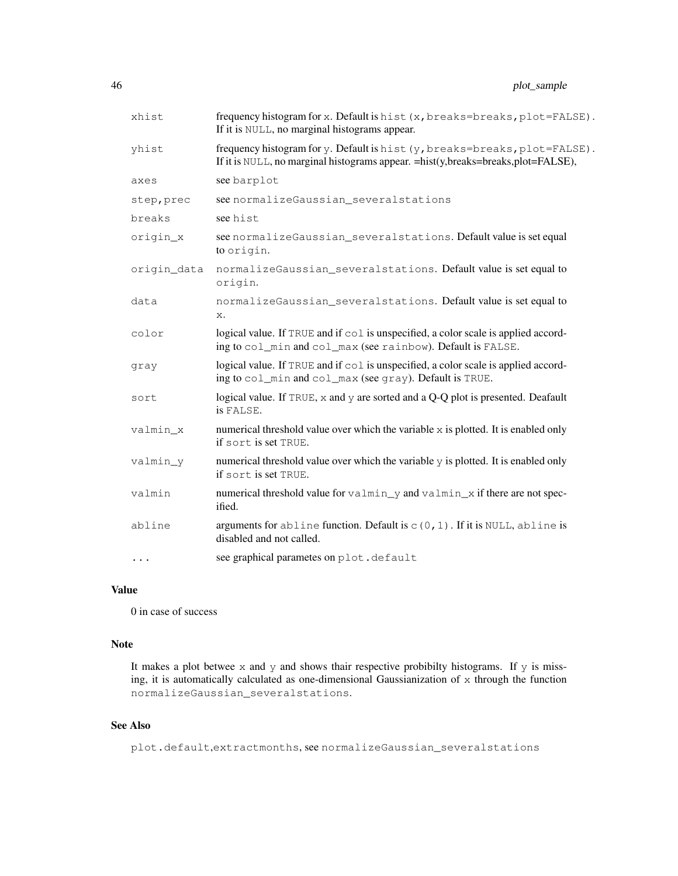| xhist       | frequency histogram for x. Default is hist (x, breaks=breaks, plot=FALSE).<br>If it is NULL, no marginal histograms appear.                                     |  |
|-------------|-----------------------------------------------------------------------------------------------------------------------------------------------------------------|--|
| yhist       | frequency histogram for y. Default is hist (y, breaks=breaks, plot=FALSE).<br>If it is NULL, no marginal histograms appear. = hist(y,breaks=breaks,plot=FALSE), |  |
| axes        | see barplot                                                                                                                                                     |  |
| step, prec  | see normalizeGaussian_severalstations                                                                                                                           |  |
| breaks      | see hist                                                                                                                                                        |  |
| origin_x    | see normalizeGaussian_severalstations. Default value is set equal<br>to origin.                                                                                 |  |
| origin_data | normalizeGaussian_severalstations. Default value is set equal to<br>origin.                                                                                     |  |
| data        | normalizeGaussian_severalstations. Default value is set equal to<br>x.                                                                                          |  |
| color       | logical value. If TRUE and if col is unspecified, a color scale is applied accord-<br>ing to col_min and col_max (see rainbow). Default is FALSE.               |  |
| gray        | logical value. If TRUE and if col is unspecified, a color scale is applied accord-<br>ing to col_min and col_max (see gray). Default is TRUE.                   |  |
| sort        | logical value. If TRUE, x and y are sorted and a Q-Q plot is presented. Deafault<br>is FALSE.                                                                   |  |
| valmin x    | numerical threshold value over which the variable x is plotted. It is enabled only<br>if sort is set TRUE.                                                      |  |
| valmin_y    | numerical threshold value over which the variable y is plotted. It is enabled only<br>if sort is set TRUE.                                                      |  |
| valmin      | numerical threshold value for valmin_y and valmin_x if there are not spec-<br>ified.                                                                            |  |
| abline      | arguments for abline function. Default is $c(0, 1)$ . If it is NULL, abline is<br>disabled and not called.                                                      |  |
| $\cdots$    | see graphical parametes on plot.default                                                                                                                         |  |

# Value

0 in case of success

## Note

It makes a plot betwee  $x$  and  $y$  and shows thair respective probibilty histograms. If  $y$  is missing, it is automatically calculated as one-dimensional Gaussianization of x through the function normalizeGaussian\_severalstations.

# See Also

plot.default,extractmonths, see normalizeGaussian\_severalstations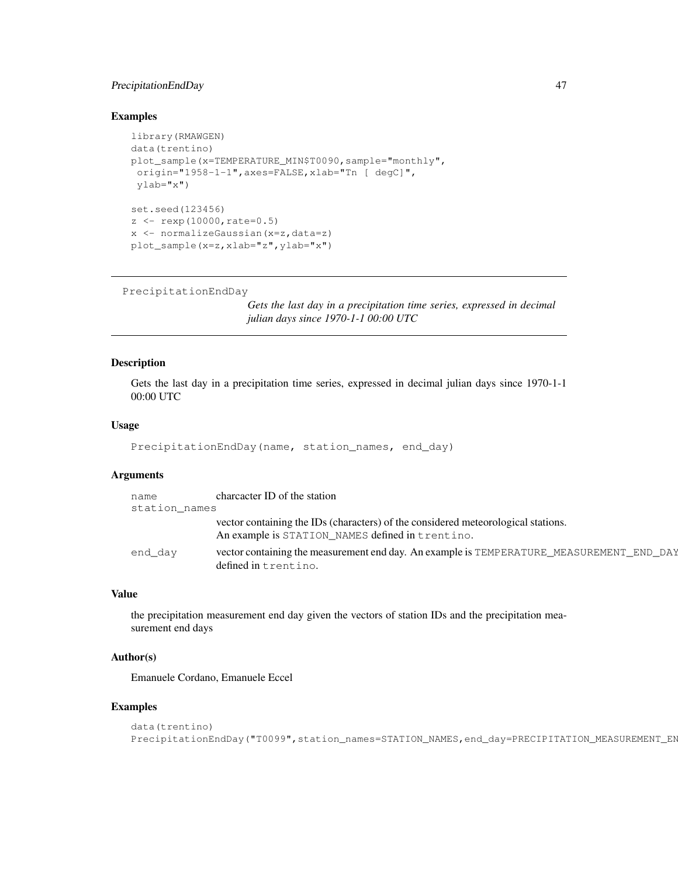## PrecipitationEndDay 47

#### Examples

```
library(RMAWGEN)
data(trentino)
plot_sample(x=TEMPERATURE_MIN$T0090,sample="monthly",
origin="1958-1-1",axes=FALSE,xlab="Tn [ degC]",
ylab="x")
set.seed(123456)
z \leftarrow \text{resp}(10000, \text{rate}=0.5)x <- normalizeGaussian(x=z,data=z)
plot_sample(x=z,xlab="z",ylab="x")
```

```
PrecipitationEndDay
```
*Gets the last day in a precipitation time series, expressed in decimal julian days since 1970-1-1 00:00 UTC*

#### Description

Gets the last day in a precipitation time series, expressed in decimal julian days since 1970-1-1 00:00 UTC

#### Usage

```
PrecipitationEndDay(name, station_names, end_day)
```
# Arguments

| name<br>station names | charcacter ID of the station                                                                                                          |
|-----------------------|---------------------------------------------------------------------------------------------------------------------------------------|
|                       | vector containing the IDs (characters) of the considered meteorological stations.<br>An example is STATION_NAMES defined in trentino. |
| end day               | vector containing the measurement end day. An example is TEMPERATURE_MEASUREMENT_END_DAY<br>defined in trentino.                      |

#### Value

the precipitation measurement end day given the vectors of station IDs and the precipitation measurement end days

## Author(s)

Emanuele Cordano, Emanuele Eccel

# Examples

```
data(trentino)
PrecipitationEndDay("T0099",station_names=STATION_NAMES,end_day=PRECIPITATION_MEASUREMENT_EN
```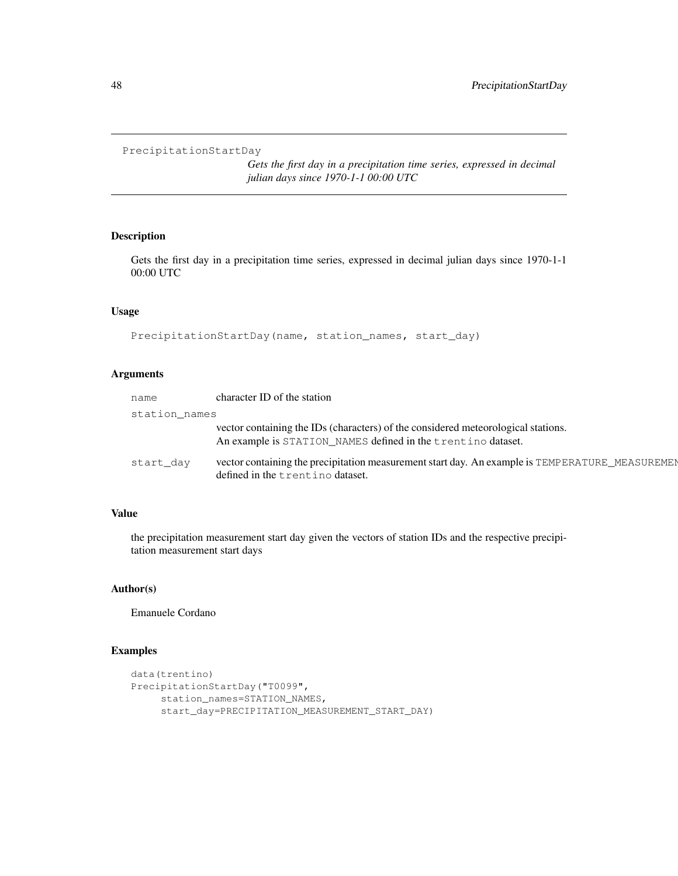```
PrecipitationStartDay
```
*Gets the first day in a precipitation time series, expressed in decimal julian days since 1970-1-1 00:00 UTC*

## Description

Gets the first day in a precipitation time series, expressed in decimal julian days since 1970-1-1 00:00 UTC

## Usage

```
PrecipitationStartDay(name, station_names, start_day)
```
# Arguments

| name          | character ID of the station                                                                                                                       |  |
|---------------|---------------------------------------------------------------------------------------------------------------------------------------------------|--|
| station names |                                                                                                                                                   |  |
|               | vector containing the IDs (characters) of the considered meteorological stations.<br>An example is STATION_NAMES defined in the trentino dataset. |  |
| start day     | vector containing the precipitation measurement start day. An example is TEMPERATURE_MEASUREMEN<br>defined in the trentino dataset.               |  |

## Value

the precipitation measurement start day given the vectors of station IDs and the respective precipitation measurement start days

## Author(s)

Emanuele Cordano

## Examples

```
data(trentino)
PrecipitationStartDay("T0099",
     station_names=STATION_NAMES,
     start_day=PRECIPITATION_MEASUREMENT_START_DAY)
```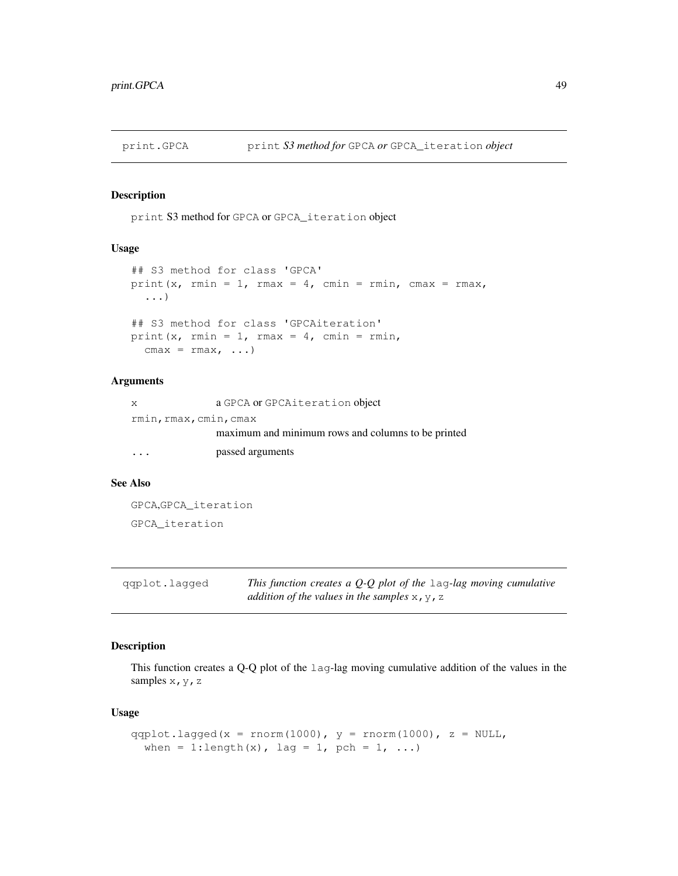# Description

print S3 method for GPCA or GPCA\_iteration object

#### Usage

```
## S3 method for class 'GPCA'
print(x, rmin = 1, rmax = 4, cmin = rmin, cmax = rmax,
  ...)
## S3 method for class 'GPCAiteration'
print(x, rmin = 1, rmax = 4, cmin = rmin,
  cmax = rmax, ...
```
#### Arguments

| X       | a GPCA or GPCAiteration object                     |
|---------|----------------------------------------------------|
|         | rmin, rmax, cmin, cmax                             |
|         | maximum and minimum rows and columns to be printed |
| $\cdot$ | passed arguments                                   |

#### See Also

```
GPCA,GPCA_iteration
GPCA_iteration
```
qqplot.lagged *This function creates a Q-Q plot of the* lag*-lag moving cumulative addition of the values in the samples*  $x, y, z$ 

# Description

This function creates a Q-Q plot of the lag-lag moving cumulative addition of the values in the samples x, y, z

# Usage

```
qqplot.lagged(x = rnorm(1000), y = rnorm(1000), z = NULL,
 when = 1:length(x), lag = 1, pch = 1, ...)
```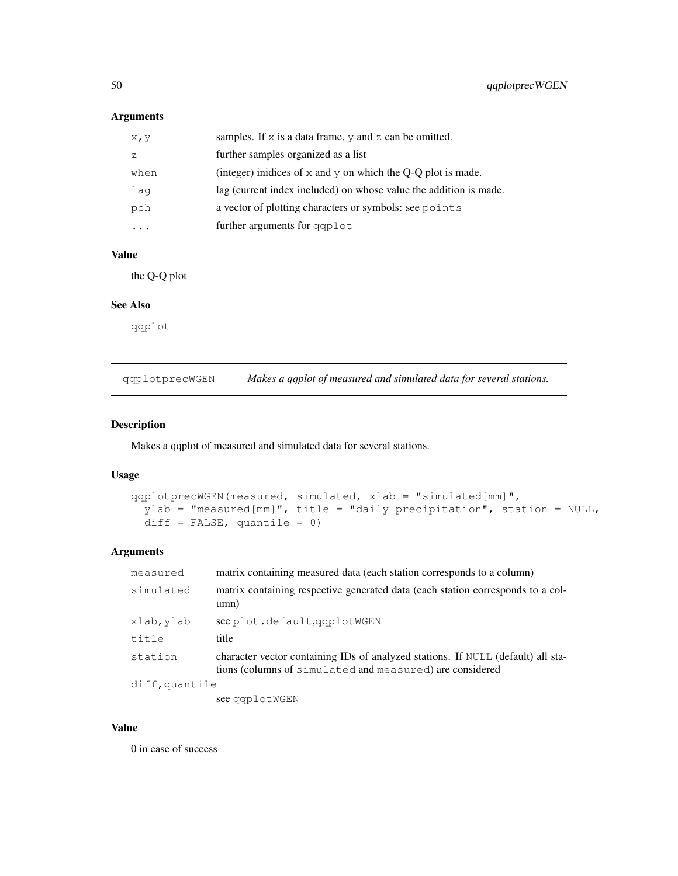# Arguments

| X, Y | samples. If $x$ is a data frame, $y$ and $z$ can be omitted.      |
|------|-------------------------------------------------------------------|
| 7.   | further samples organized as a list                               |
| when | (integer) inidices of $x$ and $y$ on which the Q-Q plot is made.  |
| laq  | lag (current index included) on whose value the addition is made. |
| pch  | a vector of plotting characters or symbols: see points            |
|      | further arguments for qqplot                                      |

# Value

the Q-Q plot

# See Also

qqplot

qqplotprecWGEN *Makes a qqplot of measured and simulated data for several stations.*

## Description

Makes a qqplot of measured and simulated data for several stations.

# Usage

```
qqplotprecWGEN(measured, simulated, xlab = "simulated[mm]",
  ylab = "measured[mm]", title = "daily precipitation", station = NULL,
  diff = FALSE, quantile = 0)
```
## Arguments

| measured       | matrix containing measured data (each station corresponds to a column)                                                                       |  |
|----------------|----------------------------------------------------------------------------------------------------------------------------------------------|--|
| simulated      | matrix containing respective generated data (each station corresponds to a col-<br>umn)                                                      |  |
| xlab, ylab     | see plot.default.qqplotWGEN                                                                                                                  |  |
| title          | title                                                                                                                                        |  |
| station        | character vector containing IDs of analyzed stations. If NULL (default) all sta-<br>tions (columns of simulated and measured) are considered |  |
| diff, quantile |                                                                                                                                              |  |
|                | $\blacksquare$                                                                                                                               |  |

see qqplotWGEN

#### Value

0 in case of success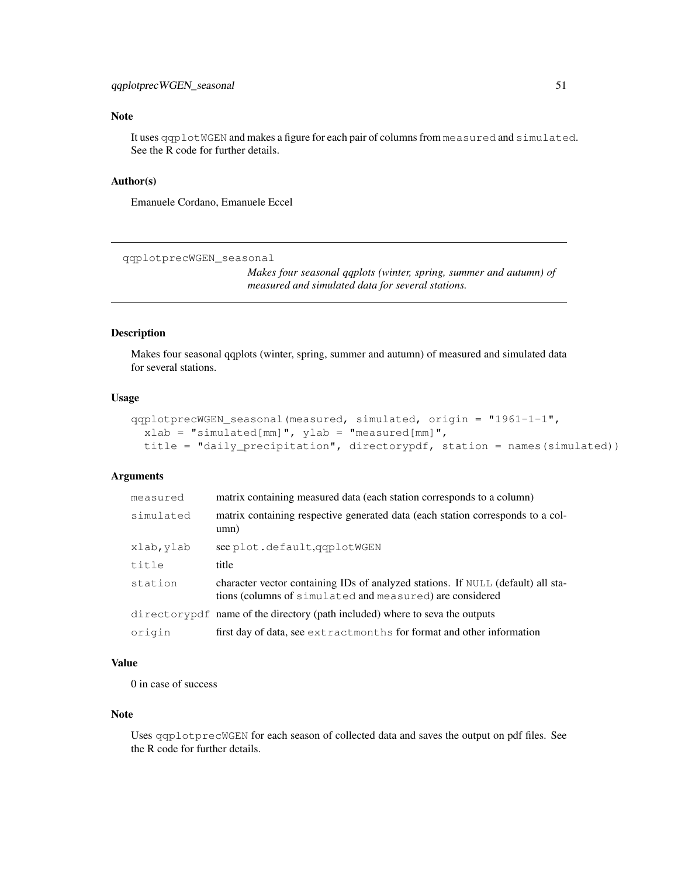## qqplotprecWGEN\_seasonal 51

## Note

It uses qqplotWGEN and makes a figure for each pair of columns from measured and simulated. See the R code for further details.

## Author(s)

Emanuele Cordano, Emanuele Eccel

qqplotprecWGEN\_seasonal

*Makes four seasonal qqplots (winter, spring, summer and autumn) of measured and simulated data for several stations.*

#### Description

Makes four seasonal qqplots (winter, spring, summer and autumn) of measured and simulated data for several stations.

## Usage

```
qqplotprecWGEN_seasonal(measured, simulated, origin = "1961-1-1",
 xlab = "simulated[mm]", ylab = "measured[mm]",
 title = "daily_precipitation", directorypdf, station = names(simulated))
```
# Arguments

| measured   | matrix containing measured data (each station corresponds to a column)                                                                       |
|------------|----------------------------------------------------------------------------------------------------------------------------------------------|
| simulated  | matrix containing respective generated data (each station corresponds to a col-<br>umn)                                                      |
| xlab, ylab | see plot.default.qqplotWGEN                                                                                                                  |
| title      | title                                                                                                                                        |
| station    | character vector containing IDs of analyzed stations. If NULL (default) all sta-<br>tions (columns of simulated and measured) are considered |
|            | directory pdf name of the directory (path included) where to seva the outputs                                                                |
| origin     | first day of data, see extractmonths for format and other information                                                                        |

## Value

0 in case of success

#### Note

Uses qqplotprecWGEN for each season of collected data and saves the output on pdf files. See the R code for further details.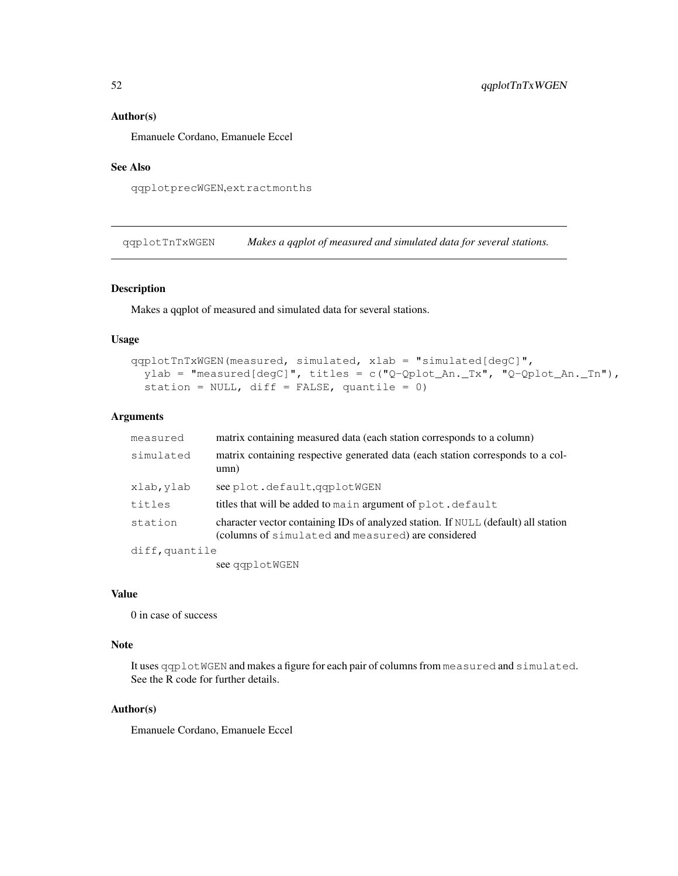#### Author(s)

Emanuele Cordano, Emanuele Eccel

## See Also

qqplotprecWGEN,extractmonths

qqplotTnTxWGEN *Makes a qqplot of measured and simulated data for several stations.*

## Description

Makes a qqplot of measured and simulated data for several stations.

## Usage

```
qqplotTnTxWGEN(measured, simulated, xlab = "simulated[degC]",
 ylab = "measured[degC]", titles = c("Q-Qplot_An._Tx", "Q-Qplot_An._Tn"),
  station = NULL, diff = FALSE, quantile = 0)
```
#### Arguments

| measured       | matrix containing measured data (each station corresponds to a column)                                                                   |
|----------------|------------------------------------------------------------------------------------------------------------------------------------------|
| simulated      | matrix containing respective generated data (each station corresponds to a col-<br>umn)                                                  |
| xlab, ylab     | see plot.default.qqplotWGEN                                                                                                              |
| titles         | titles that will be added to main argument of plot. default                                                                              |
| station        | character vector containing IDs of analyzed station. If NULL (default) all station<br>(columns of simulated and measured) are considered |
| diff, quantile |                                                                                                                                          |
|                | see qqplotWGEN                                                                                                                           |

### Value

0 in case of success

#### Note

It uses qqplotWGEN and makes a figure for each pair of columns from measured and simulated. See the R code for further details.

#### Author(s)

Emanuele Cordano, Emanuele Eccel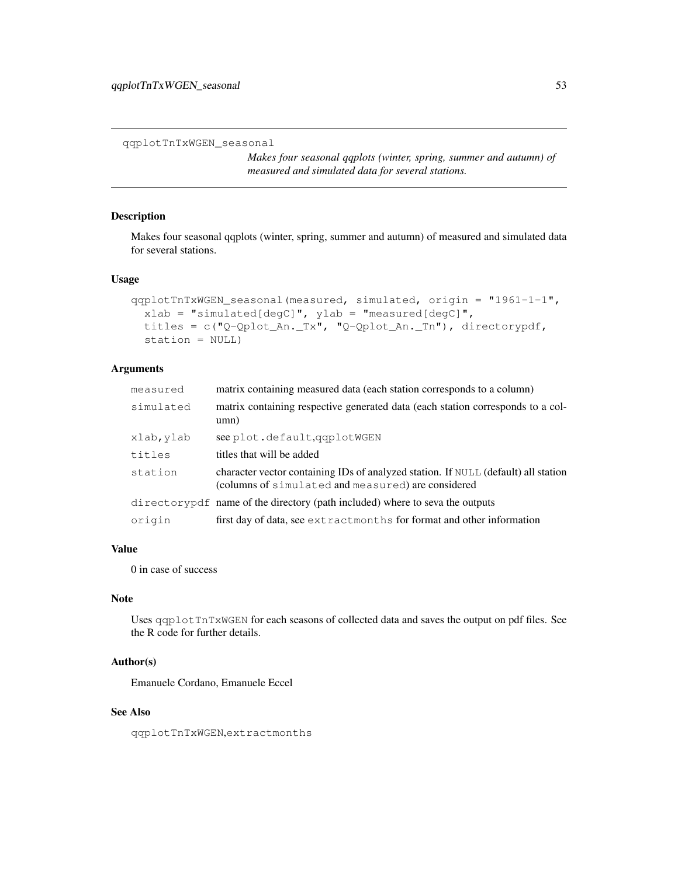```
qqplotTnTxWGEN_seasonal
```
*Makes four seasonal qqplots (winter, spring, summer and autumn) of measured and simulated data for several stations.*

#### Description

Makes four seasonal qqplots (winter, spring, summer and autumn) of measured and simulated data for several stations.

# Usage

```
qqplotTnTxWGEN_seasonal(measured, simulated, origin = "1961-1-1",
  xlab = "simulated[degC]", ylab = "measured[degC]",
  titles = c("Q-Qplot_An._Tx", "Q-Qplot_An._Tn"), directorypdf,
  station = NULL)
```
## Arguments

| measured   | matrix containing measured data (each station corresponds to a column)                                                                   |
|------------|------------------------------------------------------------------------------------------------------------------------------------------|
| simulated  | matrix containing respective generated data (each station corresponds to a col-<br>umn)                                                  |
| xlab, ylab | see plot.default.qqplotWGEN                                                                                                              |
| titles     | titles that will be added                                                                                                                |
| station    | character vector containing IDs of analyzed station. If NULL (default) all station<br>(columns of simulated and measured) are considered |
|            | directory pdf name of the directory (path included) where to seva the outputs                                                            |
| origin     | first day of data, see extractmonths for format and other information                                                                    |

## Value

0 in case of success

#### Note

Uses qqplotTnTxWGEN for each seasons of collected data and saves the output on pdf files. See the R code for further details.

## Author(s)

Emanuele Cordano, Emanuele Eccel

## See Also

qqplotTnTxWGEN,extractmonths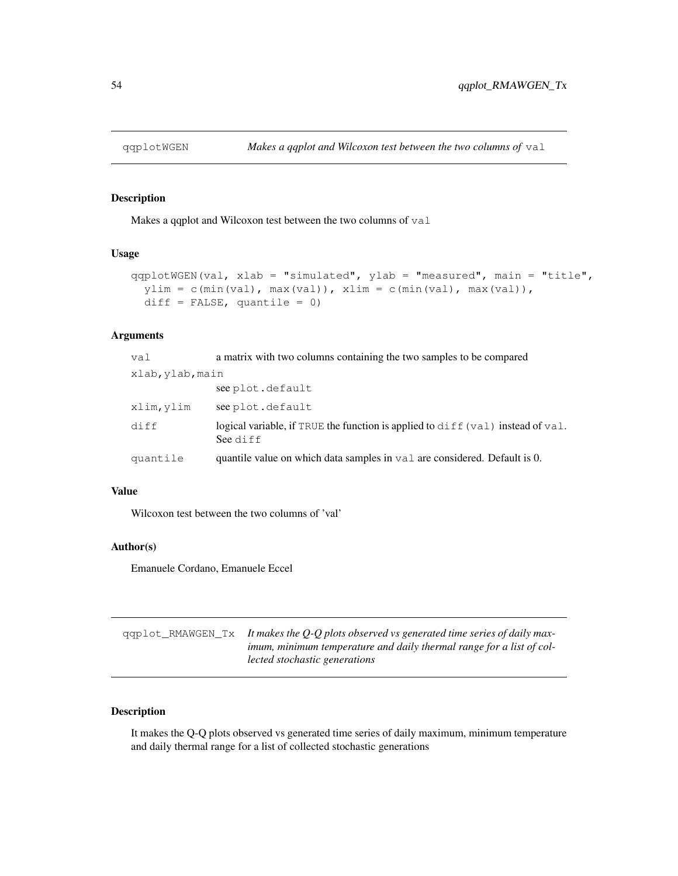#### Description

Makes a qqplot and Wilcoxon test between the two columns of val

#### Usage

```
qqplotWGEN(val, xlab = "simulated", ylab = "measured", main = "title",
 ylim = c(min(va1), max(va1)), xlim = c(min(va1), max(va1)),diff = FALSE, quantile = 0)
```
# Arguments

| val              | a matrix with two columns containing the two samples to be compared                         |  |
|------------------|---------------------------------------------------------------------------------------------|--|
| xlab, ylab, main |                                                                                             |  |
|                  | see plot.default                                                                            |  |
| xlim, ylim       | see plot.default                                                                            |  |
| diff             | logical variable, if TRUE the function is applied to diff (val) instead of val.<br>See diff |  |
| quantile         | quantile value on which data samples in valuate considered. Default is 0.                   |  |

#### Value

Wilcoxon test between the two columns of 'val'

## Author(s)

Emanuele Cordano, Emanuele Eccel

| $qqplot_RMAWGEN_Tx$ It makes the Q-Q plots observed vs generated time series of daily max- |
|--------------------------------------------------------------------------------------------|
| <i>imum, minimum temperature and daily thermal range for a list of col-</i>                |
| lected stochastic generations                                                              |

## Description

It makes the Q-Q plots observed vs generated time series of daily maximum, minimum temperature and daily thermal range for a list of collected stochastic generations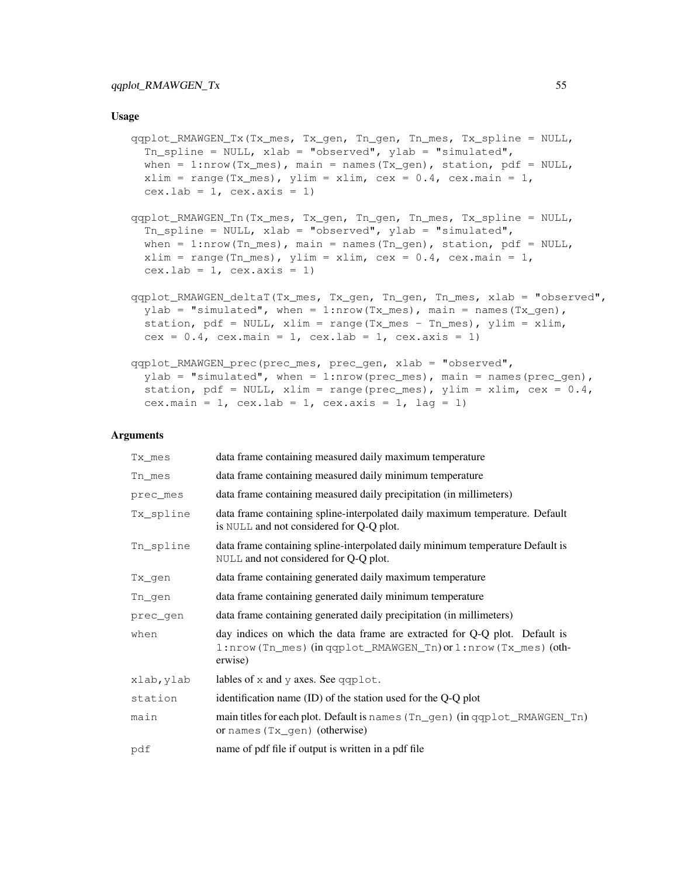#### Usage

```
qqplot_RMAWGEN_Tx(Tx_mes, Tx_gen, Tn_gen, Tn_mes, Tx_spline = NULL,
  Tn_spline = NULL, xlab = "observed", ylab = "simulated",
  when = 1:nrow(Tx_mes), main = names(Tx_gen), station, pdf = NULL,
 xlim = range(Tx_mean, ylim = xlim, cex = 0.4, cex.max = 1,cex.lab = 1, cex.axis = 1)
qqplot_RMAWGEN_Tn(Tx_mes, Tx_gen, Tn_gen, Tn_mes, Tx_spline = NULL,
  Tn_spline = NULL, xlab = "observed", ylab = "simulated",
 when = 1:nrow(Tn_mes), main = names(Tn_gen), station, pdf = NULL,
 xlim = range(Tn\_mes), ylim = xlim, cex = 0.4, cex.mainloop = 1,
  cex.lab = 1, cex.axis = 1)
qqplot_RMAWGEN_deltaT(Tx_mes, Tx_gen, Tn_gen, Tn_mes, xlab = "observed",
  ylab = "simulated", when = 1:nrow(Tx_mes), main = names(Tx_gen),
  station, pdf = NULL, xlim = range(Tx_mean = Tn_mean), ylim = xlim,
  cex = 0.4, cex.main = 1, cex.lab = 1, cex.axis = 1)
qqplot_RMAWGEN_prec(prec_mes, prec_gen, xlab = "observed",
  ylab = "simulated", when = 1:nrow(prec_mes), main = names(prec_gen),
  station, pdf = NULL, xlim = range(prec_mes), ylim = xlim, cex = 0.4,
  cex.main = 1, cex.lab = 1, cex.axis = 1, lag = 1)
```
#### Arguments

| Tx_mes     | data frame containing measured daily maximum temperature                                                                                          |
|------------|---------------------------------------------------------------------------------------------------------------------------------------------------|
| Tn_mes     | data frame containing measured daily minimum temperature                                                                                          |
| prec_mes   | data frame containing measured daily precipitation (in millimeters)                                                                               |
| Tx spline  | data frame containing spline-interpolated daily maximum temperature. Default<br>is NULL and not considered for Q-Q plot.                          |
| Tn_spline  | data frame containing spline-interpolated daily minimum temperature Default is<br>NULL and not considered for Q-Q plot.                           |
| Tx_gen     | data frame containing generated daily maximum temperature                                                                                         |
| Tn_gen     | data frame containing generated daily minimum temperature                                                                                         |
| prec_gen   | data frame containing generated daily precipitation (in millimeters)                                                                              |
| when       | day indices on which the data frame are extracted for Q-Q plot. Default is<br>1:nrow(Tn_mes)(inqqplot_RMAWGEN_Tn)or1:nrow(Tx_mes)(oth-<br>erwise) |
| xlab, ylab | lables of $x$ and $y$ axes. See qqplot.                                                                                                           |
| station    | identification name (ID) of the station used for the Q-Q plot                                                                                     |
| main       | main titles for each plot. Default is names (Tn_gen) (in qqplot_RMAWGEN_Tn)<br>or names $(Tx_{gen})$ (otherwise)                                  |
| pdf        | name of pdf file if output is written in a pdf file                                                                                               |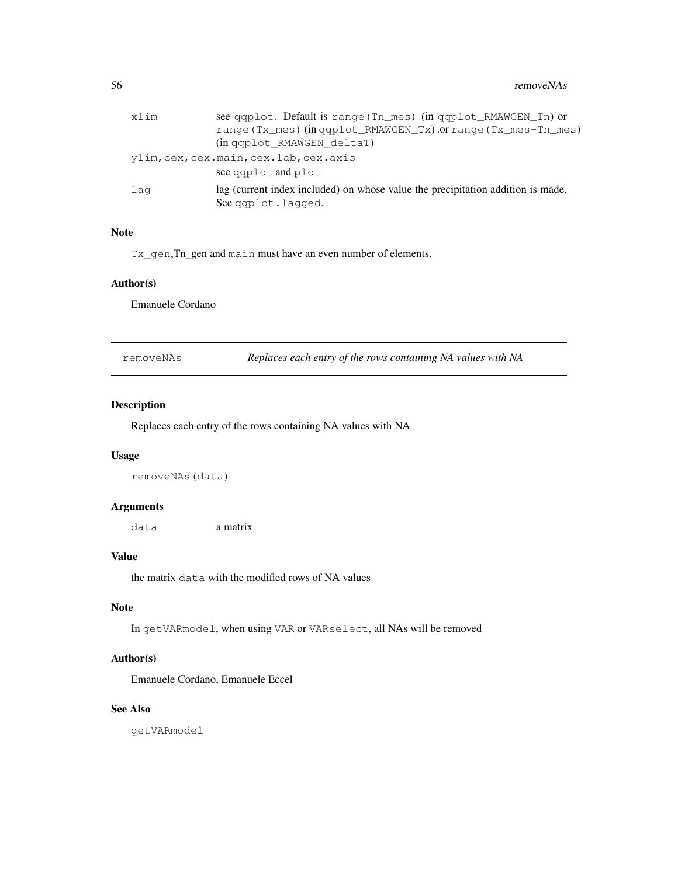56 removeNAs

| xlim | see qqplot. Default is range (Tn mes) (in qqplot RMAWGEN Tn) or                 |
|------|---------------------------------------------------------------------------------|
|      | range (Tx_mes) (in qqplot_RMAWGEN_Tx) .or range (Tx_mes-Tn_mes)                 |
|      | (in gaplot RMAWGEN deltaT)                                                      |
|      | ylim, cex, cex.main, cex.lab, cex.axis                                          |
|      | see gaplot and plot                                                             |
| laq  | lag (current index included) on whose value the precipitation addition is made. |
|      | See gaplot.lagged.                                                              |

# Note

Tx\_gen,Tn\_gen and main must have an even number of elements.

#### Author(s)

Emanuele Cordano

removeNAs *Replaces each entry of the rows containing NA values with NA*

#### Description

Replaces each entry of the rows containing NA values with NA

## Usage

removeNAs(data)

#### Arguments

data a matrix

#### Value

the matrix data with the modified rows of NA values

## Note

In getVARmodel, when using VAR or VARselect, all NAs will be removed

# Author(s)

Emanuele Cordano, Emanuele Eccel

# See Also

getVARmodel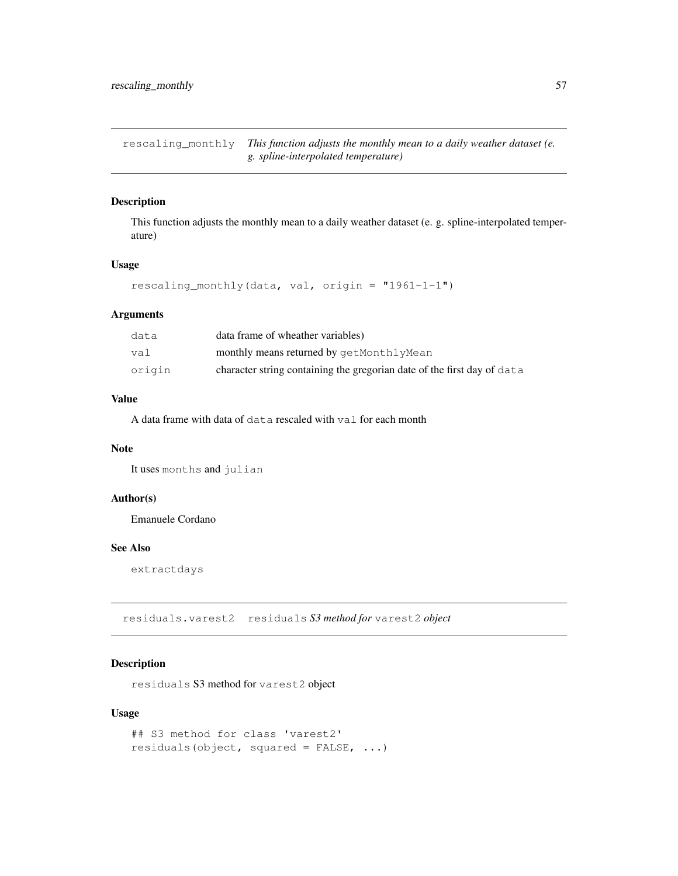rescaling\_monthly *This function adjusts the monthly mean to a daily weather dataset (e. g. spline-interpolated temperature)*

## Description

This function adjusts the monthly mean to a daily weather dataset (e. g. spline-interpolated temperature)

## Usage

```
rescaling_monthly(data, val, origin = "1961-1-1")
```
## Arguments

| data   | data frame of wheather variables)                                       |
|--------|-------------------------------------------------------------------------|
| val    | monthly means returned by getMonthlyMean                                |
| origin | character string containing the gregorian date of the first day of data |

## Value

A data frame with data of data rescaled with val for each month

#### Note

It uses months and julian

# Author(s)

Emanuele Cordano

# See Also

extractdays

residuals.varest2 residuals *S3 method for* varest2 *object*

# Description

residuals S3 method for varest2 object

## Usage

```
## S3 method for class 'varest2'
residuals(object, squared = FALSE, ...)
```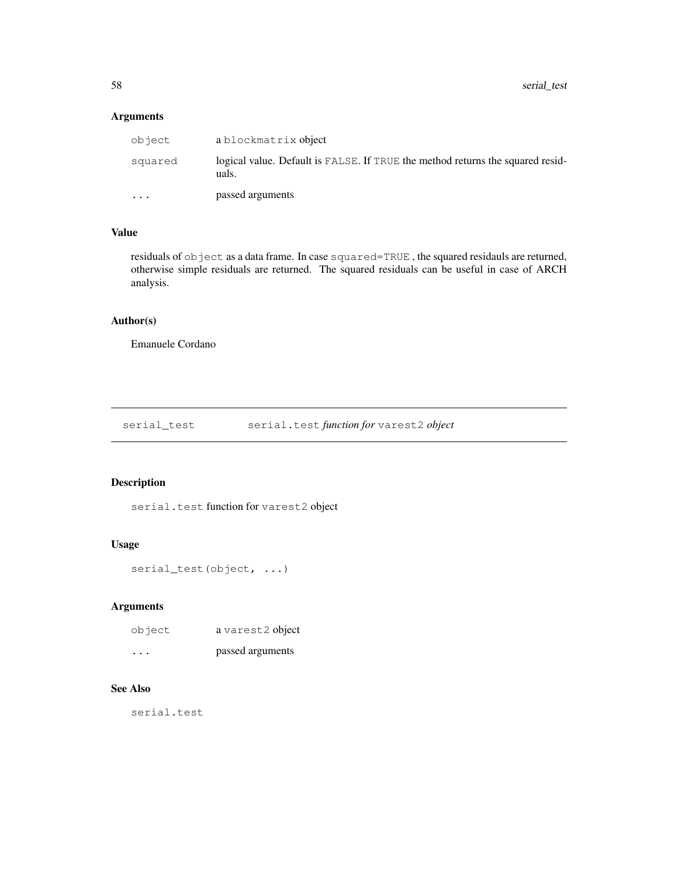58 serial\_test

# Arguments

| object    | a blockmatrix object                                                                    |  |
|-----------|-----------------------------------------------------------------------------------------|--|
| squared   | logical value. Default is FALSE. If TRUE the method returns the squared resid-<br>uals. |  |
| $\ddotsc$ | passed arguments                                                                        |  |

# Value

residuals of object as a data frame. In case squared=TRUE, the squared residauls are returned, otherwise simple residuals are returned. The squared residuals can be useful in case of ARCH analysis.

## Author(s)

Emanuele Cordano

serial\_test serial.test *function for* varest2 *object*

## Description

serial.test function for varest2 object

# Usage

```
serial_test(object, ...)
```
## Arguments

| object   | a varest2 object |
|----------|------------------|
| $\cdots$ | passed arguments |

# See Also

serial.test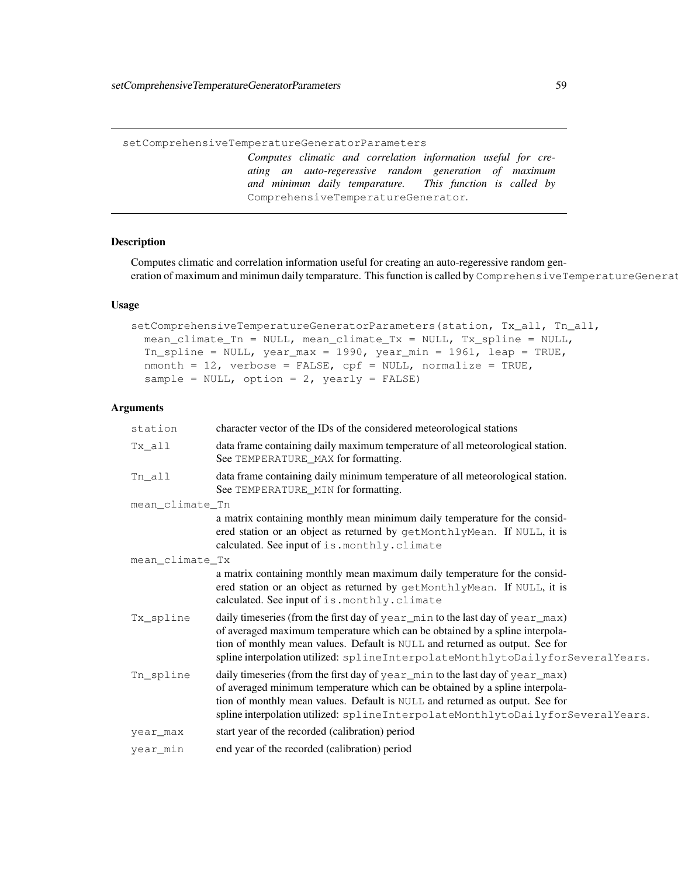setComprehensiveTemperatureGeneratorParameters

*Computes climatic and correlation information useful for creating an auto-regeressive random generation of maximum and minimun daily temparature. This function is called by* ComprehensiveTemperatureGenerator*.*

# Description

Computes climatic and correlation information useful for creating an auto-regeressive random generation of maximum and minimun daily temparature. This function is called by ComprehensiveTemperatureGenerat

#### Usage

```
setComprehensiveTemperatureGeneratorParameters(station, Tx_all, Tn_all,
 mean_climate_Tn = NULL, mean_climate_Tx = NULL, Tx_spline = NULL,
 Tn_spline = NULL, year_max = 1990, year_min = 1961, leap = TRUE,
 nmonth = 12, verbose = FALSE, cpf = NULL, normalize = TRUE,
 sample = NULL, option = 2, yearly = FALSE)
```
## Arguments

| station         | character vector of the IDs of the considered meteorological stations                                                                                                                                                                                                                                                           |  |
|-----------------|---------------------------------------------------------------------------------------------------------------------------------------------------------------------------------------------------------------------------------------------------------------------------------------------------------------------------------|--|
| Tx_all          | data frame containing daily maximum temperature of all meteorological station.<br>See TEMPERATURE_MAX for formatting.                                                                                                                                                                                                           |  |
| Tn_all          | data frame containing daily minimum temperature of all meteorological station.<br>See TEMPERATURE_MIN for formatting.                                                                                                                                                                                                           |  |
| mean_climate_Tn |                                                                                                                                                                                                                                                                                                                                 |  |
|                 | a matrix containing monthly mean minimum daily temperature for the consid-<br>ered station or an object as returned by getMonthlyMean. If NULL, it is<br>calculated. See input of is. monthly. climate                                                                                                                          |  |
| mean_climate_Tx |                                                                                                                                                                                                                                                                                                                                 |  |
|                 | a matrix containing monthly mean maximum daily temperature for the consid-<br>ered station or an object as returned by getMonthlyMean. If NULL, it is<br>calculated. See input of is. monthly. climate                                                                                                                          |  |
| Tx_spline       | daily timeseries (from the first day of year_min to the last day of year_max)<br>of averaged maximum temperature which can be obtained by a spline interpola-<br>tion of monthly mean values. Default is NULL and returned as output. See for<br>spline interpolation utilized: splineInterpolateMonthlytoDailyforSeveralYears. |  |
| Tn_spline       | daily timeseries (from the first day of year_min to the last day of year_max)<br>of averaged minimum temperature which can be obtained by a spline interpola-<br>tion of monthly mean values. Default is NULL and returned as output. See for<br>spline interpolation utilized: splineInterpolateMonthlytoDailyforSeveralYears. |  |
| year_max        | start year of the recorded (calibration) period                                                                                                                                                                                                                                                                                 |  |
| year min        | end year of the recorded (calibration) period                                                                                                                                                                                                                                                                                   |  |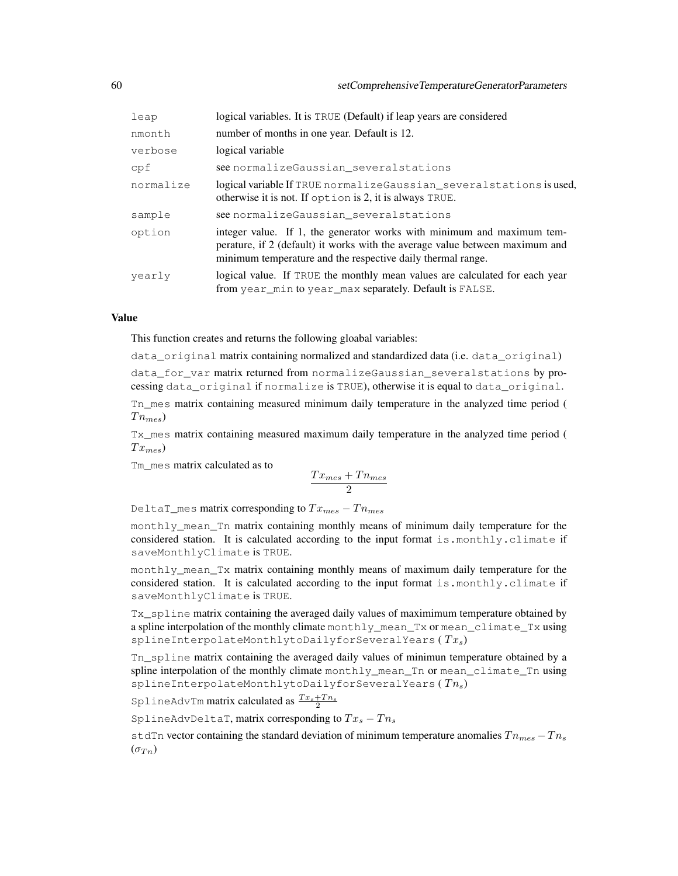| leap      | logical variables. It is TRUE (Default) if leap years are considered                                                                                                                                                  |  |
|-----------|-----------------------------------------------------------------------------------------------------------------------------------------------------------------------------------------------------------------------|--|
| nmonth    | number of months in one year. Default is 12.                                                                                                                                                                          |  |
| verbose   | logical variable                                                                                                                                                                                                      |  |
| cpf       | see normalizeGaussian_severalstations                                                                                                                                                                                 |  |
| normalize | logical variable If TRUE normalize Gaussian_several stations is used,<br>otherwise it is not. If option is 2, it is always TRUE.                                                                                      |  |
| sample    | see normalize Gaussian several stations                                                                                                                                                                               |  |
| option    | integer value. If 1, the generator works with minimum and maximum tem-<br>perature, if 2 (default) it works with the average value between maximum and<br>minimum temperature and the respective daily thermal range. |  |
| vearly    | logical value. If TRUE the monthly mean values are calculated for each year<br>from year min to year max separately. Default is FALSE.                                                                                |  |

#### Value

This function creates and returns the following gloabal variables:

data original matrix containing normalized and standardized data (i.e. data original)

data for var matrix returned from normalizeGaussian severalstations by processing data\_original if normalize is TRUE), otherwise it is equal to data\_original.

Tn\_mes matrix containing measured minimum daily temperature in the analyzed time period (  $T_{n_{mes}}$ 

Tx\_mes matrix containing measured maximum daily temperature in the analyzed time period (  $Tx_{mes}$ 

Tm\_mes matrix calculated as to

$$
\frac{Tx_{mes} + Tn_{mes}}{2}
$$

DeltaT\_mes matrix corresponding to  $Tx_{mes} - T n_{mes}$ 

monthly\_mean\_Tn matrix containing monthly means of minimum daily temperature for the considered station. It is calculated according to the input format is.monthly.climate if saveMonthlyClimate is TRUE.

monthly\_mean\_Tx matrix containing monthly means of maximum daily temperature for the considered station. It is calculated according to the input format is.monthly.climate if saveMonthlyClimate is TRUE.

Tx\_spline matrix containing the averaged daily values of maximimum temperature obtained by a spline interpolation of the monthly climate monthly\_mean\_Tx or mean\_climate\_Tx using splineInterpolateMonthlytoDailyforSeveralYears ( $Tx_s$ )

Tn\_spline matrix containing the averaged daily values of minimun temperature obtained by a spline interpolation of the monthly climate monthly\_mean\_Tn or mean\_climate\_Tn using splineInterpolateMonthlytoDailyforSeveralYears ( $T_{n_s}$ )

SplineAdvTm matrix calculated as  $\frac{Tx_s+T n_s}{2}$ 

SplineAdvDeltaT, matrix corresponding to  $Tx_s - T n_s$ 

stdTn vector containing the standard deviation of minimum temperature anomalies  $T_{n_{\text{mes}}}-T_{n_{\text{S}}}$  $(\sigma_{T} n)$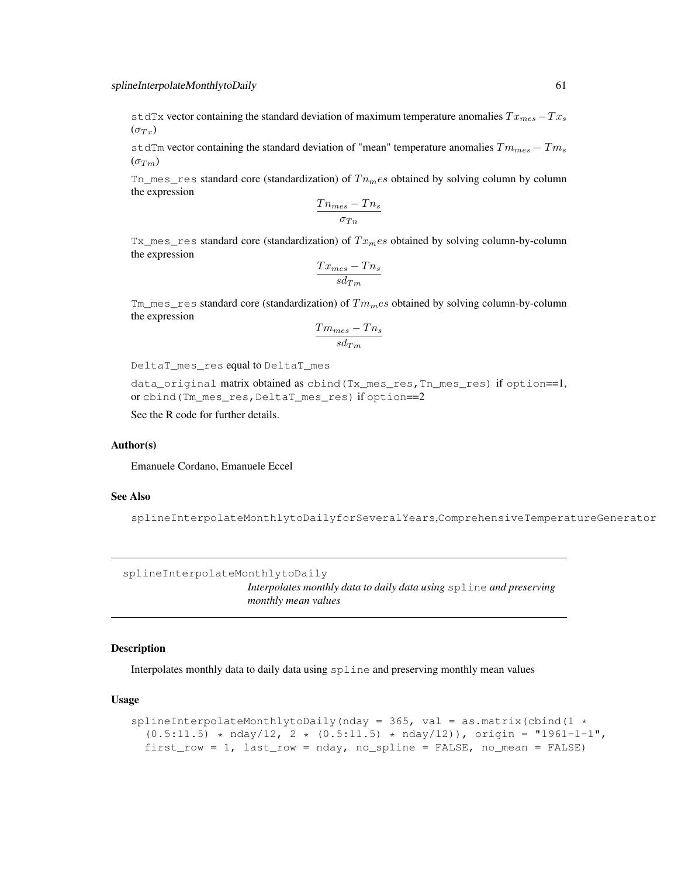stdTx vector containing the standard deviation of maximum temperature anomalies  $Tx_{mes} - Tx_{s}$  $(\sigma_{Tx})$ 

stdTm vector containing the standard deviation of "mean" temperature anomalies  $Tm_{mes} - Tm_s$  $(\sigma_{Tm})$ 

 $Tn\_mes\_res$  standard core (standardization) of  $Tn_mes$  obtained by solving column by column the expression

$$
\frac{Tn_{mes}-Tn_s}{\sigma_{Tn}}
$$

 $Tx\_mes\_res$  standard core (standardization) of  $Tx_{m}es$  obtained by solving column-by-column the expression

$$
\frac{Tx_{mes}-Tn_s}{sd_{Tm}}
$$

Tm\_mes\_res standard core (standardization) of  $Tm_mes$  obtained by solving column-by-column the expression

$$
\frac{Tm_{mes}-Tn_s}{sd_{Tm}}
$$

DeltaT\_mes\_res equal to DeltaT\_mes

data\_original matrix obtained as cbind(Tx\_mes\_res,Tn\_mes\_res) if option==1, or cbind(Tm\_mes\_res,DeltaT\_mes\_res) if option==2

See the R code for further details.

#### Author(s)

Emanuele Cordano, Emanuele Eccel

#### See Also

splineInterpolateMonthlytoDailyforSeveralYears,ComprehensiveTemperatureGenerator

```
splineInterpolateMonthlytoDaily
```
*Interpolates monthly data to daily data using* spline *and preserving monthly mean values*

#### Description

Interpolates monthly data to daily data using spline and preserving monthly mean values

#### Usage

```
splineInterpolateMonthlytoDaily(nday = 365, val = as.matrix(cbind(1 \star(0.5:11.5) * nday/12, 2 * (0.5:11.5) * nday/12), origin = "1961-1-1",
 first_row = 1, last_row = nday, no_spline = FALSE, no_mean = FALSE)
```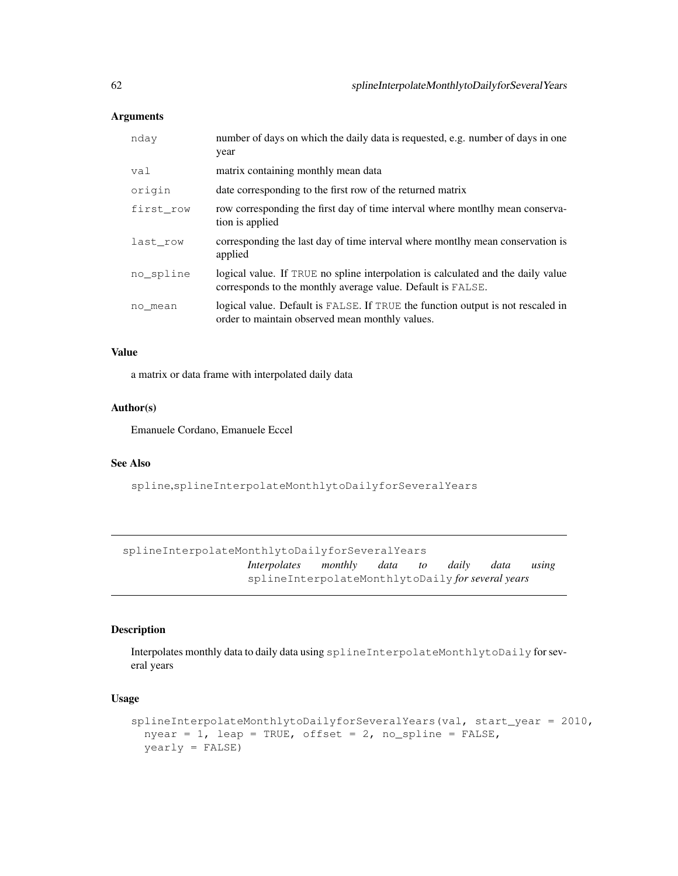## Arguments

| nday      | number of days on which the daily data is requested, e.g. number of days in one<br>year                                                         |
|-----------|-------------------------------------------------------------------------------------------------------------------------------------------------|
| val       | matrix containing monthly mean data                                                                                                             |
| origin    | date corresponding to the first row of the returned matrix                                                                                      |
| first row | row corresponding the first day of time interval where montlhy mean conserva-<br>tion is applied                                                |
| last row  | corresponding the last day of time interval where montlhy mean conservation is<br>applied                                                       |
| no spline | logical value. If TRUE no spline interpolation is calculated and the daily value<br>corresponds to the monthly average value. Default is FALSE. |
| no mean   | logical value. Default is FALSE. If TRUE the function output is not rescaled in<br>order to maintain observed mean monthly values.              |

## Value

a matrix or data frame with interpolated daily data

## Author(s)

Emanuele Cordano, Emanuele Eccel

# See Also

spline,splineInterpolateMonthlytoDailyforSeveralYears

splineInterpolateMonthlytoDailyforSeveralYears *Interpolates monthly data to daily data using* splineInterpolateMonthlytoDaily *for several years*

#### Description

Interpolates monthly data to daily data using splineInterpolateMonthlytoDaily for several years

# Usage

```
splineInterpolateMonthlytoDailyforSeveralYears(val, start_year = 2010,
 nyear = 1, leap = TRUE, offset = 2, no_spline = FALSE,
 yearly = FALSE)
```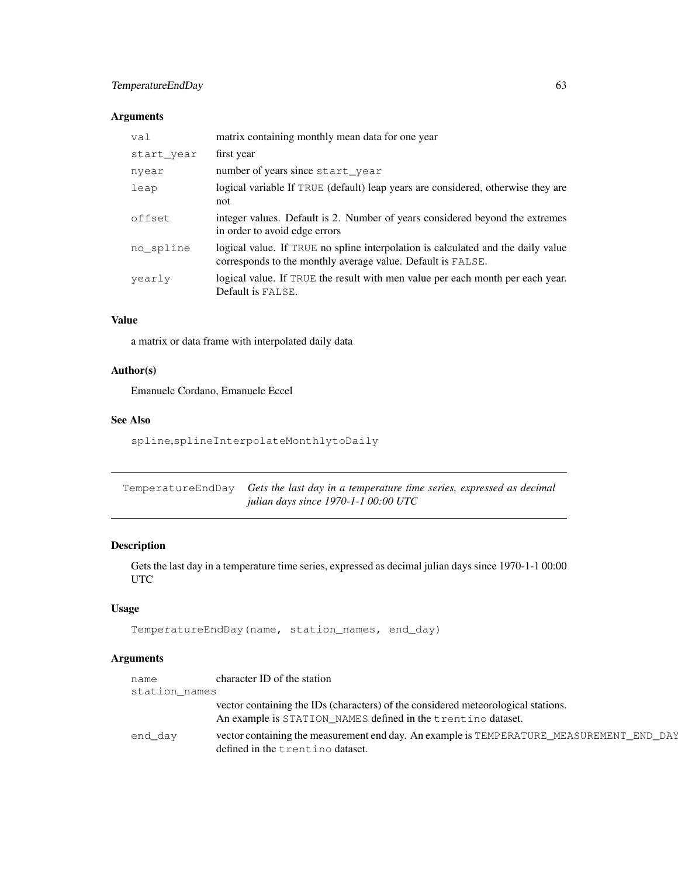# TemperatureEndDay 63

# Arguments

| val        | matrix containing monthly mean data for one year                                                                                                |
|------------|-------------------------------------------------------------------------------------------------------------------------------------------------|
| start year | first year                                                                                                                                      |
| nyear      | number of years since start_year                                                                                                                |
| leap       | logical variable If TRUE (default) leap years are considered, otherwise they are<br>not                                                         |
| offset     | integer values. Default is 2. Number of years considered beyond the extremes<br>in order to avoid edge errors                                   |
| no spline  | logical value. If TRUE no spline interpolation is calculated and the daily value<br>corresponds to the monthly average value. Default is FALSE. |
| vearly     | logical value. If TRUE the result with men value per each month per each year.<br>Default is FALSE.                                             |

## Value

a matrix or data frame with interpolated daily data

# Author(s)

Emanuele Cordano, Emanuele Eccel

# See Also

spline,splineInterpolateMonthlytoDaily

| TemperatureEndDay Gets the last day in a temperature time series, expressed as decimal |
|----------------------------------------------------------------------------------------|
| <i>iulian days since 1970-1-1 00:00 UTC</i>                                            |

# Description

Gets the last day in a temperature time series, expressed as decimal julian days since 1970-1-1 00:00 UTC

# Usage

```
TemperatureEndDay(name, station_names, end_day)
```
# Arguments

| name          | character ID of the station                                                                                                                       |  |
|---------------|---------------------------------------------------------------------------------------------------------------------------------------------------|--|
| station_names |                                                                                                                                                   |  |
|               | vector containing the IDs (characters) of the considered meteorological stations.<br>An example is STATION_NAMES defined in the trentino dataset. |  |
| end day       | vector containing the measurement end day. An example is TEMPERATURE_MEASUREMENT_END_DAY<br>defined in the trentino dataset.                      |  |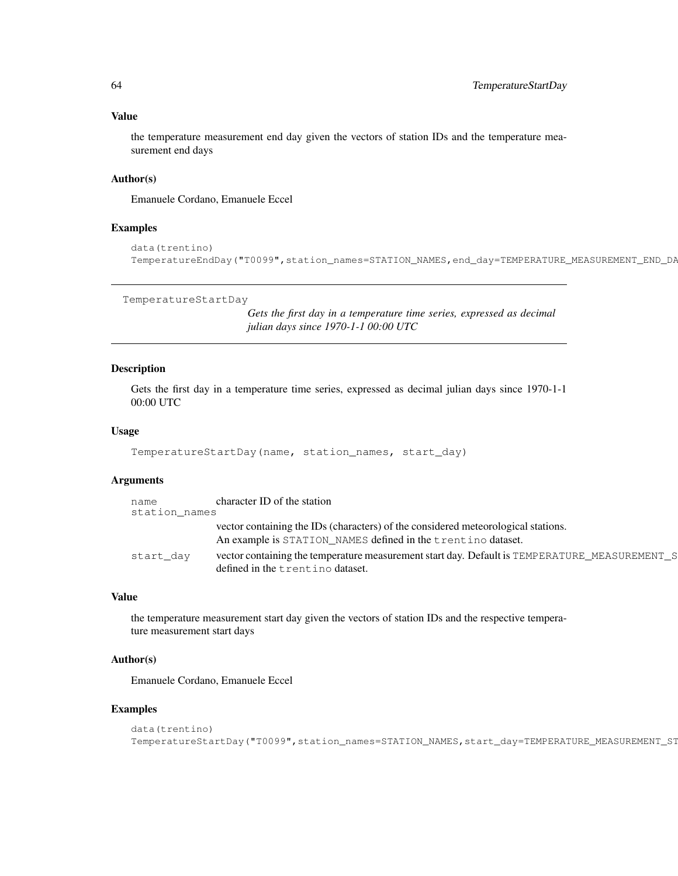#### Value

the temperature measurement end day given the vectors of station IDs and the temperature measurement end days

#### Author(s)

Emanuele Cordano, Emanuele Eccel

#### Examples

```
data(trentino)
TemperatureEndDay("T0099",station_names=STATION_NAMES,end_day=TEMPERATURE_MEASUREMENT_END_DP
```

```
TemperatureStartDay
```
*Gets the first day in a temperature time series, expressed as decimal julian days since 1970-1-1 00:00 UTC*

#### Description

Gets the first day in a temperature time series, expressed as decimal julian days since 1970-1-1 00:00 UTC

## Usage

```
TemperatureStartDay(name, station_names, start_day)
```
## Arguments

| name<br>station_names | character ID of the station                                                                                                                       |  |
|-----------------------|---------------------------------------------------------------------------------------------------------------------------------------------------|--|
|                       | vector containing the IDs (characters) of the considered meteorological stations.<br>An example is STATION_NAMES defined in the trentino dataset. |  |
| start day             | vector containing the temperature measurement start day. Default is TEMPERATURE_MEASUREMENT_S<br>defined in the trentino dataset.                 |  |

# Value

the temperature measurement start day given the vectors of station IDs and the respective temperature measurement start days

#### Author(s)

Emanuele Cordano, Emanuele Eccel

#### Examples

```
data(trentino)
TemperatureStartDay("T0099",station_names=STATION_NAMES,start_day=TEMPERATURE_MEASUREMENT_ST
```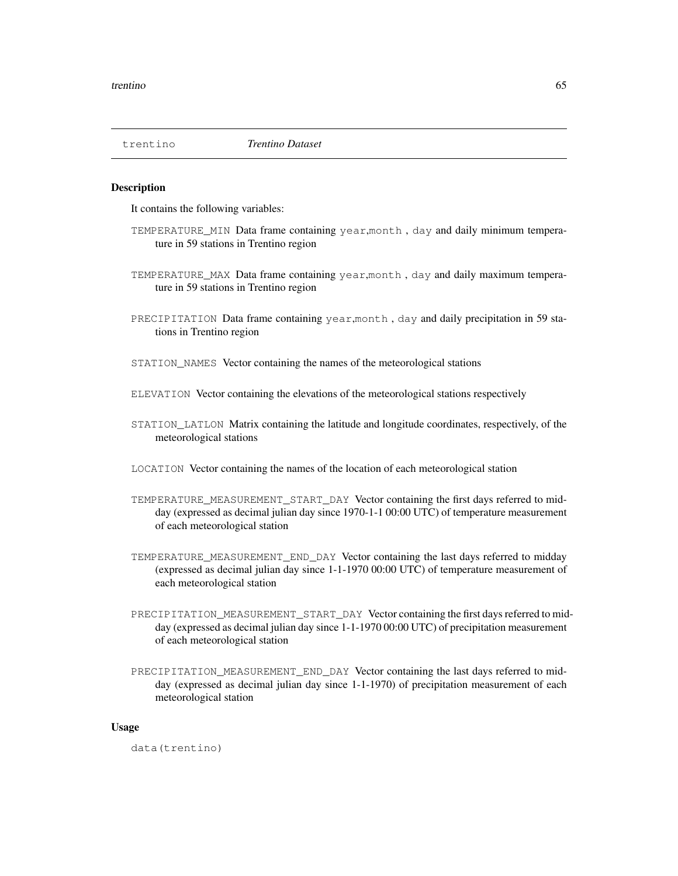#### Description

It contains the following variables:

- TEMPERATURE\_MIN Data frame containing year,month , day and daily minimum temperature in 59 stations in Trentino region
- TEMPERATURE\_MAX Data frame containing year,month , day and daily maximum temperature in 59 stations in Trentino region
- PRECIPITATION Data frame containing year, month, day and daily precipitation in 59 stations in Trentino region
- STATION\_NAMES Vector containing the names of the meteorological stations
- ELEVATION Vector containing the elevations of the meteorological stations respectively
- STATION\_LATLON Matrix containing the latitude and longitude coordinates, respectively, of the meteorological stations
- LOCATION Vector containing the names of the location of each meteorological station
- TEMPERATURE\_MEASUREMENT\_START\_DAY Vector containing the first days referred to midday (expressed as decimal julian day since 1970-1-1 00:00 UTC) of temperature measurement of each meteorological station
- TEMPERATURE\_MEASUREMENT\_END\_DAY Vector containing the last days referred to midday (expressed as decimal julian day since 1-1-1970 00:00 UTC) of temperature measurement of each meteorological station
- PRECIPITATION\_MEASUREMENT\_START\_DAY Vector containing the first days referred to midday (expressed as decimal julian day since 1-1-1970 00:00 UTC) of precipitation measurement of each meteorological station
- PRECIPITATION\_MEASUREMENT\_END\_DAY\_Vector containing the last days referred to midday (expressed as decimal julian day since 1-1-1970) of precipitation measurement of each meteorological station

#### Usage

data(trentino)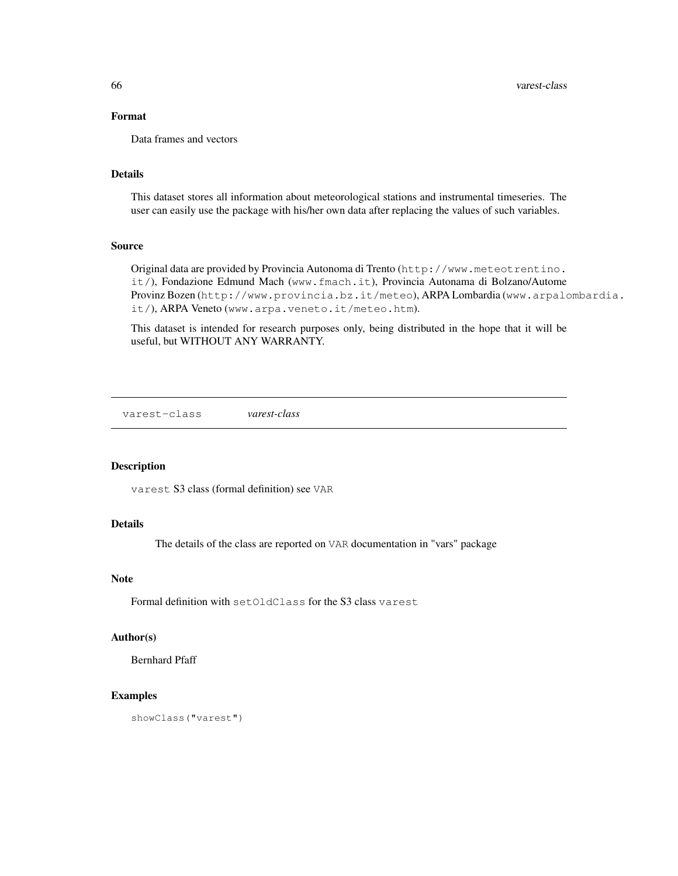## Format

Data frames and vectors

#### Details

This dataset stores all information about meteorological stations and instrumental timeseries. The user can easily use the package with his/her own data after replacing the values of such variables.

## Source

Original data are provided by Provincia Autonoma di Trento (http://www.meteotrentino. it/), Fondazione Edmund Mach (www.fmach.it), Provincia Autonama di Bolzano/Autome Provinz Bozen (http://www.provincia.bz.it/meteo), ARPA Lombardia (www.arpalombardia. it/), ARPA Veneto (www.arpa.veneto.it/meteo.htm).

This dataset is intended for research purposes only, being distributed in the hope that it will be useful, but WITHOUT ANY WARRANTY.

varest-class *varest-class*

#### Description

varest S3 class (formal definition) see VAR

# Details

The details of the class are reported on VAR documentation in "vars" package

#### Note

Formal definition with setOldClass for the S3 class varest

## Author(s)

Bernhard Pfaff

#### Examples

showClass("varest")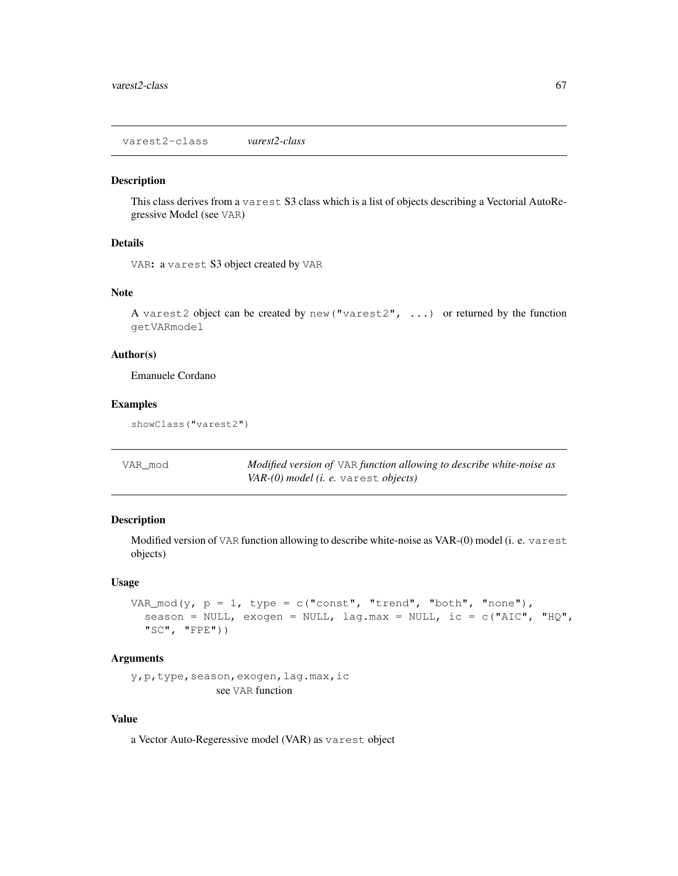varest2-class *varest2-class*

#### Description

This class derives from a varest S3 class which is a list of objects describing a Vectorial AutoRegressive Model (see VAR)

# Details

```
VAR: a varest S3 object created by VAR
```
#### Note

A varest2 object can be created by new("varest2", ...) or returned by the function getVARmodel

# Author(s)

Emanuele Cordano

## Examples

showClass("varest2")

| VAR mod | Modified version of VAR function allowing to describe white-noise as |
|---------|----------------------------------------------------------------------|
|         | $VAR(0) \ model$ ( <i>i. e.</i> varest <i>objects</i> )              |

#### Description

Modified version of VAR function allowing to describe white-noise as VAR-(0) model (i. e. varest objects)

#### Usage

```
VAR_mod(y, p = 1, type = c("const", "trend", "both", "none"),
  season = NULL, exogen = NULL, lag.max = NULL, ic = c("AIC", "HQ",
  "SC", "FPE"))
```
#### Arguments

y, p, type, season, exogen, lag.max, ic see VAR function

## Value

a Vector Auto-Regeressive model (VAR) as varest object